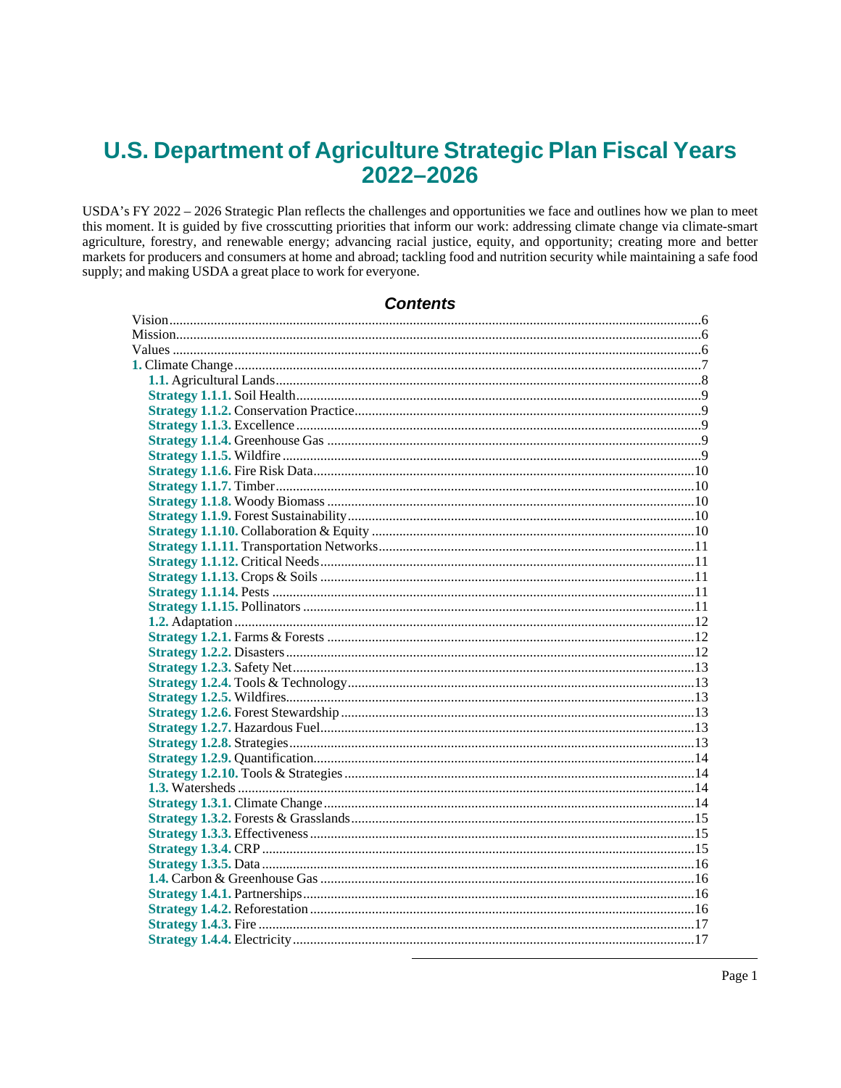# **U.S. Department of Agriculture Strategic Plan Fiscal Years** 2022-2026

USDA's FY 2022 - 2026 Strategic Plan reflects the challenges and opportunities we face and outlines how we plan to meet this moment. It is guided by five crosscutting priorities that inform our work: addressing climate change via climate-smart agriculture, forestry, and renewable energy; advancing racial justice, equity, and opportunity; creating more and better markets for producers and consumers at home and abroad; tackling food and nutrition security while maintaining a safe food supply; and making USDA a great place to work for everyone.

Contents

Page 1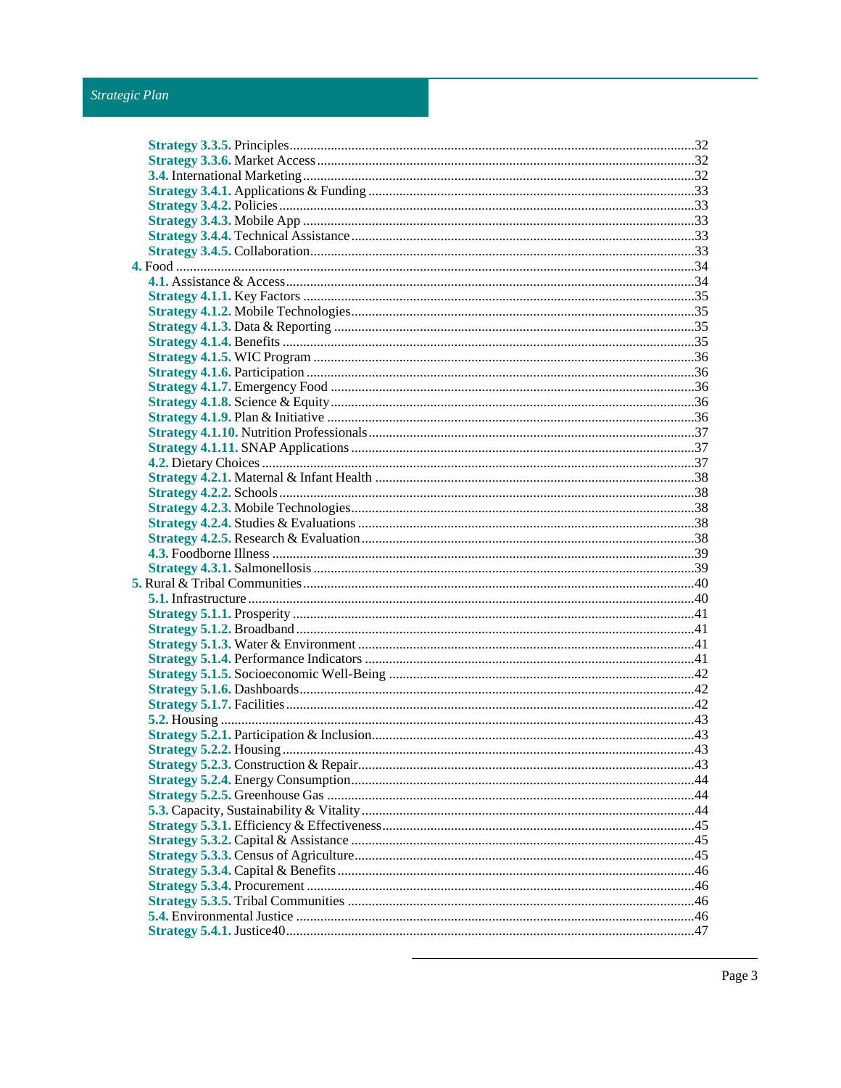# Strategic Plan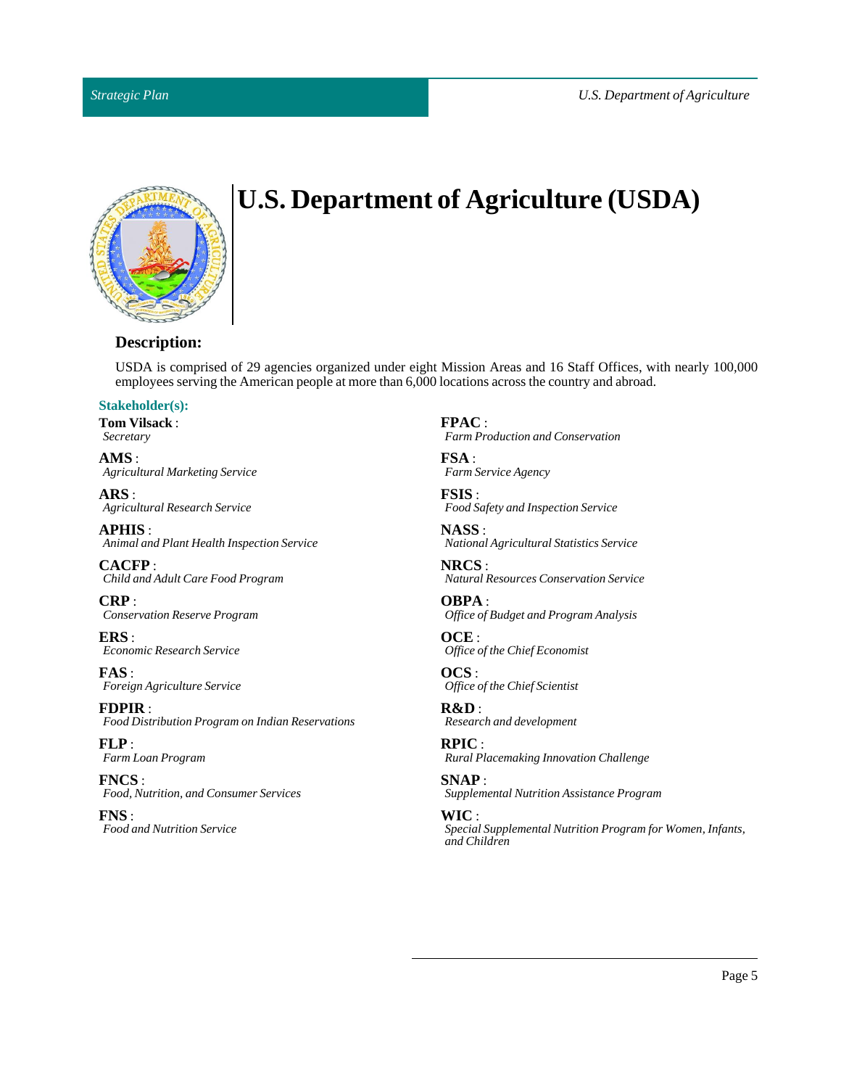

# **U.S. Department of Agriculture (USDA)**

# **Description:**

USDA is comprised of 29 agencies organized under eight Mission Areas and 16 Staff Offices, with nearly 100,000 employees serving the American people at more than 6,000 locations across the country and abroad.

# **Stakeholder(s):**

**Tom Vilsack**: *Secretary*

**AMS** : *Agricultural Marketing Service*

**ARS** : *Agricultural Research Service*

**APHIS** : *Animal and Plant Health Inspection Service*

**CACFP** : *Child and Adult Care Food Program*

**CRP** : *Conservation Reserve Program*

**ERS** : *Economic Research Service*

**FAS** : *Foreign Agriculture Service*

**FDPIR** : *Food Distribution Program on Indian Reservations*

**FLP** : *Farm Loan Program*

**FNCS** : *Food, Nutrition, and Consumer Services*

**FNS** : *Food and Nutrition Service* **FPAC** : *Farm Production and Conservation*

**FSA** : *Farm Service Agency*

**FSIS** : *Food Safety and Inspection Service*

**NASS** : *National Agricultural Statistics Service*

**NRCS** : *Natural Resources Conservation Service*

**OBPA** : *Office of Budget and Program Analysis*

**OCE** : *Office of the Chief Economist*

**OCS** : *Office of the Chief Scientist*

**R&D** : *Research and development*

**RPIC** : *Rural Placemaking Innovation Challenge*

**SNAP** : *Supplemental Nutrition Assistance Program*

**WIC** : *Special Supplemental Nutrition Program for Women, Infants, and Children*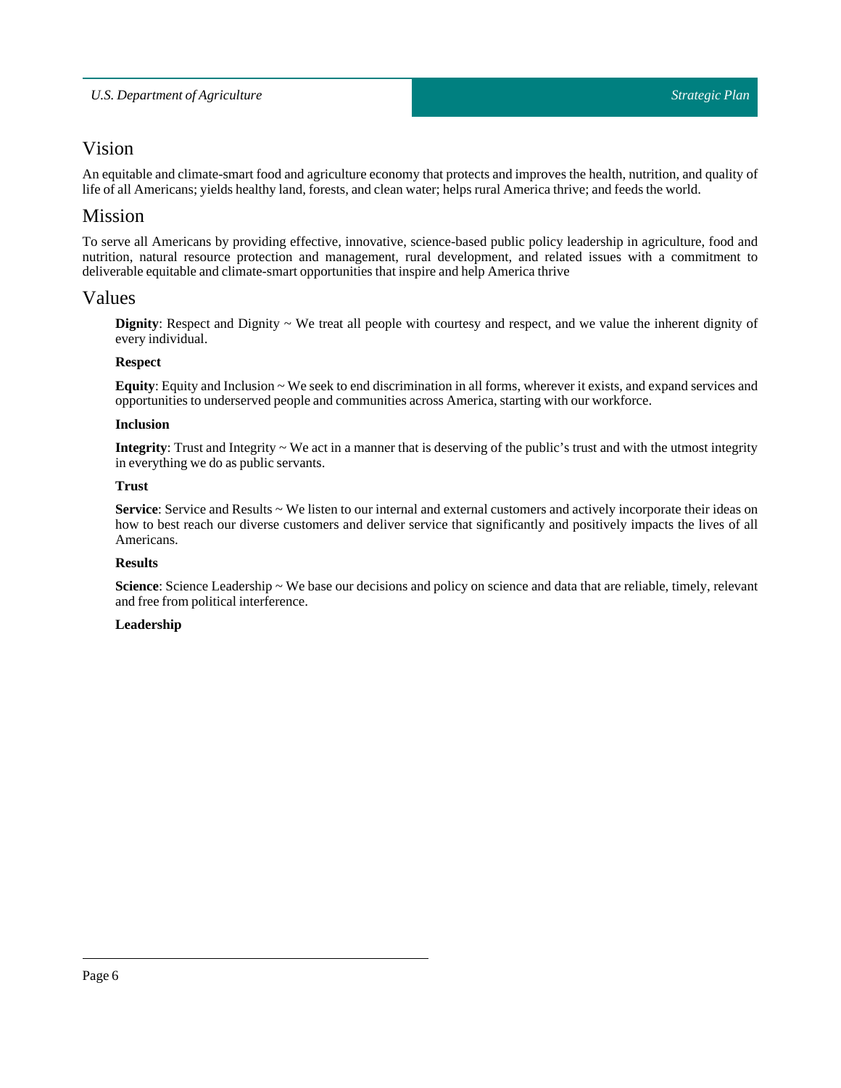# <span id="page-5-0"></span>Vision

An equitable and climate-smart food and agriculture economy that protects and improves the health, nutrition, and quality of life of all Americans; yields healthy land, forests, and clean water; helps rural America thrive; and feeds the world.

# <span id="page-5-1"></span>Mission

To serve all Americans by providing effective, innovative, science-based public policy leadership in agriculture, food and nutrition, natural resource protection and management, rural development, and related issues with a commitment to deliverable equitable and climate-smart opportunities thatinspire and help America thrive

# <span id="page-5-2"></span>Values

**Dignity**: Respect and Dignity ~ We treat all people with courtesy and respect, and we value the inherent dignity of every individual.

# **Respect**

**Equity**: Equity and Inclusion ~ We seek to end discrimination in all forms, wherever it exists, and expand services and opportunities to underserved people and communities across America, starting with our workforce.

# **Inclusion**

**Integrity**: Trust and Integrity ~ We act in a manner that is deserving of the public's trust and with the utmost integrity in everything we do as public servants.

# **Trust**

**Service**: Service and Results ~ We listen to our internal and external customers and actively incorporate their ideas on how to best reach our diverse customers and deliver service that significantly and positively impacts the lives of all Americans.

# **Results**

**Science**: Science Leadership ~ We base our decisions and policy on science and data that are reliable, timely, relevant and free from political interference.

# **Leadership**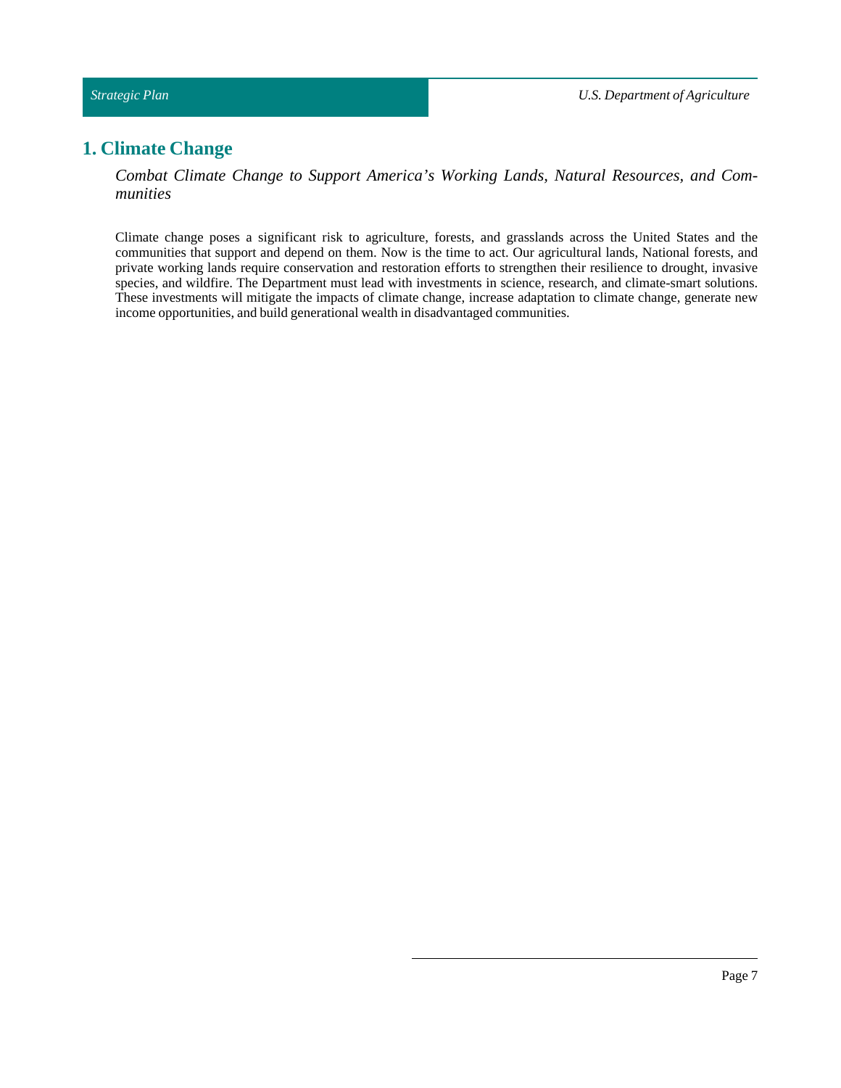# <span id="page-6-0"></span>**1. Climate Change**

*Combat Climate Change to Support America's Working Lands, Natural Resources, and Communities*

Climate change poses a significant risk to agriculture, forests, and grasslands across the United States and the communities that support and depend on them. Now is the time to act. Our agricultural lands, National forests, and private working lands require conservation and restoration efforts to strengthen their resilience to drought, invasive species, and wildfire. The Department must lead with investments in science, research, and climate-smart solutions. These investments will mitigate the impacts of climate change, increase adaptation to climate change, generate new income opportunities, and build generational wealth in disadvantaged communities.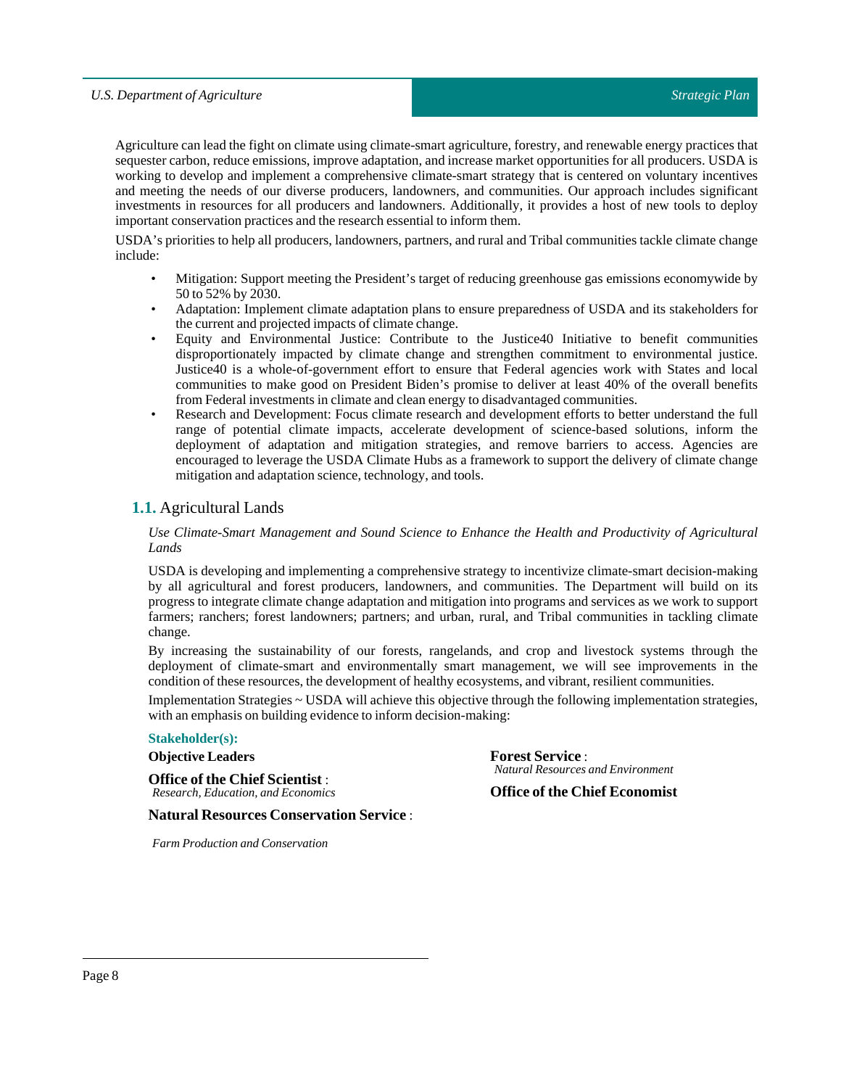Agriculture can lead the fight on climate using climate-smart agriculture, forestry, and renewable energy practices that sequester carbon, reduce emissions, improve adaptation, and increase market opportunities for all producers. USDA is working to develop and implement a comprehensive climate-smart strategy that is centered on voluntary incentives and meeting the needs of our diverse producers, landowners, and communities. Our approach includes significant investments in resources for all producers and landowners. Additionally, it provides a host of new tools to deploy important conservation practices and the research essential to inform them.

USDA's priorities to help all producers, landowners, partners, and rural and Tribal communities tackle climate change include:

- Mitigation: Support meeting the President's target of reducing greenhouse gas emissions economywide by 50 to 52% by 2030.
- Adaptation: Implement climate adaptation plans to ensure preparedness of USDA and its stakeholders for the current and projected impacts of climate change.
- Equity and Environmental Justice: Contribute to the Justice40 Initiative to benefit communities disproportionately impacted by climate change and strengthen commitment to environmental justice. Justice40 is a whole-of-government effort to ensure that Federal agencies work with States and local communities to make good on President Biden's promise to deliver at least 40% of the overall benefits from Federal investments in climate and clean energy to disadvantaged communities.
- Research and Development: Focus climate research and development efforts to better understand the full range of potential climate impacts, accelerate development of science-based solutions, inform the deployment of adaptation and mitigation strategies, and remove barriers to access. Agencies are encouraged to leverage the USDA Climate Hubs as a framework to support the delivery of climate change mitigation and adaptation science, technology, and tools.

# <span id="page-7-0"></span>**1.1.** Agricultural Lands

*Use Climate-Smart Management and Sound Science to Enhance the Health and Productivity of Agricultural Lands*

USDA is developing and implementing a comprehensive strategy to incentivize climate-smart decision-making by all agricultural and forest producers, landowners, and communities. The Department will build on its progress to integrate climate change adaptation and mitigation into programs and services as we work to support farmers; ranchers; forest landowners; partners; and urban, rural, and Tribal communities in tackling climate change.

By increasing the sustainability of our forests, rangelands, and crop and livestock systems through the deployment of climate-smart and environmentally smart management, we will see improvements in the condition of these resources, the development of healthy ecosystems, and vibrant, resilient communities.

Implementation Strategies ~ USDA will achieve this objective through the following implementation strategies, with an emphasis on building evidence to inform decision-making:

### **Stakeholder(s):**

**Objective Leaders**

**Office of the Chief Scientist** : *Research, Education, and Economics* **Forest Service** : *Natural Resources and Environment*

**Office of the Chief Economist**

**Natural Resources Conservation Service** :

*Farm Production and Conservation*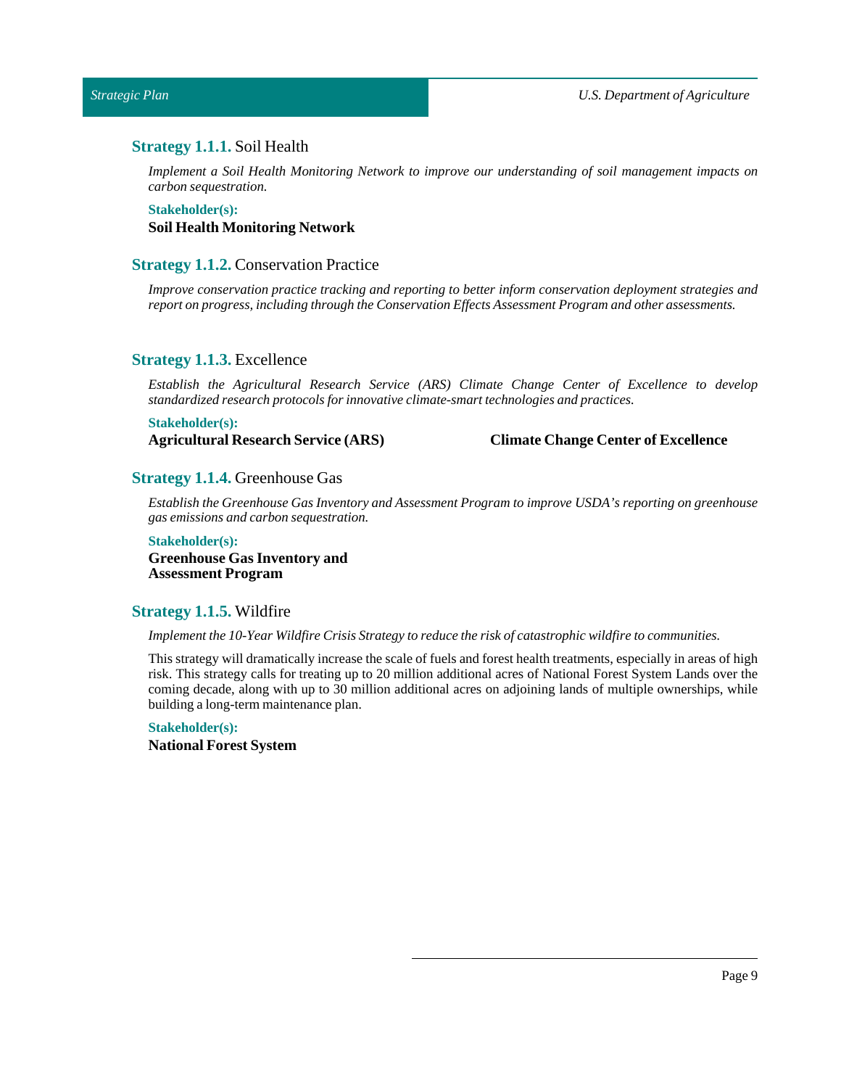<span id="page-8-0"></span>*Strategic Plan*

# **Strategy 1.1.1.** Soil Health

*Implement a Soil Health Monitoring Network to improve our understanding of soil management impacts on carbon sequestration.*

**Stakeholder(s): Soil Health Monitoring Network**

# <span id="page-8-1"></span>**Strategy 1.1.2.** Conservation Practice

*Improve conservation practice tracking and reporting to better inform conservation deployment strategies and report on progress,including through the Conservation Effects Assessment Program and other assessments.*

### <span id="page-8-2"></span>**Strategy 1.1.3.** Excellence

*Establish the Agricultural Research Service (ARS) Climate Change Center of Excellence to develop standardized research protocols for innovative climate-smarttechnologies and practices.*

### **Stakeholder(s):**

# **Agricultural Research Service (ARS) Climate Change Center of Excellence**

# <span id="page-8-3"></span>**Strategy 1.1.4.** Greenhouse Gas

*Establish the Greenhouse Gas Inventory and Assessment Program to improve USDA's reporting on greenhouse gas emissions and carbon sequestration.*

### **Stakeholder(s):**

**Greenhouse Gas Inventory and Assessment Program**

# <span id="page-8-4"></span>**Strategy 1.1.5.** Wildfire

*Implementthe 10-Year Wildfire Crisis Strategy to reduce the risk of catastrophic wildfire to communities.*

This strategy will dramatically increase the scale of fuels and forest health treatments, especially in areas of high risk. This strategy calls for treating up to 20 million additional acres of National Forest System Lands over the coming decade, along with up to 30 million additional acres on adjoining lands of multiple ownerships, while building a long-term maintenance plan.

**Stakeholder(s): National Forest System**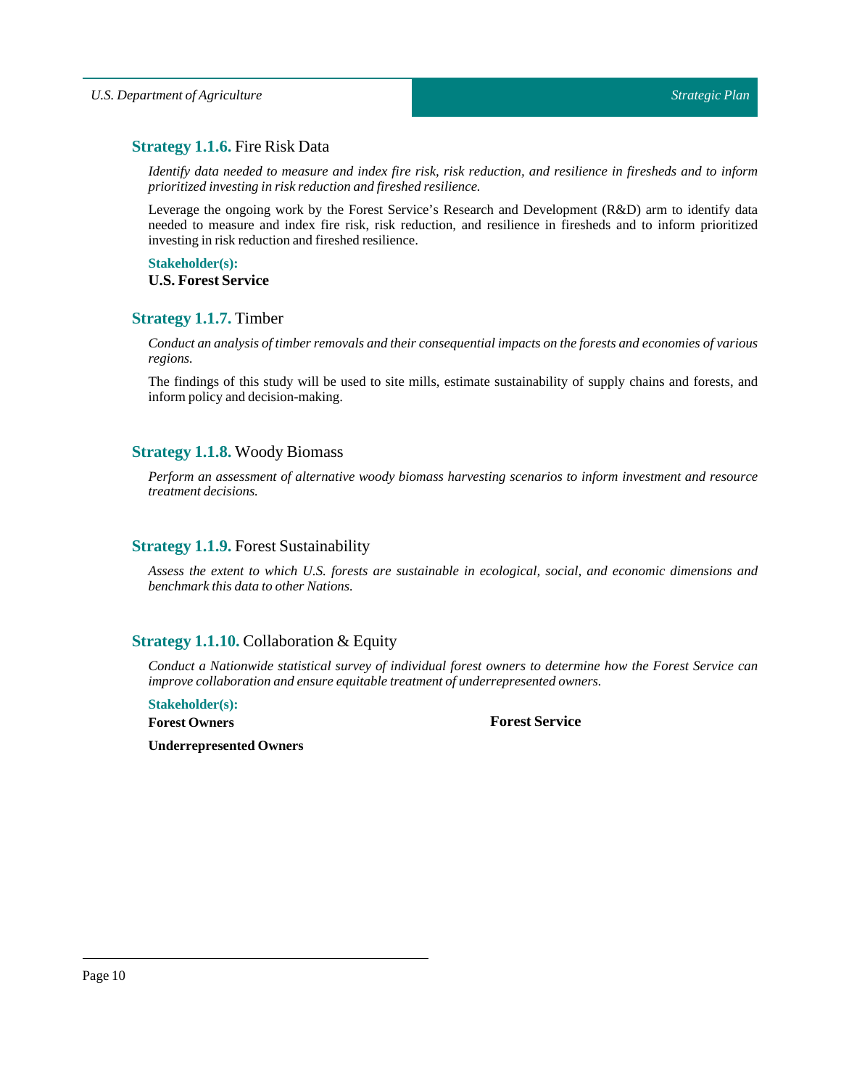# <span id="page-9-0"></span>**Strategy 1.1.6.** Fire Risk Data

Identify data needed to measure and index fire risk, risk reduction, and resilience in firesheds and to inform *prioritized investing in risk reduction and fireshed resilience.*

Leverage the ongoing work by the Forest Service's Research and Development (R&D) arm to identify data needed to measure and index fire risk, risk reduction, and resilience in firesheds and to inform prioritized investing in risk reduction and fireshed resilience.

# **Stakeholder(s):**

# **U.S. Forest Service**

# <span id="page-9-1"></span>**Strategy 1.1.7.** Timber

*Conduct an analysis oftimber removals and their consequentialimpacts on the forests and economies of various regions.*

The findings of this study will be used to site mills, estimate sustainability of supply chains and forests, and inform policy and decision-making.

# <span id="page-9-2"></span>**Strategy 1.1.8.** Woody Biomass

*Perform an assessment of alternative woody biomass harvesting scenarios to inform investment and resource treatment decisions.*

# <span id="page-9-3"></span>**Strategy 1.1.9.** Forest Sustainability

*Assess the extent to which U.S. forests are sustainable in ecological, social, and economic dimensions and benchmark this data to other Nations.*

# <span id="page-9-4"></span>**Strategy 1.1.10.** Collaboration & Equity

*Conduct a Nationwide statistical survey of individual forest owners to determine how the Forest Service can improve collaboration and ensure equitable treatment of underrepresented owners.*

**Stakeholder(s):**

**Forest Owners**

**Forest Service**

**Underrepresented Owners**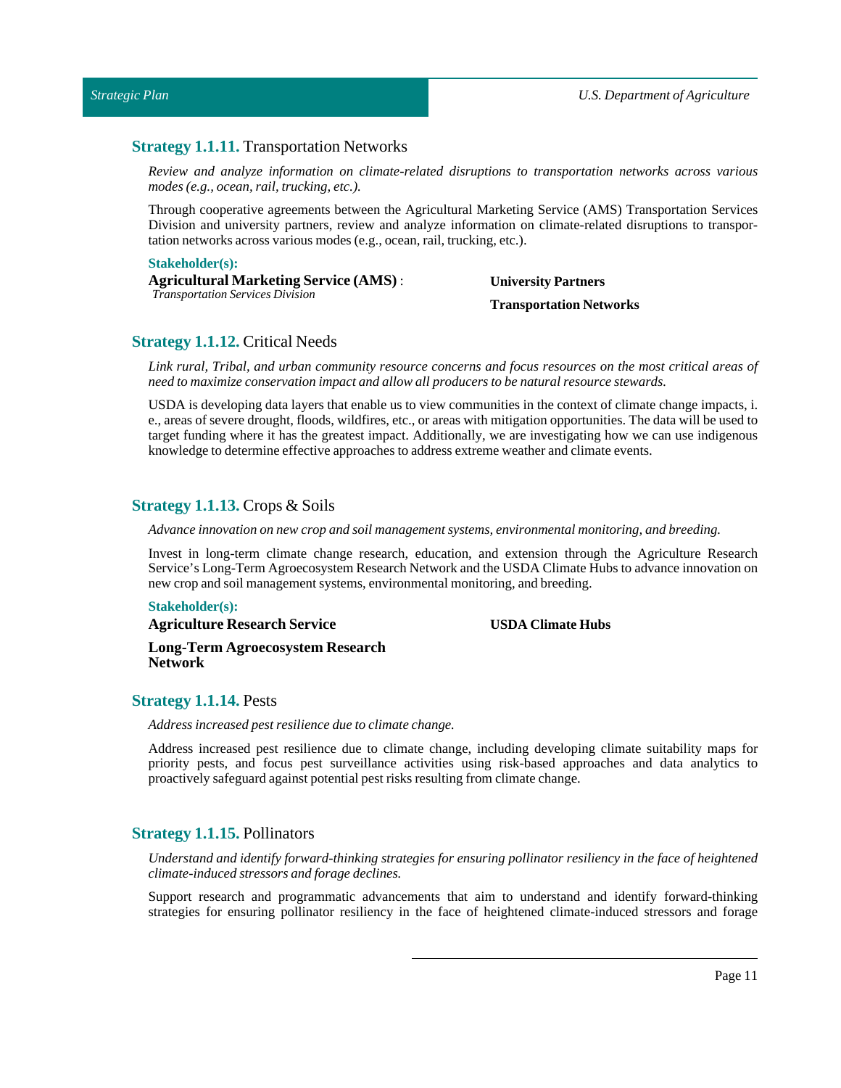# <span id="page-10-0"></span>**Strategy 1.1.11.** Transportation Networks

*Review and analyze information on climate-related disruptions to transportation networks across various modes* (e.g., *ocean, rail, trucking, etc.*).

Through cooperative agreements between the Agricultural Marketing Service (AMS) Transportation Services Division and university partners, review and analyze information on climate-related disruptions to transportation networks across various modes (e.g., ocean, rail, trucking, etc.).

### **Stakeholder(s):**

**Agricultural Marketing Service (AMS)** : *Transportation Services Division*

# **University Partners Transportation Networks**

# <span id="page-10-1"></span>**Strategy 1.1.12.** Critical Needs

Link rural, Tribal, and urban community resource concerns and focus resources on the most critical areas of *need to maximize conservation impact and allow all producers to be natural resource stewards.*

USDA is developing data layers that enable us to view communities in the context of climate change impacts, i. e., areas of severe drought, floods, wildfires, etc., or areas with mitigation opportunities. The data will be used to target funding where it has the greatest impact. Additionally, we are investigating how we can use indigenous knowledge to determine effective approaches to address extreme weather and climate events.

# <span id="page-10-2"></span>**Strategy 1.1.13.** Crops & Soils

*Advance innovation on new crop and soil management systems, environmental monitoring, and breeding.*

Invest in long-term climate change research, education, and extension through the Agriculture Research Service's Long-Term Agroecosystem Research Network and the USDA Climate Hubs to advance innovation on new crop and soil management systems, environmental monitoring, and breeding.

### **Stakeholder(s):**

**Agriculture Research Service**

**USDA Climate Hubs**

**Long-Term Agroecosystem Research Network**

# <span id="page-10-3"></span>**Strategy 1.1.14.** Pests

*Address increased pest resilience due to climate change.*

Address increased pest resilience due to climate change, including developing climate suitability maps for priority pests, and focus pest surveillance activities using risk-based approaches and data analytics to proactively safeguard against potential pest risks resulting from climate change.

# <span id="page-10-4"></span>**Strategy 1.1.15.** Pollinators

*Understand and identify forward-thinking strategies for ensuring pollinator resiliency in the face of heightened climate-induced stressors and forage declines.*

Support research and programmatic advancements that aim to understand and identify forward-thinking strategies for ensuring pollinator resiliency in the face of heightened climate-induced stressors and forage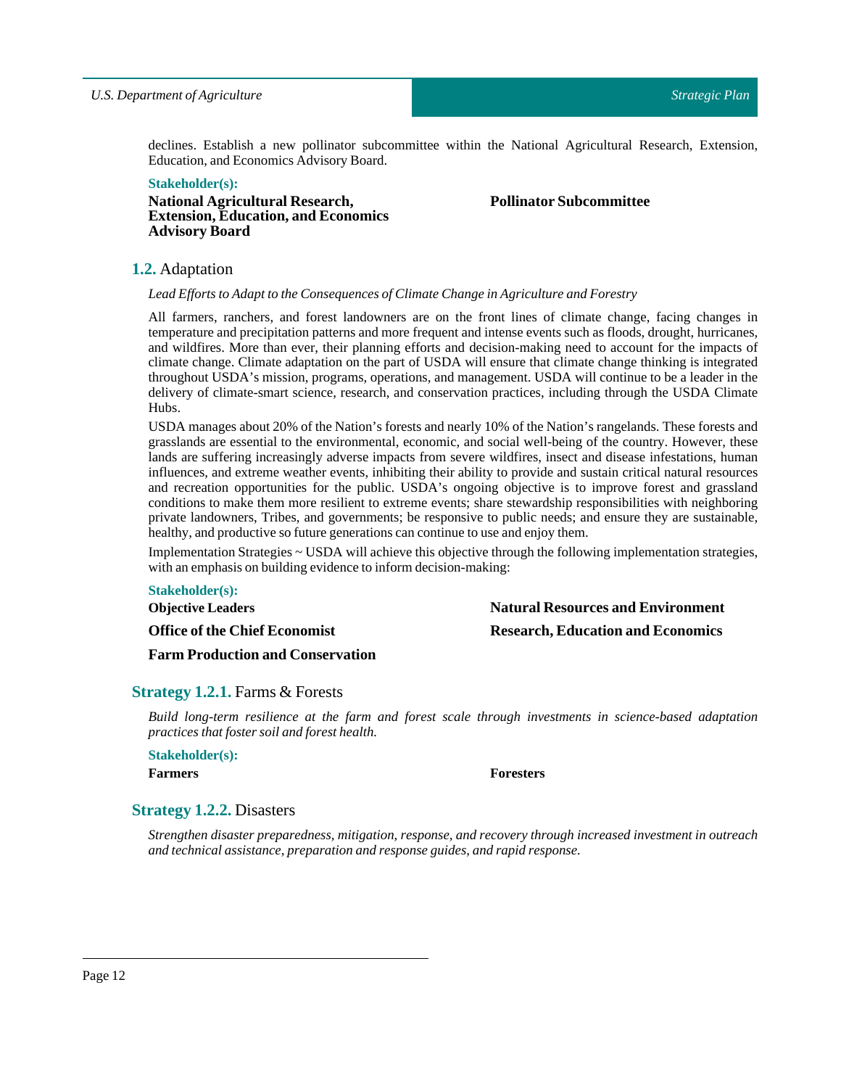declines. Establish a new pollinator subcommittee within the National Agricultural Research, Extension, Education, and Economics Advisory Board.

# **Stakeholder(s):**

**National Agricultural Research, Extension, Education, and Economics Advisory Board**

**Pollinator Subcommittee**

**Natural Resources and Environment Research, Education and Economics**

# <span id="page-11-0"></span>**1.2.** Adaptation

*Lead Efforts to Adaptto the Consequences of Climate Change in Agriculture and Forestry*

All farmers, ranchers, and forest landowners are on the front lines of climate change, facing changes in temperature and precipitation patterns and more frequent and intense events such as floods, drought, hurricanes, and wildfires. More than ever, their planning efforts and decision-making need to account for the impacts of climate change. Climate adaptation on the part of USDA will ensure that climate change thinking is integrated throughout USDA's mission, programs, operations, and management. USDA will continue to be a leader in the delivery of climate-smart science, research, and conservation practices, including through the USDA Climate Hubs.

USDA manages about 20% of the Nation's forests and nearly 10% of the Nation's rangelands. These forests and grasslands are essential to the environmental, economic, and social well-being of the country. However, these lands are suffering increasingly adverse impacts from severe wildfires, insect and disease infestations, human influences, and extreme weather events, inhibiting their ability to provide and sustain critical natural resources and recreation opportunities for the public. USDA's ongoing objective is to improve forest and grassland conditions to make them more resilient to extreme events; share stewardship responsibilities with neighboring private landowners, Tribes, and governments; be responsive to public needs; and ensure they are sustainable, healthy, and productive so future generations can continue to use and enjoy them.

Implementation Strategies ~ USDA will achieve this objective through the following implementation strategies, with an emphasis on building evidence to inform decision-making:

# **Stakeholder(s):**

**Objective Leaders**

**Office of the Chief Economist**

**Farm Production and Conservation**

# <span id="page-11-1"></span>**Strategy 1.2.1.** Farms & Forests

*Build long-term resilience at the farm and forest scale through investments in science-based adaptation practices thatfoster soil and forest health.*

**Stakeholder(s):**

**Farmers Foresters**

# <span id="page-11-2"></span>**Strategy 1.2.2.** Disasters

*Strengthen disaster preparedness, mitigation, response, and recovery through increased investment in outreach and technical assistance, preparation and response guides, and rapid response.*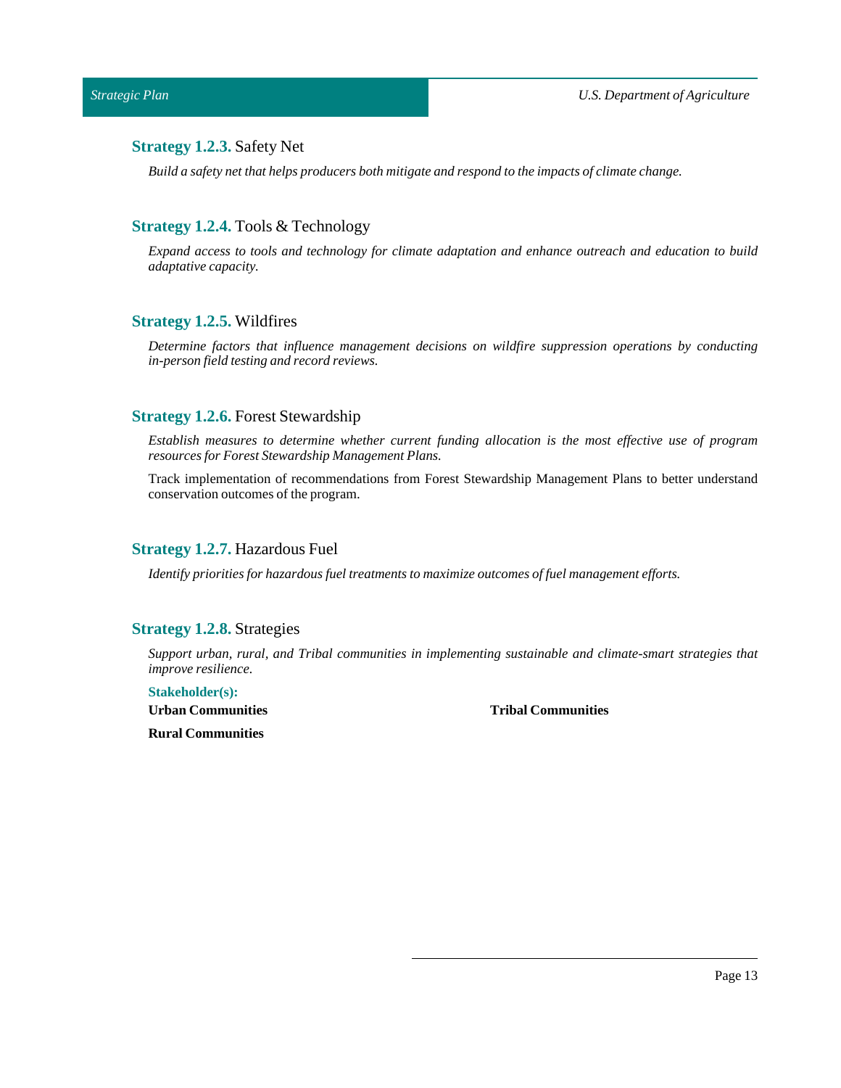# <span id="page-12-0"></span>**Strategy 1.2.3.** Safety Net

*Build a safety netthat helps producers both mitigate and respond to the impacts of climate change.*

# <span id="page-12-1"></span>**Strategy 1.2.4.** Tools & Technology

*Expand access to tools and technology for climate adaptation and enhance outreach and education to build adaptative capacity.*

### <span id="page-12-2"></span>**Strategy 1.2.5.** Wildfires

*Determine factors that influence management decisions on wildfire suppression operations by conducting in-person field testing and record reviews.*

# <span id="page-12-3"></span>**Strategy 1.2.6.** Forest Stewardship

*Establish measures to determine whether current funding allocation is the most effective use of program resources for Forest Stewardship Management Plans.*

Track implementation of recommendations from Forest Stewardship Management Plans to better understand conservation outcomes of the program.

# <span id="page-12-4"></span>**Strategy 1.2.7.** Hazardous Fuel

*Identify priorities for hazardous fuel treatments to maximize outcomes of fuel management efforts.* 

# <span id="page-12-5"></span>**Strategy 1.2.8.** Strategies

*Support urban, rural, and Tribal communities in implementing sustainable and climate-smart strategies that improve resilience.*

#### **Stakeholder(s):**

**Urban Communities**

**Tribal Communities**

**Rural Communities**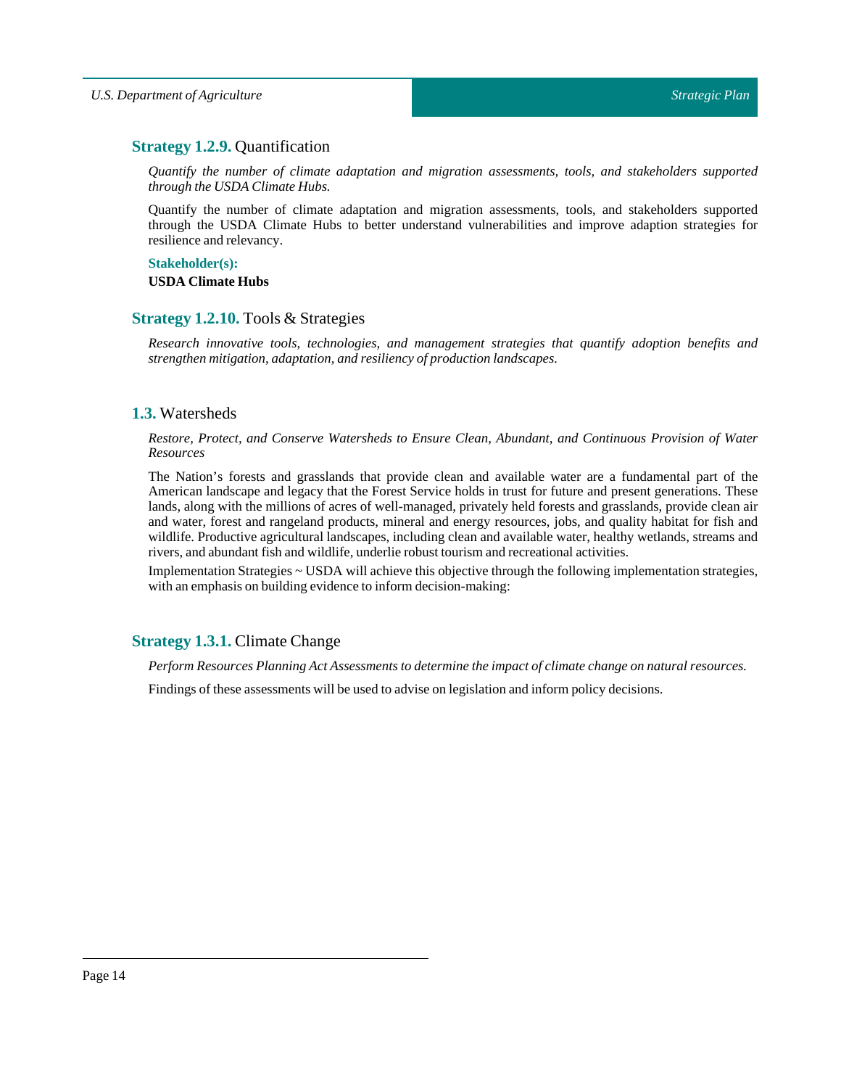# <span id="page-13-0"></span>**Strategy 1.2.9.** Quantification

*Quantify the number of climate adaptation and migration assessments, tools, and stakeholders supported through the USDA Climate Hubs.*

Quantify the number of climate adaptation and migration assessments, tools, and stakeholders supported through the USDA Climate Hubs to better understand vulnerabilities and improve adaption strategies for resilience and relevancy.

# **Stakeholder(s):**

**USDA Climate Hubs**

# <span id="page-13-1"></span>**Strategy 1.2.10.** Tools & Strategies

*Research innovative tools, technologies, and management strategies that quantify adoption benefits and strengthen mitigation, adaptation, and resiliency of production landscapes.*

# <span id="page-13-2"></span>**1.3.** Watersheds

*Restore, Protect, and Conserve Watersheds to Ensure Clean, Abundant, and Continuous Provision of Water Resources*

The Nation's forests and grasslands that provide clean and available water are a fundamental part of the American landscape and legacy that the Forest Service holds in trust for future and present generations. These lands, along with the millions of acres of well-managed, privately held forests and grasslands, provide clean air and water, forest and rangeland products, mineral and energy resources, jobs, and quality habitat for fish and wildlife. Productive agricultural landscapes, including clean and available water, healthy wetlands, streams and rivers, and abundant fish and wildlife, underlie robusttourism and recreational activities.

Implementation Strategies ~ USDA will achieve this objective through the following implementation strategies, with an emphasis on building evidence to inform decision-making:

# <span id="page-13-3"></span>**Strategy 1.3.1.** Climate Change

*Perform Resources Planning Act Assessments to determine the impact of climate change on natural resources.*

Findings of these assessments will be used to advise on legislation and inform policy decisions.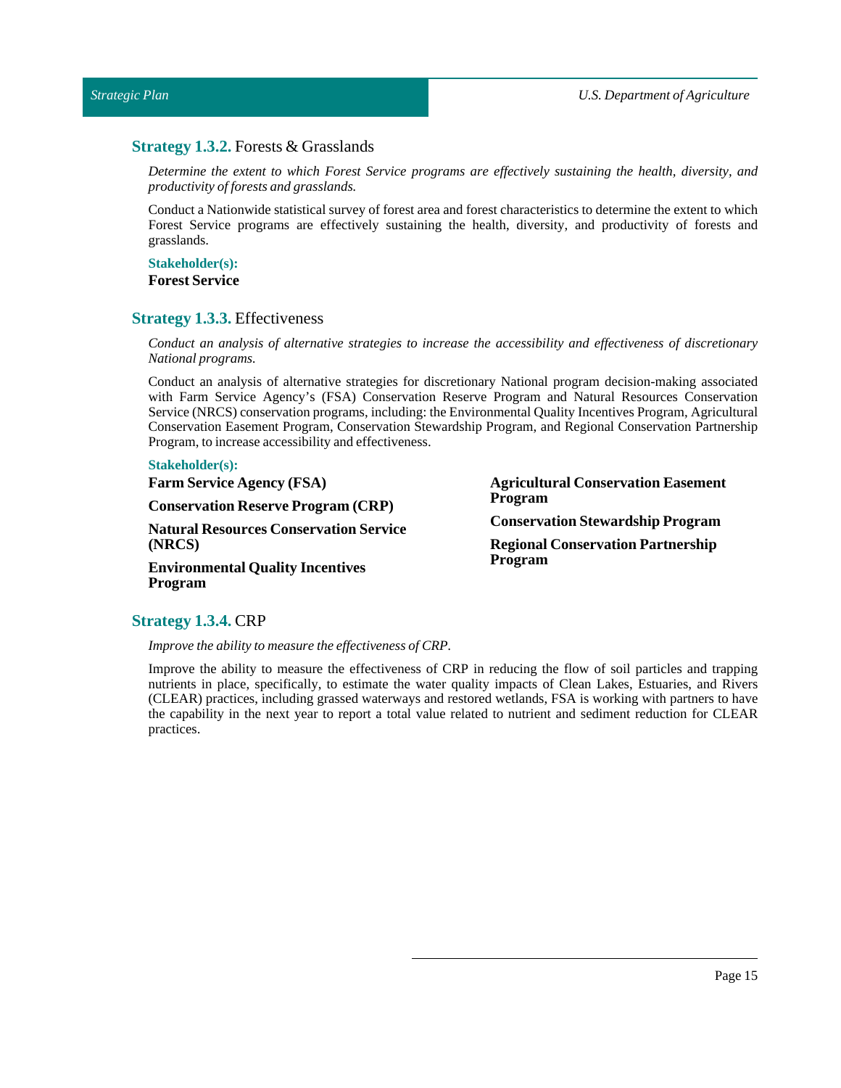# <span id="page-14-0"></span>**Strategy 1.3.2.** Forests & Grasslands

*Determine the extent to which Forest Service programs are effectively sustaining the health, diversity, and productivity offorests and grasslands.*

Conduct a Nationwide statistical survey of forest area and forest characteristics to determine the extent to which Forest Service programs are effectively sustaining the health, diversity, and productivity of forests and grasslands.

### **Stakeholder(s): Forest Service**

# <span id="page-14-1"></span>**Strategy 1.3.3.** Effectiveness

*Conduct an analysis of alternative strategies to increase the accessibility and effectiveness of discretionary National programs.*

Conduct an analysis of alternative strategies for discretionary National program decision-making associated with Farm Service Agency's (FSA) Conservation Reserve Program and Natural Resources Conservation Service (NRCS) conservation programs, including: the Environmental Quality Incentives Program, Agricultural Conservation Easement Program, Conservation Stewardship Program, and Regional Conservation Partnership Program, to increase accessibility and effectiveness.

### **Stakeholder(s):**

**Farm Service Agency (FSA)**

**Conservation Reserve Program (CRP)**

**Natural Resources Conservation Service (NRCS)**

**Environmental Quality Incentives Program**

**Agricultural Conservation Easement Program Conservation Stewardship Program Regional Conservation Partnership Program**

# <span id="page-14-2"></span>**Strategy 1.3.4.** CRP

*Improve the ability to measure the effectiveness of CRP.*

Improve the ability to measure the effectiveness of CRP in reducing the flow of soil particles and trapping nutrients in place, specifically, to estimate the water quality impacts of Clean Lakes, Estuaries, and Rivers (CLEAR) practices, including grassed waterways and restored wetlands, FSA is working with partners to have the capability in the next year to report a total value related to nutrient and sediment reduction for CLEAR practices.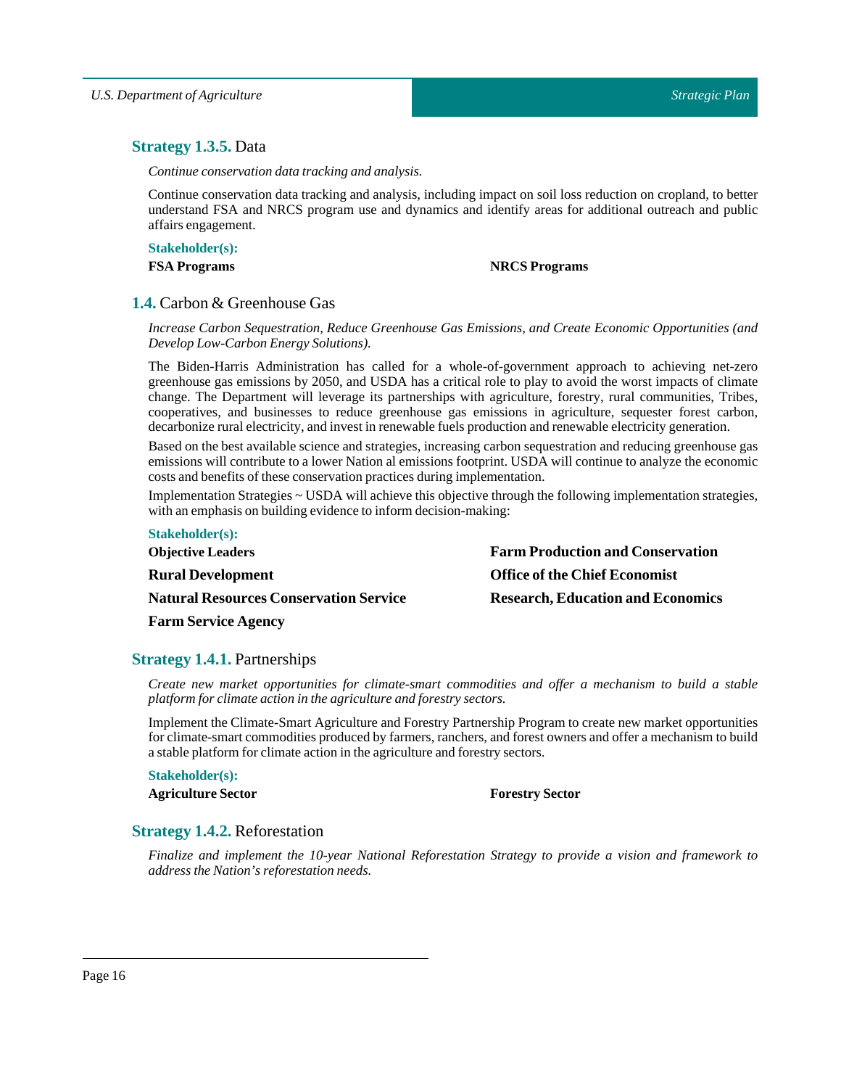# <span id="page-15-0"></span>**Strategy 1.3.5.** Data

*Continue conservation data tracking and analysis.*

Continue conservation data tracking and analysis, including impact on soil loss reduction on cropland, to better understand FSA and NRCS program use and dynamics and identify areas for additional outreach and public affairs engagement.

**Stakeholder(s):**

### **FSA Programs NRCS Programs**

# <span id="page-15-1"></span>**1.4.** Carbon & Greenhouse Gas

*Increase Carbon Sequestration, Reduce Greenhouse Gas Emissions, and Create Economic Opportunities (and DevelopLow-Carbon Energy Solutions).*

The Biden-Harris Administration has called for a whole-of-government approach to achieving net-zero greenhouse gas emissions by 2050, and USDA has a critical role to play to avoid the worst impacts of climate change. The Department will leverage its partnerships with agriculture, forestry, rural communities, Tribes, cooperatives, and businesses to reduce greenhouse gas emissions in agriculture, sequester forest carbon, decarbonize rural electricity, and investin renewable fuels production and renewable electricity generation.

Based on the best available science and strategies, increasing carbon sequestration and reducing greenhouse gas emissions will contribute to a lower Nation al emissions footprint. USDA will continue to analyze the economic costs and benefits of these conservation practices during implementation.

Implementation Strategies ~ USDA will achieve this objective through the following implementation strategies, with an emphasis on building evidence to inform decision-making:

| <b>Farm Production and Conservation</b>  |
|------------------------------------------|
| <b>Office of the Chief Economist</b>     |
| <b>Research, Education and Economics</b> |
|                                          |

# <span id="page-15-2"></span>**Strategy 1.4.1.** Partnerships

**Farm Service Agency**

*Create new market opportunities for climate-smart commodities and offer a mechanism to build a stable platform for climate action in the agriculture and forestry sectors.*

Implement the Climate-Smart Agriculture and Forestry Partnership Program to create new market opportunities for climate-smart commodities produced by farmers, ranchers, and forest owners and offer a mechanism to build a stable platform for climate action in the agriculture and forestry sectors.

**Stakeholder(s):**

**Agriculture Sector Forestry Sector** 

# <span id="page-15-3"></span>**Strategy 1.4.2.** Reforestation

*Finalize and implement the 10-year National Reforestation Strategy to provide a vision and framework to address the Nation's reforestation needs.*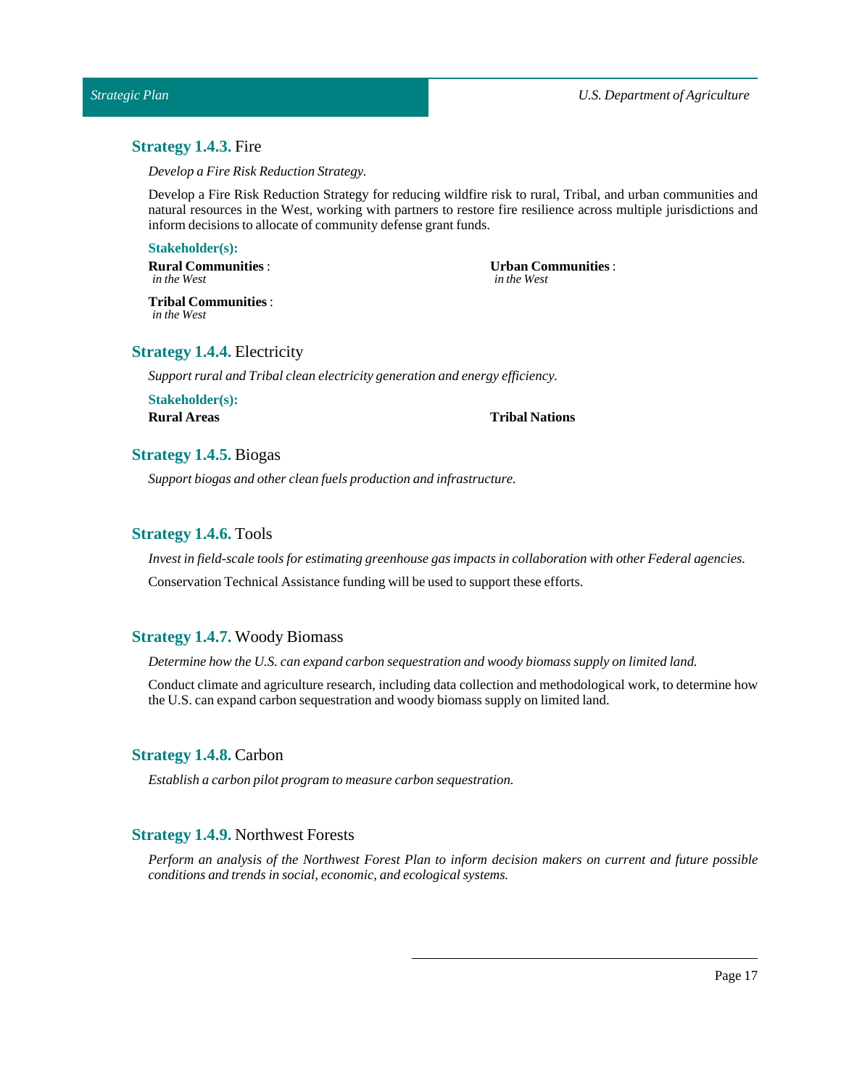# <span id="page-16-0"></span>**Strategy 1.4.3.** Fire

*Develop a Fire Risk Reduction Strategy.*

Develop a Fire Risk Reduction Strategy for reducing wildfire risk to rural, Tribal, and urban communities and natural resources in the West, working with partners to restore fire resilience across multiple jurisdictions and inform decisions to allocate of community defense grant funds.

### **Stakeholder(s):**

**Rural Communities** : *in the West*

#### **Urban Communities** : *in the West*

**Tribal Communities** : *in the West*

# <span id="page-16-1"></span>**Strategy 1.4.4.** Electricity

*Support rural andTribal clean electricity generation and energy efficiency.*

**Stakeholder(s): Rural Areas Tribal Nations**

# <span id="page-16-2"></span>**Strategy 1.4.5.** Biogas

*Support biogas and other clean fuels production and infrastructure.*

# <span id="page-16-3"></span>**Strategy 1.4.6.** Tools

*Investin field-scale tools for estimating greenhouse gas impacts in collaboration with other Federal agencies.* Conservation Technical Assistance funding will be used to support these efforts.

# <span id="page-16-4"></span>**Strategy 1.4.7.** Woody Biomass

*Determine how the U.S. can expand carbon sequestration and woody biomass supply on limited land.*

Conduct climate and agriculture research, including data collection and methodological work, to determine how the U.S. can expand carbon sequestration and woody biomass supply on limited land.

# <span id="page-16-5"></span>**Strategy 1.4.8.** Carbon

*Establish a carbon pilot program to measure carbon sequestration.*

### <span id="page-16-6"></span>**Strategy 1.4.9.** Northwest Forests

*Perform an analysis of the Northwest Forest Plan to inform decision makers on current and future possible conditions and trends in social, economic, and ecological systems.*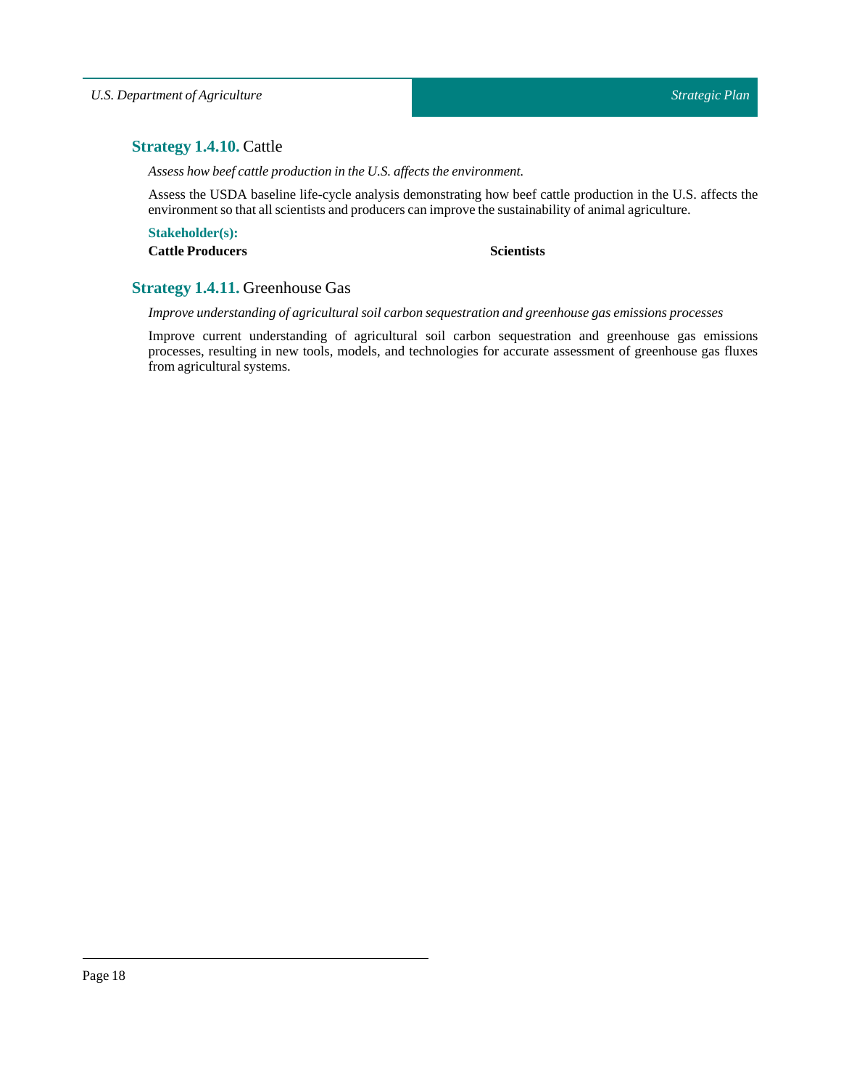# <span id="page-17-0"></span>**Strategy 1.4.10.** Cattle

*Assess how beef cattle production in the U.S. affects the environment.*

Assess the USDA baseline life-cycle analysis demonstrating how beef cattle production in the U.S. affects the environment so that all scientists and producers can improve the sustainability of animal agriculture.

**Stakeholder(s): Cattle Producers Scientists**

# <span id="page-17-1"></span>**Strategy 1.4.11.** Greenhouse Gas

*Improve understanding of agricultural soil carbon sequestration and greenhouse gas emissions processes*

Improve current understanding of agricultural soil carbon sequestration and greenhouse gas emissions processes, resulting in new tools, models, and technologies for accurate assessment of greenhouse gas fluxes from agricultural systems.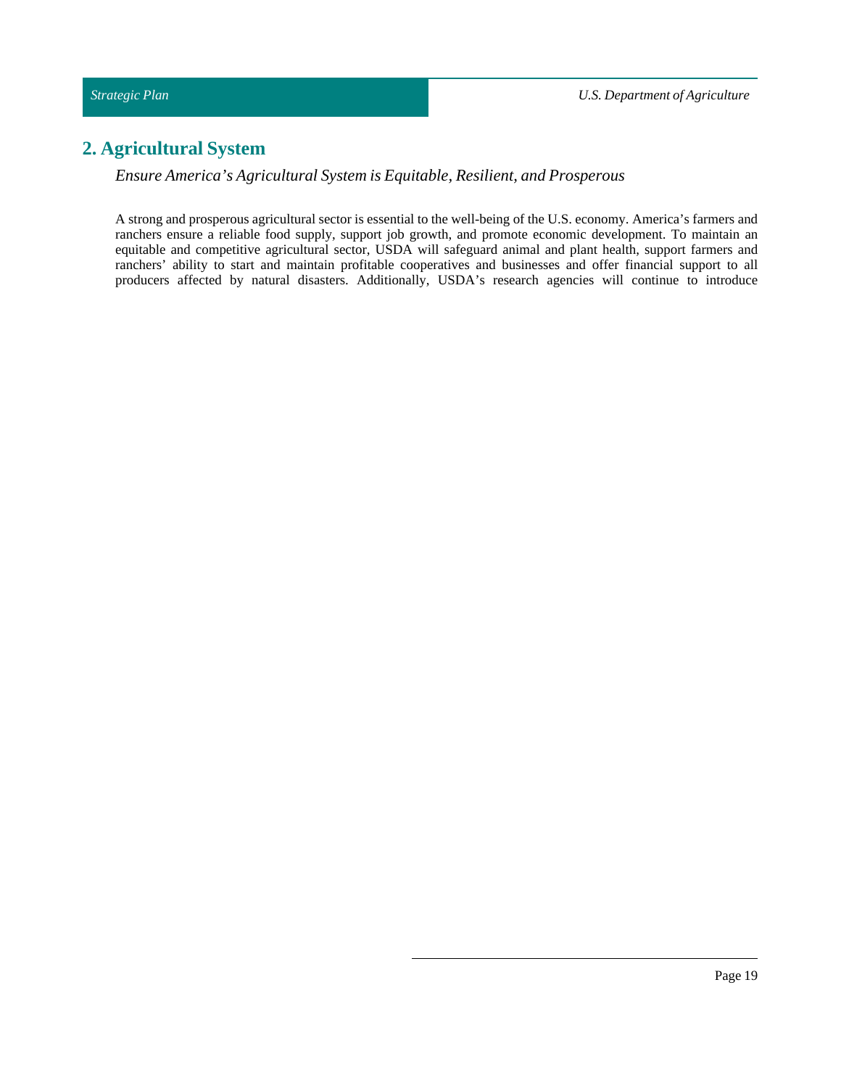# <span id="page-18-0"></span>**2. Agricultural System**

*Ensure America's Agricultural System is Equitable, Resilient, and Prosperous*

A strong and prosperous agricultural sector is essential to the well-being of the U.S. economy. America's farmers and ranchers ensure a reliable food supply, support job growth, and promote economic development. To maintain an equitable and competitive agricultural sector, USDA will safeguard animal and plant health, support farmers and ranchers' ability to start and maintain profitable cooperatives and businesses and offer financial support to all producers affected by natural disasters. Additionally, USDA's research agencies will continue to introduce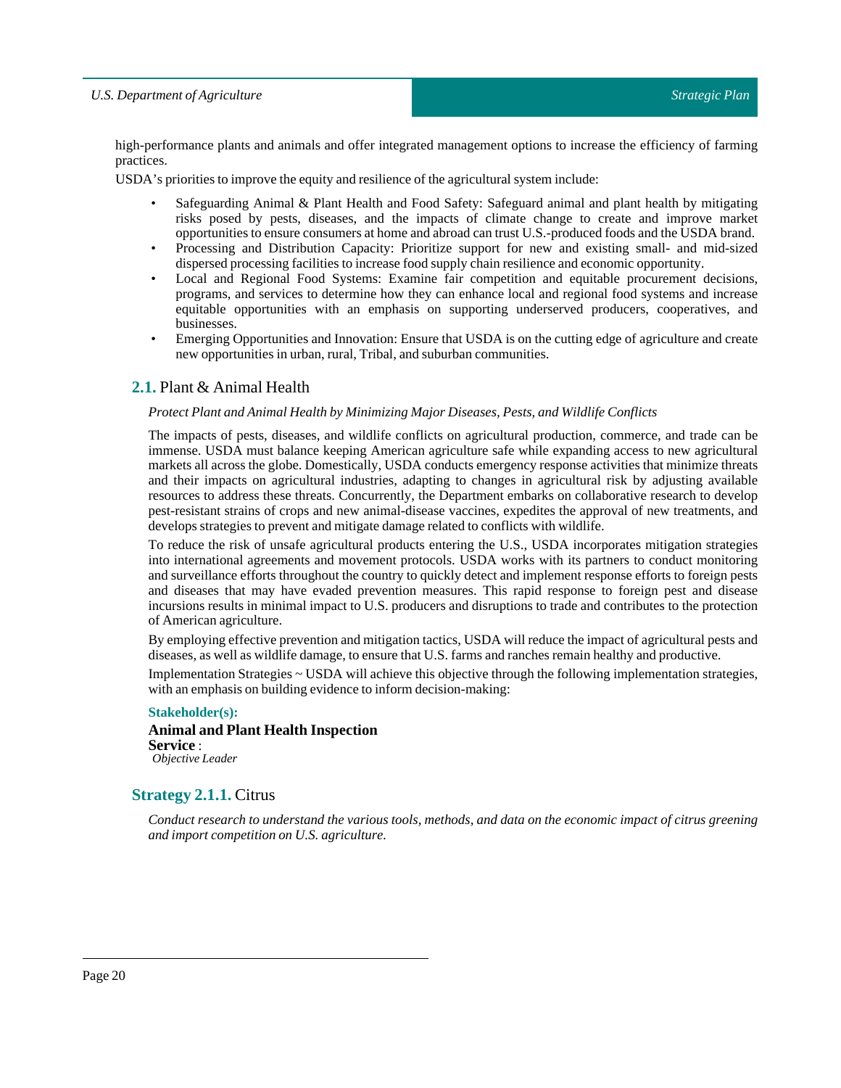high-performance plants and animals and offer integrated management options to increase the efficiency of farming practices.

USDA's priorities to improve the equity and resilience of the agricultural system include:

- Safeguarding Animal & Plant Health and Food Safety: Safeguard animal and plant health by mitigating risks posed by pests, diseases, and the impacts of climate change to create and improve market opportunities to ensure consumers at home and abroad can trust U.S.-produced foods and the USDA brand.
- Processing and Distribution Capacity: Prioritize support for new and existing small- and mid-sized dispersed processing facilities to increase food supply chain resilience and economic opportunity.
- Local and Regional Food Systems: Examine fair competition and equitable procurement decisions, programs, and services to determine how they can enhance local and regional food systems and increase equitable opportunities with an emphasis on supporting underserved producers, cooperatives, and businesses.
- Emerging Opportunities and Innovation: Ensure that USDA is on the cutting edge of agriculture and create new opportunities in urban, rural, Tribal, and suburban communities.

# <span id="page-19-0"></span>**2.1.** Plant & Animal Health

### *Protect Plant and Animal Health by Minimizing Major Diseases, Pests, and Wildlife Conflicts*

The impacts of pests, diseases, and wildlife conflicts on agricultural production, commerce, and trade can be immense. USDA must balance keeping American agriculture safe while expanding access to new agricultural markets all across the globe. Domestically, USDA conducts emergency response activities that minimize threats and their impacts on agricultural industries, adapting to changes in agricultural risk by adjusting available resources to address these threats. Concurrently, the Department embarks on collaborative research to develop pest-resistant strains of crops and new animal-disease vaccines, expedites the approval of new treatments, and develops strategies to prevent and mitigate damage related to conflicts with wildlife.

To reduce the risk of unsafe agricultural products entering the U.S., USDA incorporates mitigation strategies into international agreements and movement protocols. USDA works with its partners to conduct monitoring and surveillance efforts throughout the country to quickly detect and implement response efforts to foreign pests and diseases that may have evaded prevention measures. This rapid response to foreign pest and disease incursions results in minimal impact to U.S. producers and disruptions to trade and contributes to the protection of American agriculture.

By employing effective prevention and mitigation tactics, USDA will reduce the impact of agricultural pests and diseases, as well as wildlife damage, to ensure that U.S. farms and ranches remain healthy and productive.

Implementation Strategies ~ USDA will achieve this objective through the following implementation strategies, with an emphasis on building evidence to inform decision-making:

# **Stakeholder(s):**

### **Animal and Plant Health Inspection Service** : *Objective Leader*

# <span id="page-19-1"></span>**Strategy 2.1.1.** Citrus

Conduct research to understand the various tools, methods, and data on the economic impact of citrus greening *and import competition on U.S. agriculture.*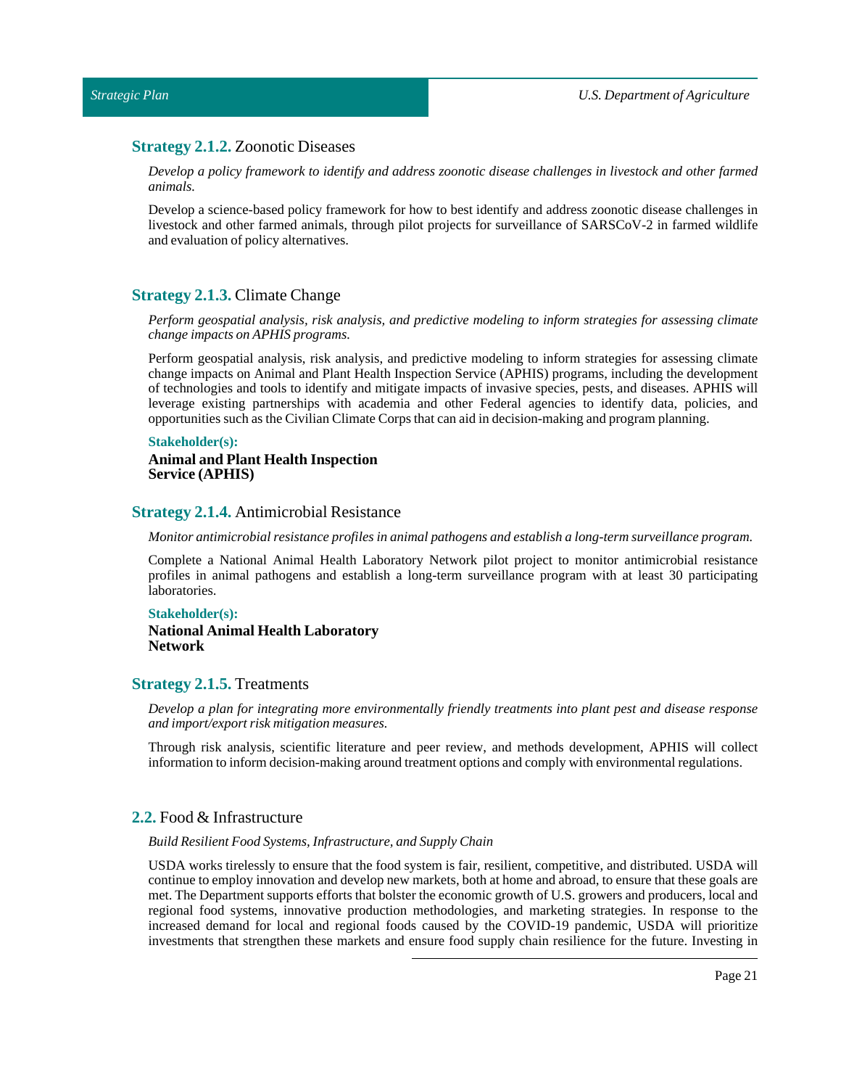### <span id="page-20-0"></span>**Strategy 2.1.2.** Zoonotic Diseases

*Develop a policy framework to identify and address zoonotic disease challenges in livestock and other farmed animals.*

Develop a science-based policy framework for how to best identify and address zoonotic disease challenges in livestock and other farmed animals, through pilot projects for surveillance of SARSCoV-2 in farmed wildlife and evaluation of policy alternatives.

### <span id="page-20-1"></span>**Strategy 2.1.3.** Climate Change

*Perform geospatial analysis, risk analysis, and predictive modeling to inform strategies for assessing climate change impacts on APHIS programs.*

Perform geospatial analysis, risk analysis, and predictive modeling to inform strategies for assessing climate change impacts on Animal and Plant Health Inspection Service (APHIS) programs, including the development of technologies and tools to identify and mitigate impacts of invasive species, pests, and diseases. APHIS will leverage existing partnerships with academia and other Federal agencies to identify data, policies, and opportunities such as the Civilian Climate Corps that can aid in decision-making and program planning.

#### **Stakeholder(s):**

**Animal and Plant Health Inspection Service (APHIS)**

### <span id="page-20-2"></span>**Strategy 2.1.4.** Antimicrobial Resistance

*Monitor antimicrobial resistance profiles in animal pathogens and establish a long-term surveillance program.*

Complete a National Animal Health Laboratory Network pilot project to monitor antimicrobial resistance profiles in animal pathogens and establish a long-term surveillance program with at least 30 participating laboratories.

### **Stakeholder(s):**

**National Animal Health Laboratory Network**

# <span id="page-20-3"></span>**Strategy 2.1.5.** Treatments

*Develop a plan for integrating more environmentally friendly treatments into plant pest and disease response and import/export risk mitigation measures.*

Through risk analysis, scientific literature and peer review, and methods development, APHIS will collect information to inform decision-making around treatment options and comply with environmental regulations.

# <span id="page-20-4"></span>**2.2.** Food & Infrastructure

### *Build Resilient Food Systems, Infrastructure, and Supply Chain*

USDA works tirelessly to ensure that the food system is fair, resilient, competitive, and distributed. USDA will continue to employ innovation and develop new markets, both at home and abroad, to ensure that these goals are met. The Department supports efforts that bolster the economic growth of U.S. growers and producers, local and regional food systems, innovative production methodologies, and marketing strategies. In response to the increased demand for local and regional foods caused by the COVID-19 pandemic, USDA will prioritize investments that strengthen these markets and ensure food supply chain resilience for the future. Investing in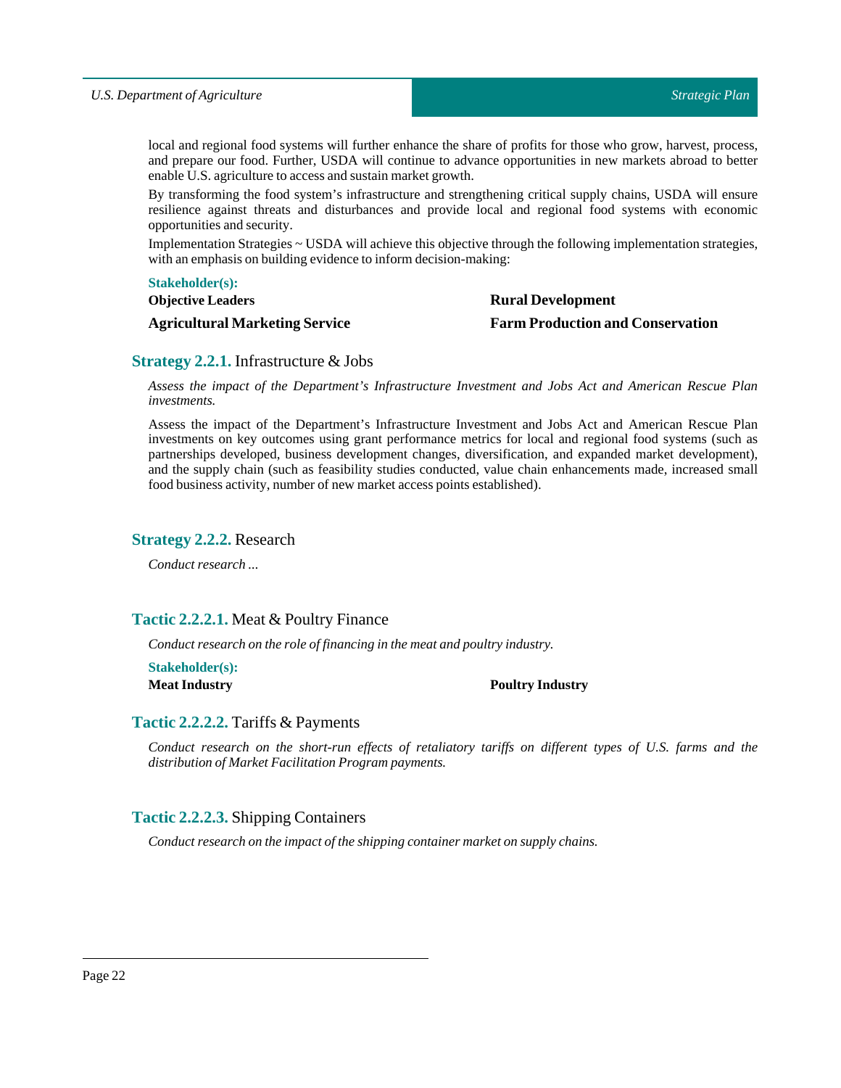local and regional food systems will further enhance the share of profits for those who grow, harvest, process, and prepare our food. Further, USDA will continue to advance opportunities in new markets abroad to better enable U.S. agriculture to access and sustain market growth.

By transforming the food system's infrastructure and strengthening critical supply chains, USDA will ensure resilience against threats and disturbances and provide local and regional food systems with economic opportunities and security.

Implementation Strategies ~ USDA will achieve this objective through the following implementation strategies, with an emphasis on building evidence to inform decision-making:

### **Stakeholder(s):**

**Objective Leaders**

**Agricultural Marketing Service**

# **Rural Development Farm Production and Conservation**

# <span id="page-21-0"></span>**Strategy 2.2.1.** Infrastructure & Jobs

*Assess the impact of the Department's Infrastructure Investment and Jobs Act and American Rescue Plan investments.*

Assess the impact of the Department's Infrastructure Investment and Jobs Act and American Rescue Plan investments on key outcomes using grant performance metrics for local and regional food systems (such as partnerships developed, business development changes, diversification, and expanded market development), and the supply chain (such as feasibility studies conducted, value chain enhancements made, increased small food business activity, number of new market access points established).

# <span id="page-21-1"></span>**Strategy 2.2.2.** Research

*Conduct research ...*

# <span id="page-21-2"></span>**Tactic 2.2.2.1.** Meat & Poultry Finance

*Conduct research on the role offinancing in the meat and poultry industry.*

**Stakeholder(s):**

### **Meat Industry Poultry Industry**

# <span id="page-21-3"></span>**Tactic 2.2.2.2.** Tariffs & Payments

*Conduct research on the short-run effects of retaliatory tariffs on different types of U.S. farms and the distribution of Market Facilitation Program payments.*

# <span id="page-21-4"></span>**Tactic 2.2.2.3.** Shipping Containers

*Conduct research on the impact ofthe shipping container market on supply chains.*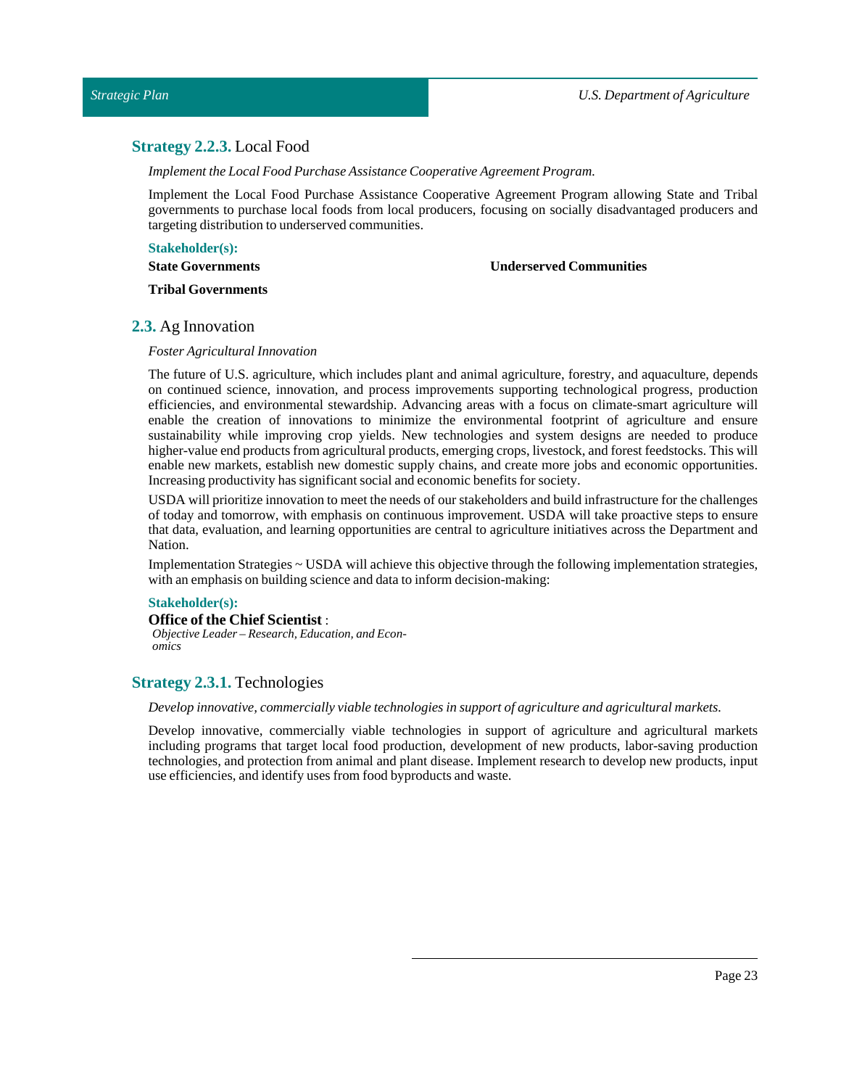# <span id="page-22-0"></span>**Strategy 2.2.3.** Local Food

*Implement the Local Food Purchase Assistance Cooperative Agreement Program.* 

Implement the Local Food Purchase Assistance Cooperative Agreement Program allowing State and Tribal governments to purchase local foods from local producers, focusing on socially disadvantaged producers and targeting distribution to underserved communities.

**Stakeholder(s):**

**State Governments**

**Underserved Communities**

**Tribal Governments**

# <span id="page-22-1"></span>**2.3.** Ag Innovation

### *Foster Agricultural Innovation*

The future of U.S. agriculture, which includes plant and animal agriculture, forestry, and aquaculture, depends on continued science, innovation, and process improvements supporting technological progress, production efficiencies, and environmental stewardship. Advancing areas with a focus on climate-smart agriculture will enable the creation of innovations to minimize the environmental footprint of agriculture and ensure sustainability while improving crop yields. New technologies and system designs are needed to produce higher-value end products from agricultural products, emerging crops, livestock, and forest feedstocks. This will enable new markets, establish new domestic supply chains, and create more jobs and economic opportunities. Increasing productivity has significant social and economic benefits for society.

USDA will prioritize innovation to meetthe needs of our stakeholders and build infrastructure for the challenges of today and tomorrow, with emphasis on continuous improvement. USDA will take proactive steps to ensure that data, evaluation, and learning opportunities are central to agriculture initiatives across the Department and Nation.

Implementation Strategies ~ USDA will achieve this objective through the following implementation strategies, with an emphasis on building science and data to inform decision-making:

### **Stakeholder(s):**

**Office of the Chief Scientist** : *Objective Leader – Research, Education, and Economics*

# <span id="page-22-2"></span>**Strategy 2.3.1.** Technologies

### *Develop innovative, commercially viable technologies in support of agriculture and agricultural markets.*

Develop innovative, commercially viable technologies in support of agriculture and agricultural markets including programs that target local food production, development of new products, labor-saving production technologies, and protection from animal and plant disease. Implement research to develop new products, input use efficiencies, and identify uses from food byproducts and waste.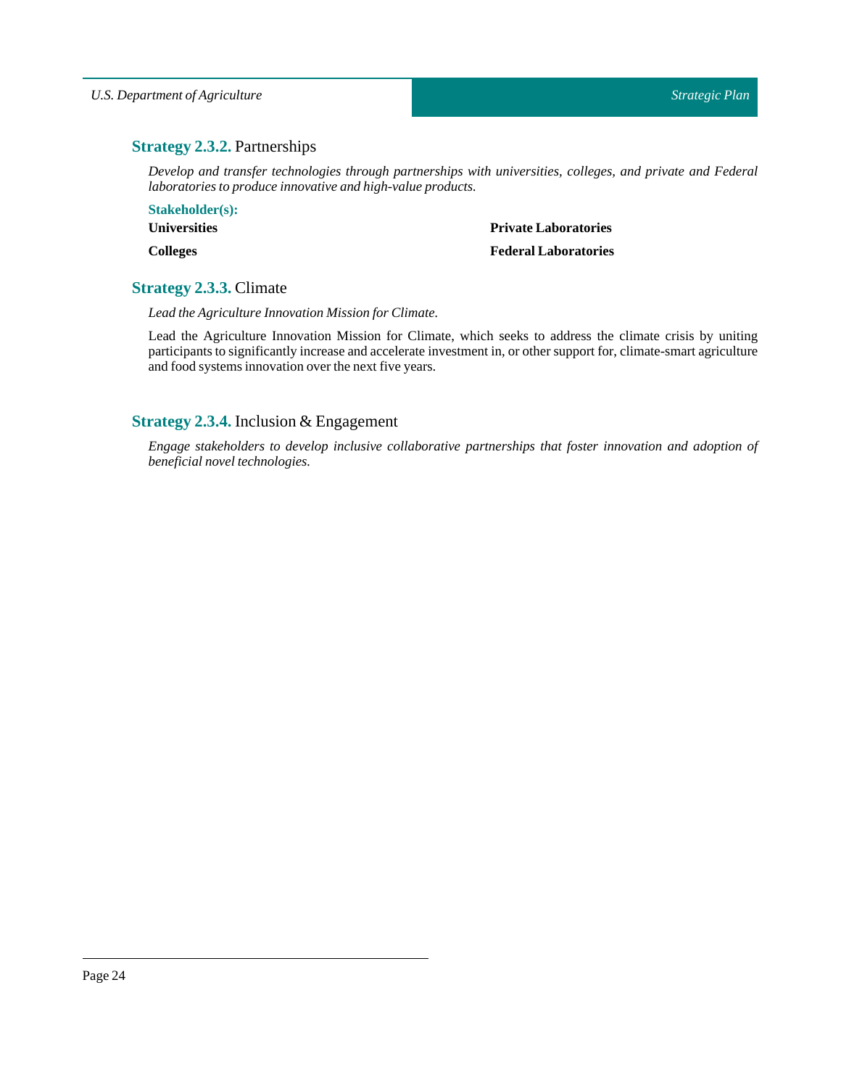# <span id="page-23-0"></span>**Strategy 2.3.2.** Partnerships

*Develop and transfer technologies through partnerships with universities, colleges, and private and Federal laboratories to produce innovative and high-value products.*

**Stakeholder(s): Universities Colleges**

**Private Laboratories**

# **Federal Laboratories**

# <span id="page-23-1"></span>**Strategy 2.3.3.** Climate

*Lead the Agriculture Innovation Mission for Climate.*

Lead the Agriculture Innovation Mission for Climate, which seeks to address the climate crisis by uniting participants to significantly increase and accelerate investment in, or other support for, climate-smart agriculture and food systems innovation over the next five years.

# <span id="page-23-2"></span>**Strategy 2.3.4.** Inclusion & Engagement

*Engage stakeholders to develop inclusive collaborative partnerships that foster innovation and adoption of*  $b$ *eneficial novel technologies.*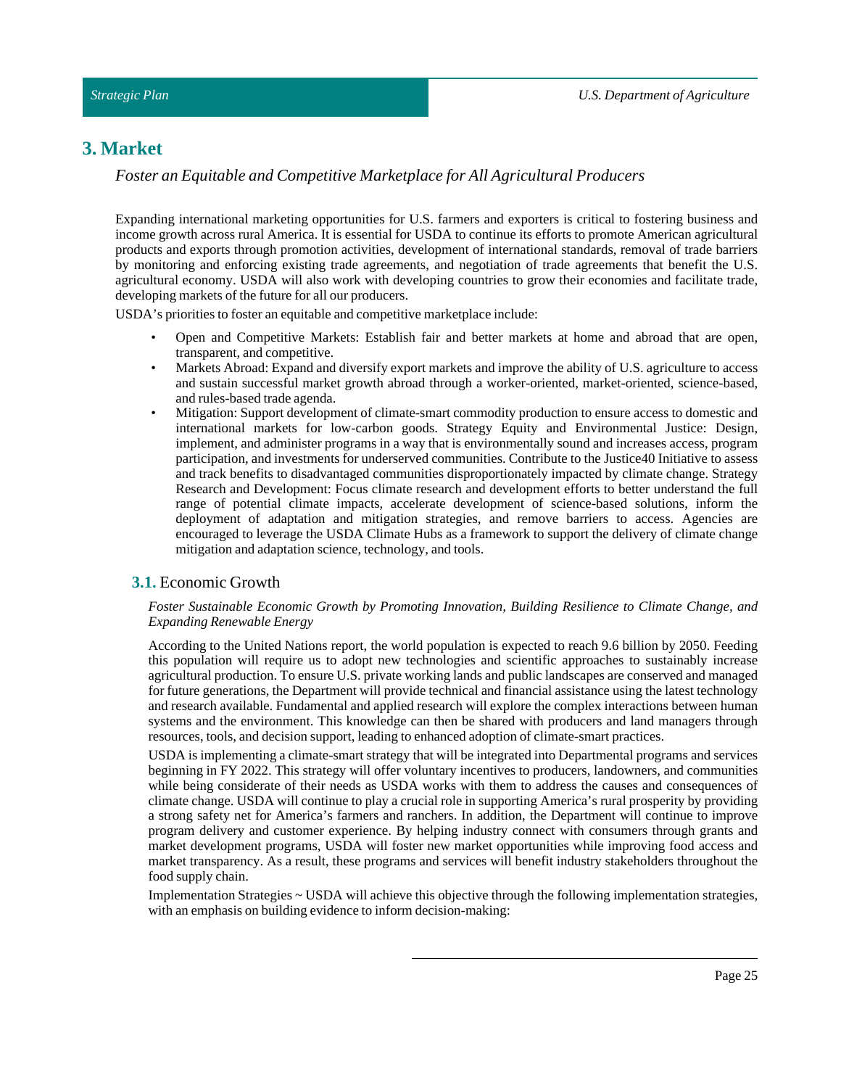# <span id="page-24-0"></span>**3. Market**

*Foster an Equitable and Competitive Marketplace for All Agricultural Producers*

Expanding international marketing opportunities for U.S. farmers and exporters is critical to fostering business and income growth across rural America. It is essential for USDA to continue its efforts to promote American agricultural products and exports through promotion activities, development of international standards, removal of trade barriers by monitoring and enforcing existing trade agreements, and negotiation of trade agreements that benefit the U.S. agricultural economy. USDA will also work with developing countries to grow their economies and facilitate trade, developing markets of the future for all our producers.

USDA's priorities to foster an equitable and competitive marketplace include:

- Open and Competitive Markets: Establish fair and better markets at home and abroad that are open, transparent, and competitive.
- Markets Abroad: Expand and diversify export markets and improve the ability of U.S. agriculture to access and sustain successful market growth abroad through a worker-oriented, market-oriented, science-based, and rules-based trade agenda.
- Mitigation: Support development of climate-smart commodity production to ensure access to domestic and international markets for low-carbon goods. Strategy Equity and Environmental Justice: Design, implement, and administer programs in a way that is environmentally sound and increases access, program participation, and investments for underserved communities. Contribute to the Justice40 Initiative to assess and track benefits to disadvantaged communities disproportionately impacted by climate change. Strategy Research and Development: Focus climate research and development efforts to better understand the full range of potential climate impacts, accelerate development of science-based solutions, inform the deployment of adaptation and mitigation strategies, and remove barriers to access. Agencies are encouraged to leverage the USDA Climate Hubs as a framework to support the delivery of climate change mitigation and adaptation science, technology, and tools.

# <span id="page-24-1"></span>**3.1.** Economic Growth

### *Foster Sustainable Economic Growth by Promoting Innovation, Building Resilience to Climate Change, and Expanding Renewable Energy*

According to the United Nations report, the world population is expected to reach 9.6 billion by 2050. Feeding this population will require us to adopt new technologies and scientific approaches to sustainably increase agricultural production. To ensure U.S. private working lands and public landscapes are conserved and managed for future generations, the Department will provide technical and financial assistance using the latest technology and research available. Fundamental and applied research will explore the complex interactions between human systems and the environment. This knowledge can then be shared with producers and land managers through resources, tools, and decision support, leading to enhanced adoption of climate-smart practices.

USDA is implementing a climate-smart strategy that will be integrated into Departmental programs and services beginning in FY 2022. This strategy will offer voluntary incentives to producers, landowners, and communities while being considerate of their needs as USDA works with them to address the causes and consequences of climate change. USDA will continue to play a crucial role in supporting America's rural prosperity by providing a strong safety net for America's farmers and ranchers. In addition, the Department will continue to improve program delivery and customer experience. By helping industry connect with consumers through grants and market development programs, USDA will foster new market opportunities while improving food access and market transparency. As a result, these programs and services will benefit industry stakeholders throughout the food supply chain.

Implementation Strategies ~ USDA will achieve this objective through the following implementation strategies, with an emphasis on building evidence to inform decision-making: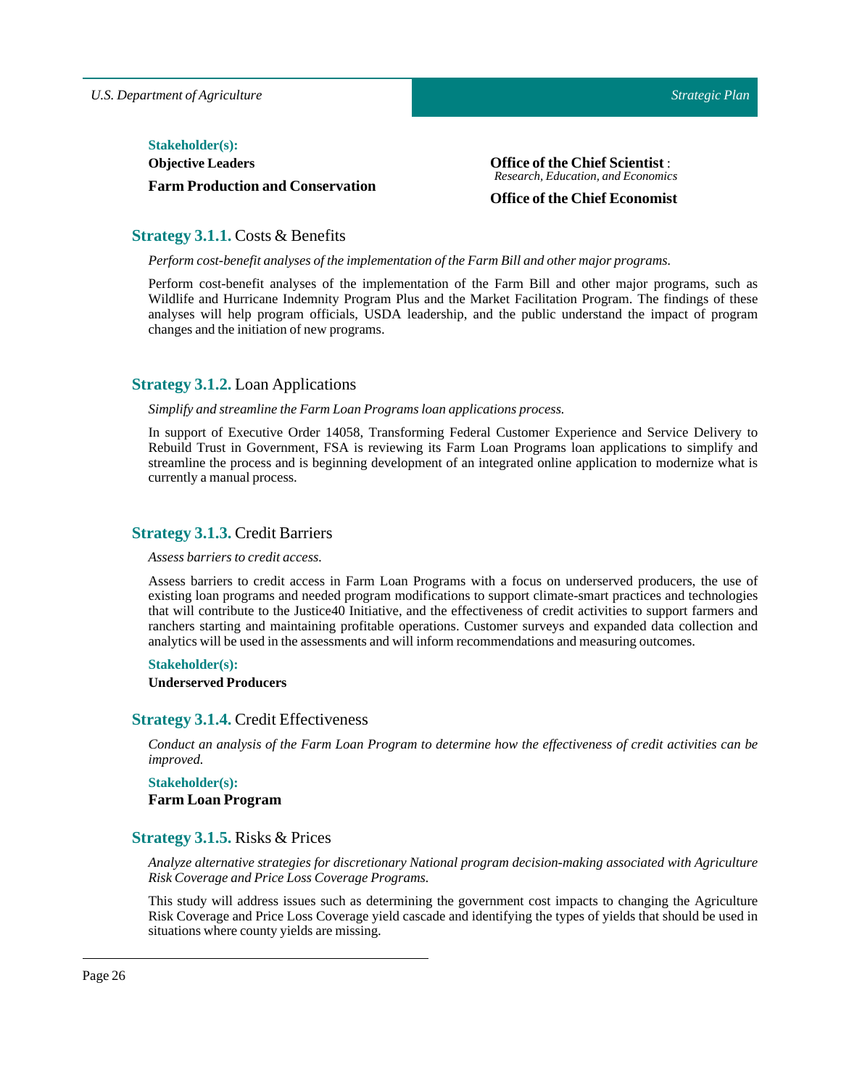### $Stakeholder(s):$

**Objective Leaders Farm Production and Conservation** **Office of the Chief Scientist** : *Research, Education, and Economics*

# **Office of the Chief Economist**

# <span id="page-25-0"></span>**Strategy 3.1.1.** Costs & Benefits

*Perform cost-benefit analyses ofthe implementation ofthe Farm Bill and other major programs.*

Perform cost-benefit analyses of the implementation of the Farm Bill and other major programs, such as Wildlife and Hurricane Indemnity Program Plus and the Market Facilitation Program. The findings of these analyses will help program officials, USDA leadership, and the public understand the impact of program changes and the initiation of new programs.

# <span id="page-25-1"></span>**Strategy 3.1.2.** Loan Applications

### *Simplify and streamline the Farm Loan Programs loan applications process.*

In support of Executive Order 14058, Transforming Federal Customer Experience and Service Delivery to Rebuild Trust in Government, FSA is reviewing its Farm Loan Programs loan applications to simplify and streamline the process and is beginning development of an integrated online application to modernize what is currently a manual process.

# <span id="page-25-2"></span>**Strategy 3.1.3.** Credit Barriers

### *Assess barriers to credit access.*

Assess barriers to credit access in Farm Loan Programs with a focus on underserved producers, the use of existing loan programs and needed program modifications to support climate-smart practices and technologies that will contribute to the Justice40 Initiative, and the effectiveness of credit activities to support farmers and ranchers starting and maintaining profitable operations. Customer surveys and expanded data collection and analytics will be used in the assessments and willinform recommendations and measuring outcomes.

### **Stakeholder(s):**

### **Underserved Producers**

# <span id="page-25-3"></span>**Strategy 3.1.4.** Credit Effectiveness

Conduct an analysis of the Farm Loan Program to determine how the effectiveness of credit activities can be *improved.*

# **Stakeholder(s): Farm Loan Program**

# <span id="page-25-4"></span>**Strategy 3.1.5.** Risks & Prices

*Analyze alternative strategies for discretionary National program decision-making associated with Agriculture Risk Coverage and PriceLoss Coverage Programs.*

This study will address issues such as determining the government cost impacts to changing the Agriculture Risk Coverage and Price Loss Coverage yield cascade and identifying the types of yields that should be used in situations where county yields are missing.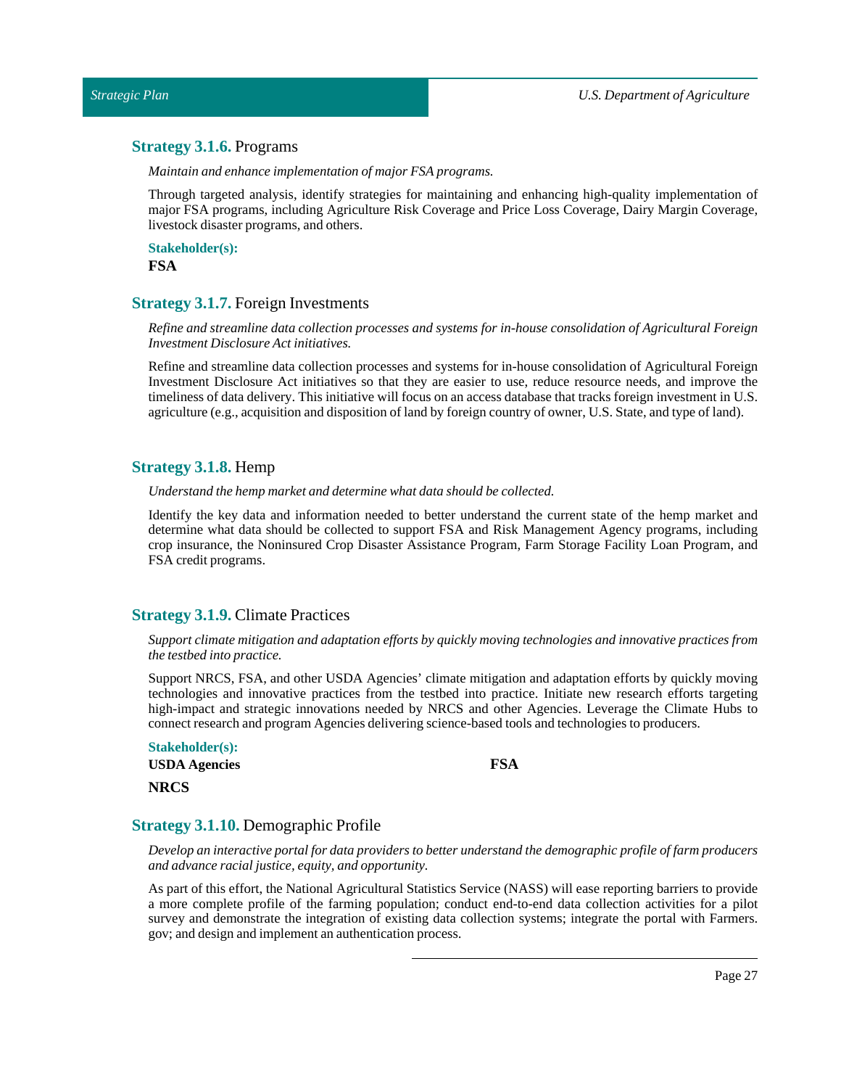# <span id="page-26-0"></span>**Strategy 3.1.6.** Programs

*Maintain and enhance implementation of major FSA programs.*

Through targeted analysis, identify strategies for maintaining and enhancing high-quality implementation of major FSA programs, including Agriculture Risk Coverage and Price Loss Coverage, Dairy Margin Coverage, livestock disaster programs, and others.

**Stakeholder(s): FSA**

# <span id="page-26-1"></span>**Strategy 3.1.7.** Foreign Investments

*Refine and streamline data collection processes and systems for in-house consolidation of Agricultural Foreign Investment Disclosure Actinitiatives.*

Refine and streamline data collection processes and systems for in-house consolidation of Agricultural Foreign Investment Disclosure Act initiatives so that they are easier to use, reduce resource needs, and improve the timeliness of data delivery. This initiative will focus on an access database that tracks foreign investment in U.S. agriculture (e.g., acquisition and disposition of land by foreign country of owner, U.S. State, and type of land).

# <span id="page-26-2"></span>**Strategy 3.1.8.** Hemp

*Understand the hemp market and determine what data should be collected.*

Identify the key data and information needed to better understand the current state of the hemp market and determine what data should be collected to support FSA and Risk Management Agency programs, including crop insurance, the Noninsured Crop Disaster Assistance Program, Farm Storage Facility Loan Program, and FSA credit programs.

### <span id="page-26-3"></span>**Strategy 3.1.9.** Climate Practices

*Support climate mitigation and adaptation efforts by quickly moving technologies and innovative practices from the testbed into practice.*

Support NRCS, FSA, and other USDA Agencies' climate mitigation and adaptation efforts by quickly moving technologies and innovative practices from the testbed into practice. Initiate new research efforts targeting high-impact and strategic innovations needed by NRCS and other Agencies. Leverage the Climate Hubs to connect research and program Agencies delivering science-based tools and technologies to producers.

| Stakeholder(s):      |  |
|----------------------|--|
| <b>USDA</b> Agencies |  |
| <b>NRCS</b>          |  |

**FSA**

# <span id="page-26-4"></span>**Strategy 3.1.10.** Demographic Profile

*Develop an interactive portalfor data providers to better understand the demographic profile of farm producers and advance racialjustice, equity, and opportunity.*

As part of this effort, the National Agricultural Statistics Service (NASS) will ease reporting barriers to provide a more complete profile of the farming population; conduct end-to-end data collection activities for a pilot survey and demonstrate the integration of existing data collection systems; integrate the portal with Farmers. gov; and design and implement an authentication process.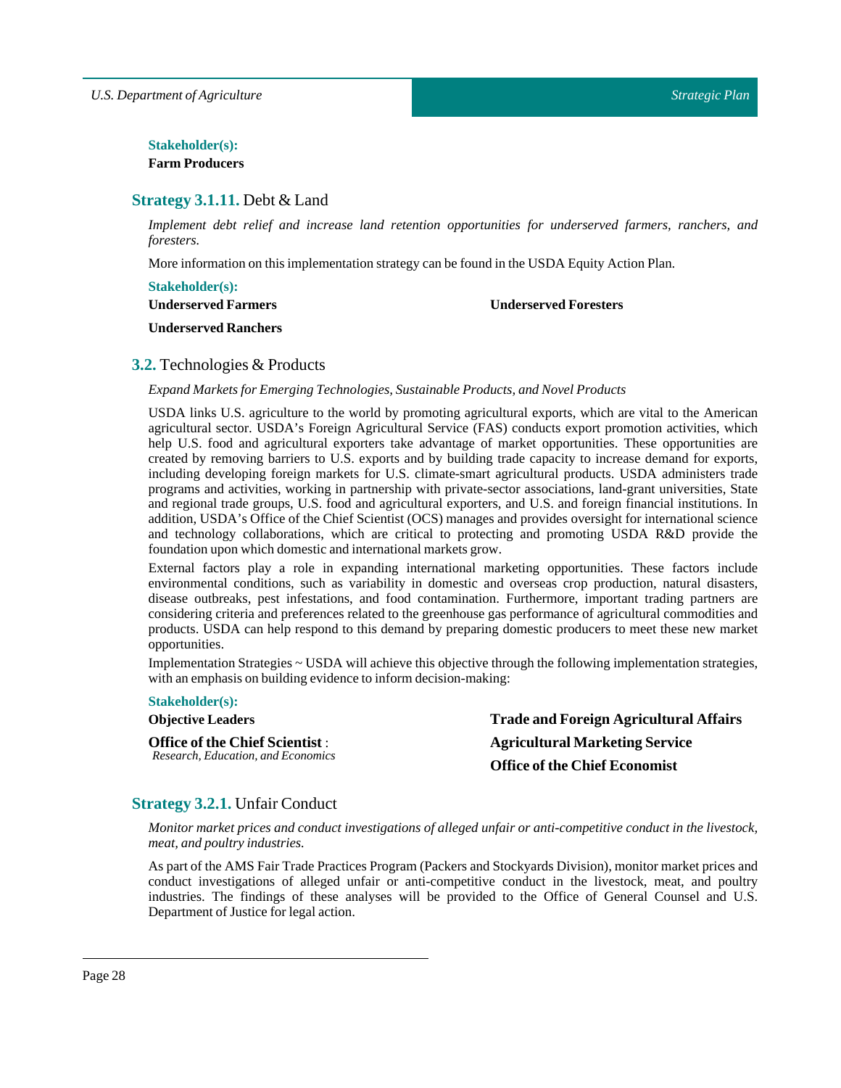# $Stakeholder(s):$

**Farm Producers**

# <span id="page-27-0"></span>**Strategy 3.1.11.** Debt & Land

*Implement debt relief and increase land retention opportunities for underserved farmers, ranchers, and foresters.*

More information on this implementation strategy can be found in the USDA Equity ActionPlan.

# **Stakeholder(s):**

**Underserved Farmers**

### **Underserved Foresters**

**Underserved Ranchers**

# <span id="page-27-1"></span>**3.2.** Technologies & Products

*Expand Markets for EmergingTechnologies, Sustainable Products, and Novel Products*

USDA links U.S. agriculture to the world by promoting agricultural exports, which are vital to the American agricultural sector. USDA's Foreign Agricultural Service (FAS) conducts export promotion activities, which help U.S. food and agricultural exporters take advantage of market opportunities. These opportunities are created by removing barriers to U.S. exports and by building trade capacity to increase demand for exports, including developing foreign markets for U.S. climate-smart agricultural products. USDA administers trade programs and activities, working in partnership with private-sector associations, land-grant universities, State and regional trade groups, U.S. food and agricultural exporters, and U.S. and foreign financial institutions. In addition, USDA's Office of the Chief Scientist (OCS) manages and provides oversight for international science and technology collaborations, which are critical to protecting and promoting USDA R&D provide the foundation upon which domestic and international markets grow.

External factors play a role in expanding international marketing opportunities. These factors include environmental conditions, such as variability in domestic and overseas crop production, natural disasters, disease outbreaks, pest infestations, and food contamination. Furthermore, important trading partners are considering criteria and preferences related to the greenhouse gas performance of agricultural commodities and products. USDA can help respond to this demand by preparing domestic producers to meet these new market opportunities.

Implementation Strategies ~ USDA will achieve this objective through the following implementation strategies, with an emphasis on building evidence to inform decision-making:

### **Stakeholder(s):**

**Objective Leaders**

**Office of the Chief Scientist** : *Research, Education, and Economics* **Trade and Foreign Agricultural Affairs Agricultural Marketing Service Office of the Chief Economist**

# <span id="page-27-2"></span>**Strategy 3.2.1.** Unfair Conduct

*Monitor market prices and conduct investigations of alleged unfair or anti-competitive conduct in the livestock, meat, and poultry industries.*

As part of the AMS Fair Trade Practices Program (Packers and Stockyards Division), monitor market prices and conduct investigations of alleged unfair or anti-competitive conduct in the livestock, meat, and poultry industries. The findings of these analyses will be provided to the Office of General Counsel and U.S. Department of Justice for legal action.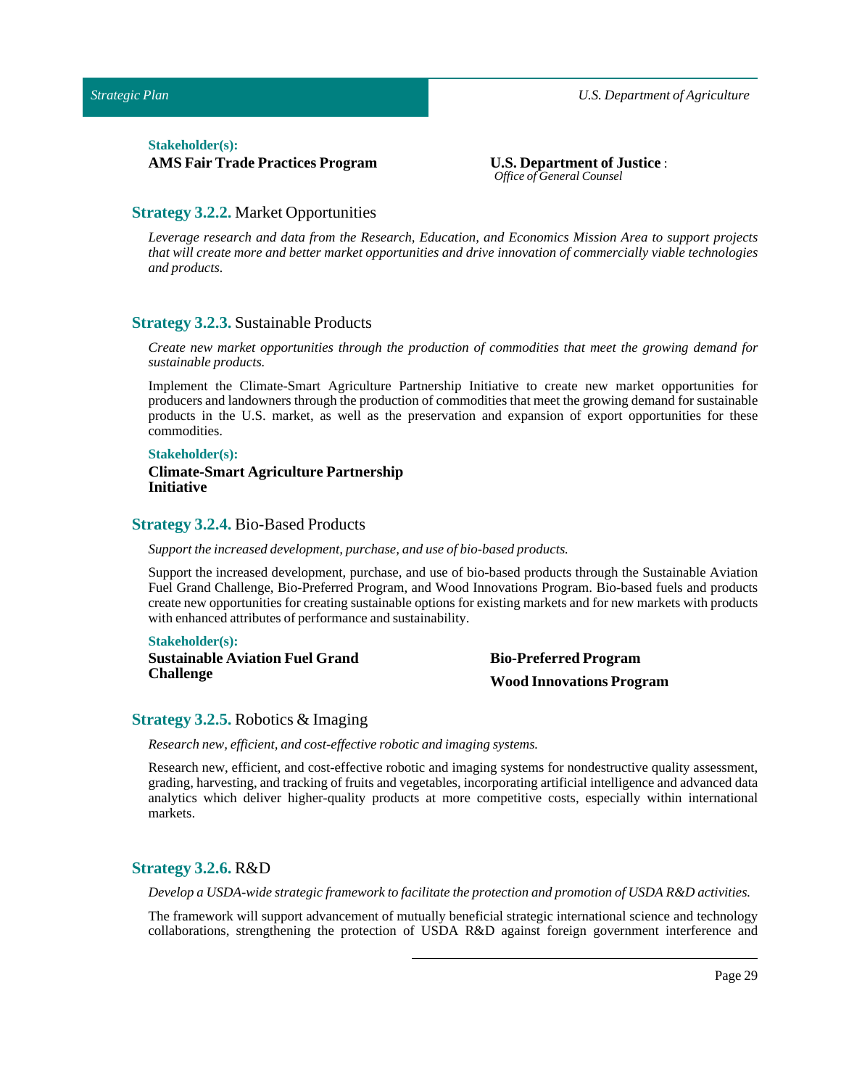### $Stakeholder(s):$

**AMS Fair Trade Practices Program U.S. Department of Justice** :

*Office of General Counsel*

# <span id="page-28-0"></span>**Strategy 3.2.2.** Market Opportunities

*Leverage research and data from the Research, Education, and Economics Mission Area to support projects that will create more and better market opportunities and drive innovation of commercially viable technologies and products.*

### <span id="page-28-1"></span>**Strategy 3.2.3.** Sustainable Products

*Create new market opportunities through the production of commodities that meet the growing demand for sustainable products.*

Implement the Climate-Smart Agriculture Partnership Initiative to create new market opportunities for producers and landowners through the production of commodities that meet the growing demand for sustainable products in the U.S. market, as well as the preservation and expansion of export opportunities for these commodities.

### **Stakeholder(s):**

### **Climate-Smart Agriculture Partnership Initiative**

### <span id="page-28-2"></span>**Strategy 3.2.4.** Bio-Based Products

#### *Supportthe increased development, purchase, and use of bio-based products.*

Support the increased development, purchase, and use of bio-based products through the Sustainable Aviation Fuel Grand Challenge, Bio-Preferred Program, and Wood Innovations Program. Bio-based fuels and products create new opportunities for creating sustainable options for existing markets and for new markets with products with enhanced attributes of performance and sustainability.

### **Stakeholder(s):**

**Sustainable Aviation Fuel Grand Challenge**

**Bio-Preferred Program Wood Innovations Program**

# <span id="page-28-3"></span>**Strategy 3.2.5.** Robotics & Imaging

*Research new, efficient, and cost-effective robotic and imaging systems.*

Research new, efficient, and cost-effective robotic and imaging systems for nondestructive quality assessment, grading, harvesting, and tracking of fruits and vegetables, incorporating artificial intelligence and advanced data analytics which deliver higher-quality products at more competitive costs, especially within international markets.

# <span id="page-28-4"></span>**Strategy 3.2.6.** R&D

*Develop a USDA-wide strategic framework to facilitate the protection and promotion of USDA R&D activities.*

The framework will support advancement of mutually beneficial strategic international science and technology collaborations, strengthening the protection of USDA R&D against foreign government interference and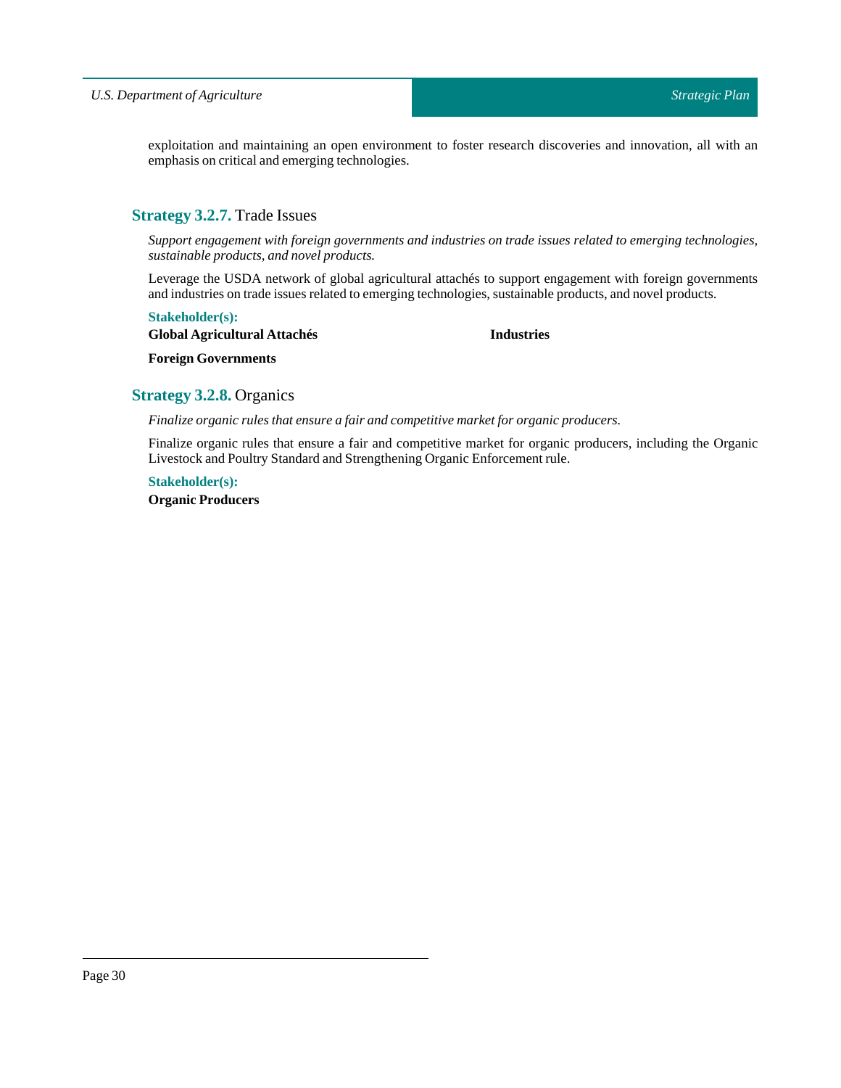exploitation and maintaining an open environment to foster research discoveries and innovation, all with an emphasis on critical and emerging technologies.

# <span id="page-29-0"></span>**Strategy 3.2.7.** Trade Issues

*Support engagement with foreign governments and industries on trade issues related to emerging technologies, sustainable products, and novel products.*

Leverage the USDA network of global agricultural attachés to support engagement with foreign governments and industries on trade issues related to emerging technologies, sustainable products, and novel products.

### **Stakeholder(s):**

**Global Agricultural Attachés**

**Industries**

**Foreign Governments**

# <span id="page-29-1"></span>**Strategy 3.2.8.** Organics

*Finalize organic rules that ensure a fair and competitive marketfor organic producers.*

Finalize organic rules that ensure a fair and competitive market for organic producers, including the Organic Livestock and Poultry Standard and Strengthening Organic Enforcement rule.

**Stakeholder(s): Organic Producers**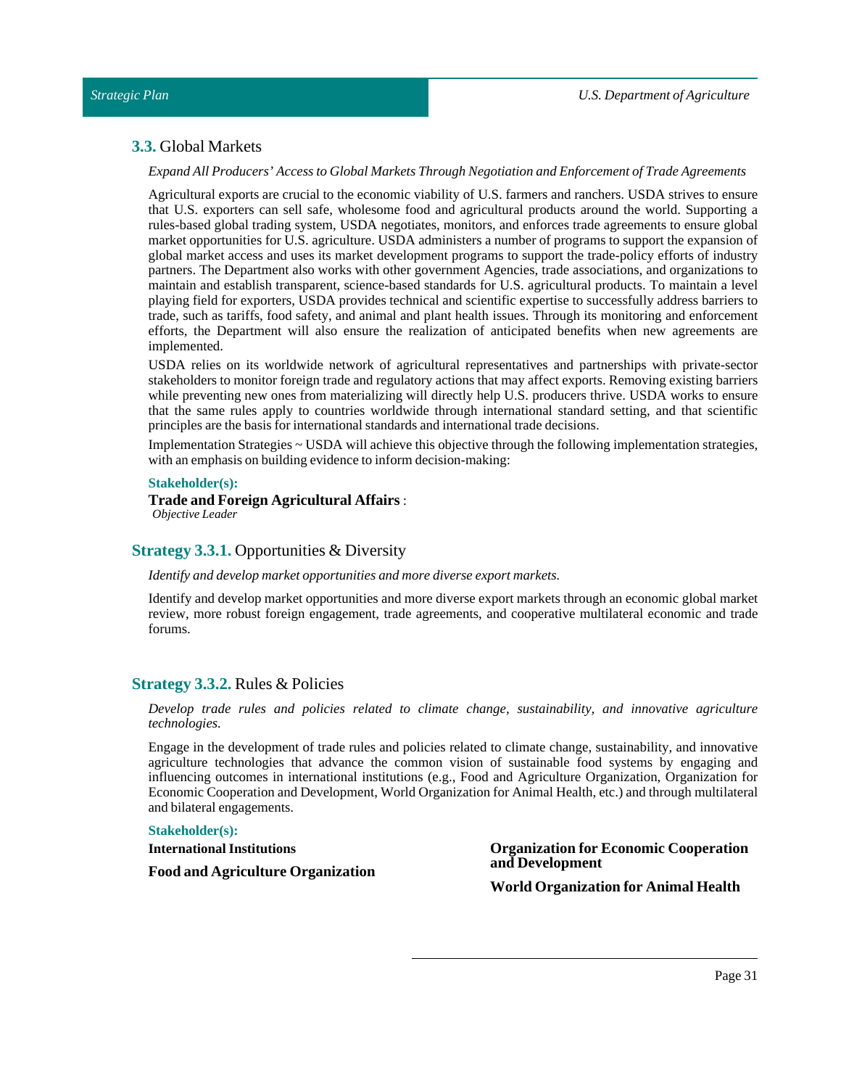### <span id="page-30-0"></span>**3.3.** Global Markets

### *Expand All Producers' Access to Global MarketsThrough Negotiation and Enforcement ofTrade Agreements*

Agricultural exports are crucial to the economic viability of U.S. farmers and ranchers. USDA strives to ensure that U.S. exporters can sell safe, wholesome food and agricultural products around the world. Supporting a rules-based global trading system, USDA negotiates, monitors, and enforces trade agreements to ensure global market opportunities for U.S. agriculture. USDA administers a number of programs to support the expansion of global market access and uses its market development programs to support the trade-policy efforts of industry partners. The Department also works with other government Agencies, trade associations, and organizations to maintain and establish transparent, science-based standards for U.S. agricultural products. To maintain a level playing field for exporters, USDA provides technical and scientific expertise to successfully address barriers to trade, such as tariffs, food safety, and animal and plant health issues. Through its monitoring and enforcement efforts, the Department will also ensure the realization of anticipated benefits when new agreements are implemented.

USDA relies on its worldwide network of agricultural representatives and partnerships with private-sector stakeholders to monitor foreign trade and regulatory actions that may affect exports. Removing existing barriers while preventing new ones from materializing will directly help U.S. producers thrive. USDA works to ensure that the same rules apply to countries worldwide through international standard setting, and that scientific principles are the basis for international standards and internationaltrade decisions.

Implementation Strategies ~ USDA will achieve this objective through the following implementation strategies, with an emphasis on building evidence to inform decision-making:

### **Stakeholder(s):**

# **Trade and Foreign Agricultural Affairs**:

*Objective Leader*

# <span id="page-30-1"></span>**Strategy 3.3.1.** Opportunities & Diversity

### *Identify and develop market opportunities and more diverse export markets.*

Identify and develop market opportunities and more diverse export markets through an economic global market review, more robust foreign engagement, trade agreements, and cooperative multilateral economic and trade forums.

# <span id="page-30-2"></span>**Strategy 3.3.2.** Rules & Policies

*Develop trade rules and policies related to climate change, sustainability, and innovative agriculture technologies.*

Engage in the development of trade rules and policies related to climate change, sustainability, and innovative agriculture technologies that advance the common vision of sustainable food systems by engaging and influencing outcomes in international institutions (e.g., Food and Agriculture Organization, Organization for Economic Cooperation and Development, World Organization for Animal Health, etc.) and through multilateral and bilateral engagements.

### **Stakeholder(s):**

### **International Institutions**

**Food and Agriculture Organization**

**Organization for Economic Cooperation and Development**

**World Organization for Animal Health**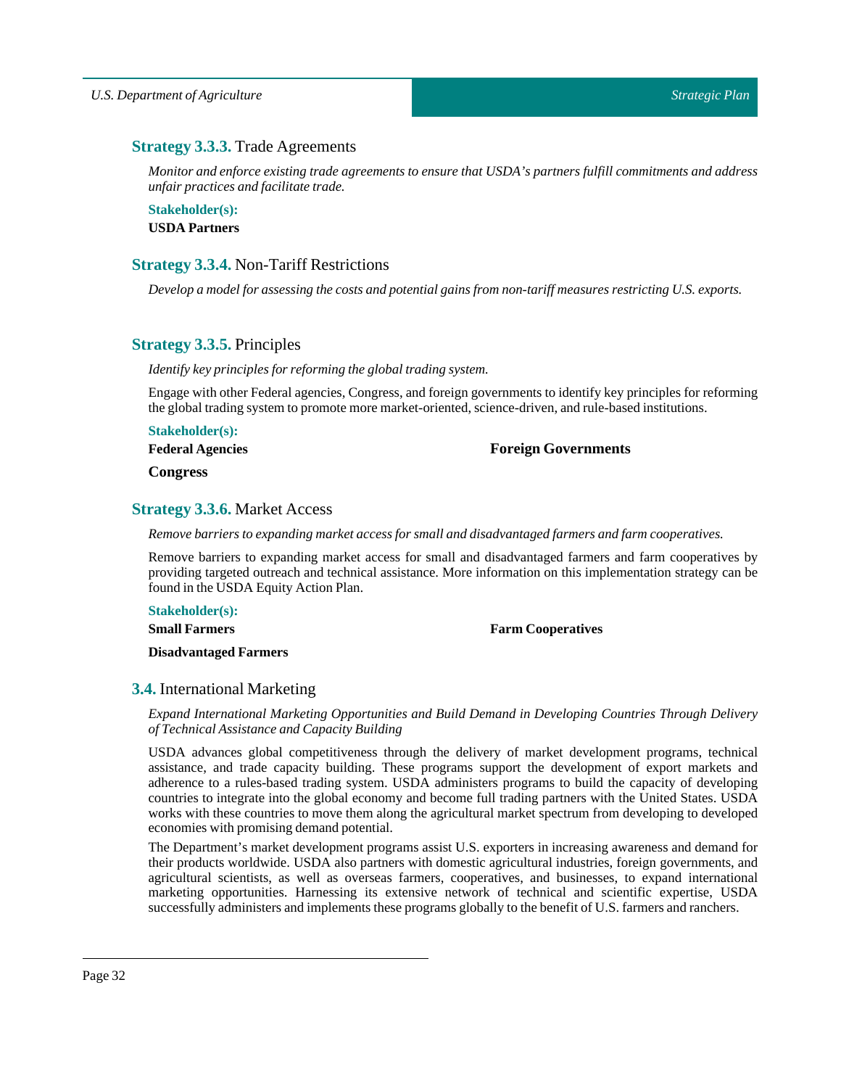# <span id="page-31-0"></span>**Strategy 3.3.3.** Trade Agreements

*Monitor and enforce existing trade agreements to ensure that USDA's partners fulfill commitments and address unfair practices and facilitate trade.*

**Stakeholder(s): USDA Partners**

# <span id="page-31-1"></span>**Strategy 3.3.4.** Non-Tariff Restrictions

*Develop a modelfor assessing the costs and potential gains from non-tariff measures restricting U.S. exports.*

# <span id="page-31-2"></span>**Strategy 3.3.5.** Principles

*Identify key principles for reforming the globaltrading system.*

Engage with other Federal agencies, Congress, and foreign governments to identify key principles for reforming the global trading system to promote more market-oriented, science-driven, and rule-based institutions.

**Stakeholder(s): Federal Agencies**

**Foreign Governments**

**Congress**

# <span id="page-31-3"></span>**Strategy 3.3.6.** Market Access

*Remove barriers to expanding market access for small and disadvantaged farmers and farm cooperatives.*

Remove barriers to expanding market access for small and disadvantaged farmers and farm cooperatives by providing targeted outreach and technical assistance. More information on this implementation strategy can be found in the USDA Equity Action Plan.

**Stakeholder(s):**

**Small Farmers**

**Farm Cooperatives**

**Disadvantaged Farmers**

# <span id="page-31-4"></span>**3.4.** International Marketing

*Expand International Marketing Opportunities and Build Demand in Developing Countries Through Delivery ofTechnical Assistance and Capacity Building*

USDA advances global competitiveness through the delivery of market development programs, technical assistance, and trade capacity building. These programs support the development of export markets and adherence to a rules-based trading system. USDA administers programs to build the capacity of developing countries to integrate into the global economy and become full trading partners with the United States. USDA works with these countries to move them along the agricultural market spectrum from developing to developed economies with promising demand potential.

The Department's market development programs assist U.S. exporters in increasing awareness and demand for their products worldwide. USDA also partners with domestic agricultural industries, foreign governments, and agricultural scientists, as well as overseas farmers, cooperatives, and businesses, to expand international marketing opportunities. Harnessing its extensive network of technical and scientific expertise, USDA successfully administers and implements these programs globally to the benefit of U.S. farmers and ranchers.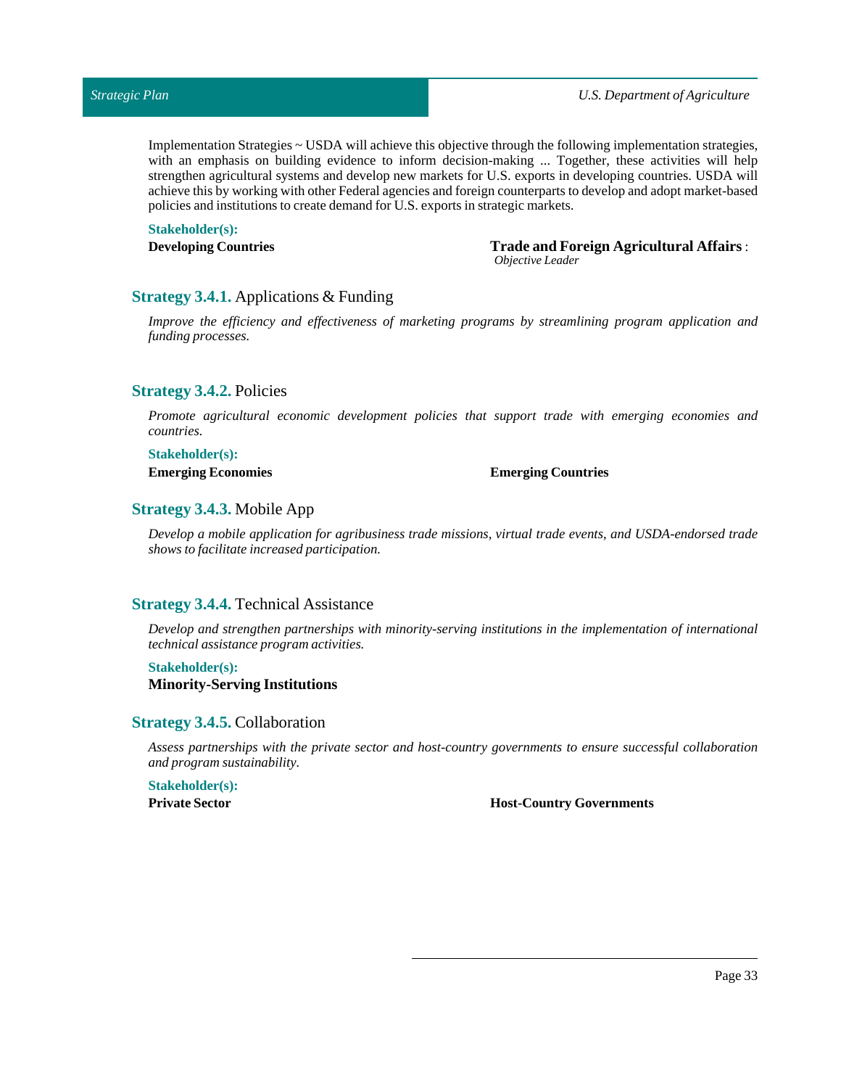Implementation Strategies ~ USDA will achieve this objective through the following implementation strategies, with an emphasis on building evidence to inform decision-making ... Together, these activities will help strengthen agricultural systems and develop new markets for U.S. exports in developing countries. USDA will achieve this by working with other Federal agencies and foreign counterparts to develop and adopt market-based policies and institutions to create demand for U.S. exports in strategic markets.

**Stakeholder(s):**

**Developing Countries Trade and Foreign Agricultural Affairs**: *Objective Leader*

# <span id="page-32-0"></span>**Strategy 3.4.1.** Applications & Funding

*Improve the efficiency and effectiveness of marketing programs by streamlining program application and funding processes.*

# <span id="page-32-1"></span>**Strategy 3.4.2.** Policies

*Promote agricultural economic development policies that support trade with emerging economies and countries.*

# **Stakeholder(s):**

### **Emerging Economies Emerging Countries**

# <span id="page-32-2"></span>**Strategy 3.4.3.** Mobile App

*Develop a mobile application for agribusiness trade missions, virtual trade events, and USDA-endorsed trade shows to facilitate increased participation.*

# <span id="page-32-3"></span>**Strategy 3.4.4.** Technical Assistance

*Develop and strengthen partnerships with minority-serving institutions in the implementation of international technical assistance program activities.*

# **Stakeholder(s): Minority-Serving Institutions**

### <span id="page-32-4"></span>**Strategy 3.4.5.** Collaboration

*Assess partnerships with the private sector and host-country governments to ensure successful collaboration and program sustainability.*

# **Stakeholder(s):**

**Private Sector Host-Country Governments**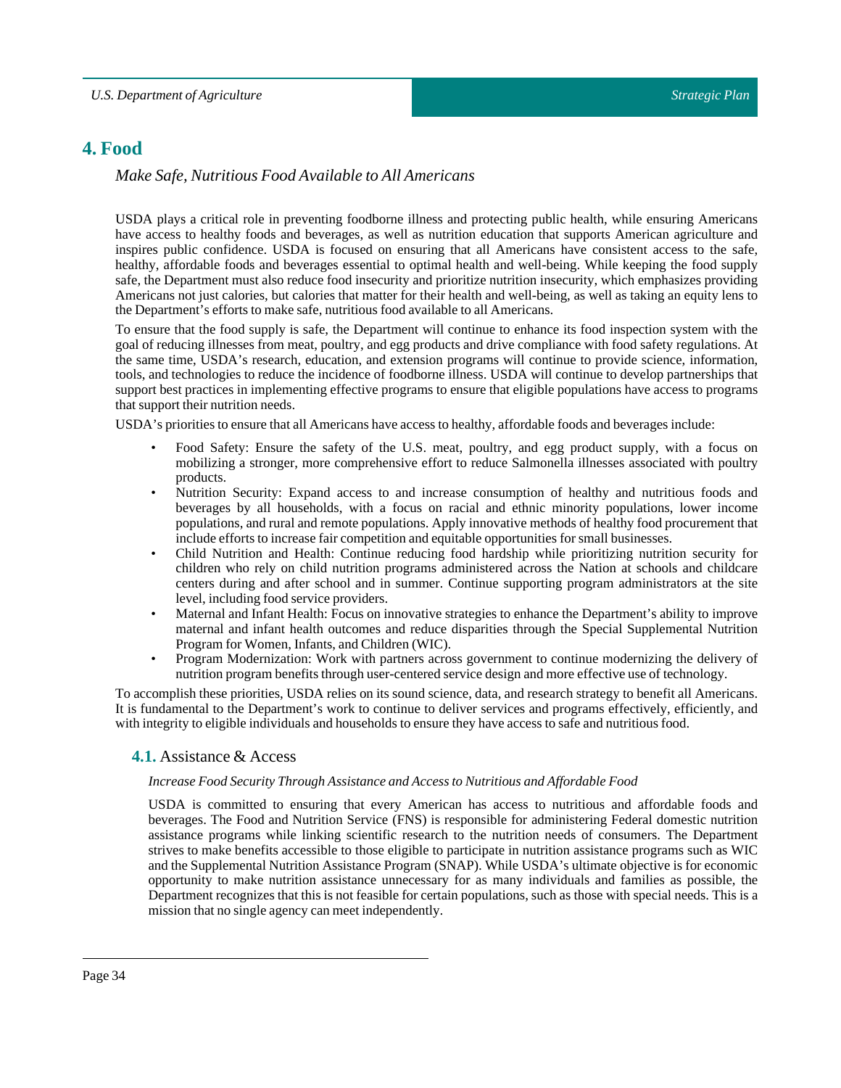# <span id="page-33-0"></span>**4. Food**

# *Make Safe, Nutritious Food Available to All Americans*

USDA plays a critical role in preventing foodborne illness and protecting public health, while ensuring Americans have access to healthy foods and beverages, as well as nutrition education that supports American agriculture and inspires public confidence. USDA is focused on ensuring that all Americans have consistent access to the safe, healthy, affordable foods and beverages essential to optimal health and well-being. While keeping the food supply safe, the Department must also reduce food insecurity and prioritize nutrition insecurity, which emphasizes providing Americans not just calories, but calories that matter for their health and well-being, as well as taking an equity lens to the Department's efforts to make safe, nutritious food available to all Americans.

To ensure that the food supply is safe, the Department will continue to enhance its food inspection system with the goal of reducing illnesses from meat, poultry, and egg products and drive compliance with food safety regulations. At the same time, USDA's research, education, and extension programs will continue to provide science, information, tools, and technologies to reduce the incidence of foodborne illness. USDA will continue to develop partnerships that support best practices in implementing effective programs to ensure that eligible populations have access to programs that support their nutrition needs.

USDA's priorities to ensure that all Americans have access to healthy, affordable foods and beverages include:

- Food Safety: Ensure the safety of the U.S. meat, poultry, and egg product supply, with a focus on mobilizing a stronger, more comprehensive effort to reduce Salmonella illnesses associated with poultry products.
- Nutrition Security: Expand access to and increase consumption of healthy and nutritious foods and beverages by all households, with a focus on racial and ethnic minority populations, lower income populations, and rural and remote populations. Apply innovative methods of healthy food procurement that include efforts to increase fair competition and equitable opportunities for small businesses.
- Child Nutrition and Health: Continue reducing food hardship while prioritizing nutrition security for children who rely on child nutrition programs administered across the Nation at schools and childcare centers during and after school and in summer. Continue supporting program administrators at the site level, including food service providers.
- Maternal and Infant Health: Focus on innovative strategies to enhance the Department's ability to improve maternal and infant health outcomes and reduce disparities through the Special Supplemental Nutrition Program for Women, Infants, and Children (WIC).
- Program Modernization: Work with partners across government to continue modernizing the delivery of nutrition program benefits through user-centered service design and more effective use of technology.

<span id="page-33-1"></span>To accomplish these priorities, USDA relies on its sound science, data, and research strategy to benefit all Americans. It is fundamental to the Department's work to continue to deliver services and programs effectively, efficiently, and with integrity to eligible individuals and households to ensure they have access to safe and nutritious food.

# **4.1.** Assistance & Access

### *Increase Food SecurityThrough Assistance and Access to Nutritious and Affordable Food*

USDA is committed to ensuring that every American has access to nutritious and affordable foods and beverages. The Food and Nutrition Service (FNS) is responsible for administering Federal domestic nutrition assistance programs while linking scientific research to the nutrition needs of consumers. The Department strives to make benefits accessible to those eligible to participate in nutrition assistance programs such as WIC and the Supplemental Nutrition Assistance Program (SNAP). While USDA's ultimate objective is for economic opportunity to make nutrition assistance unnecessary for as many individuals and families as possible, the Department recognizes that this is not feasible for certain populations, such as those with special needs. This is a mission that no single agency can meet independently.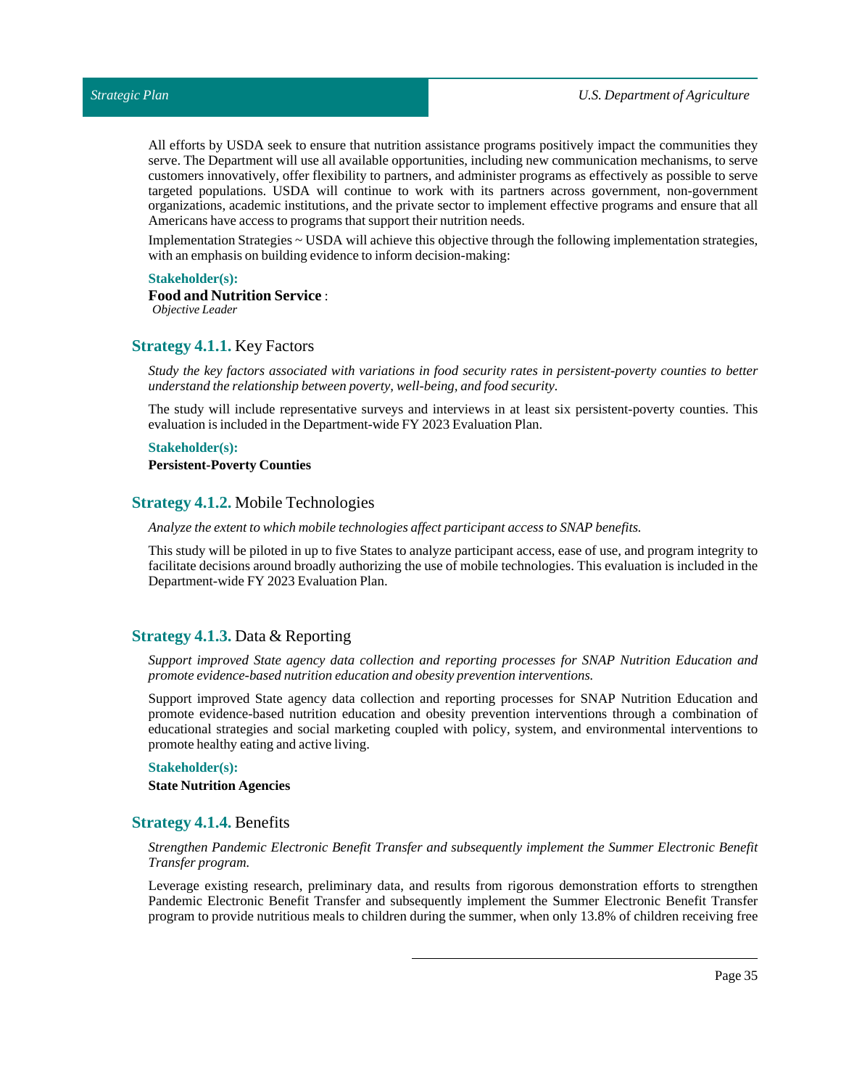All efforts by USDA seek to ensure that nutrition assistance programs positively impact the communities they serve. The Department will use all available opportunities, including new communication mechanisms, to serve customers innovatively, offer flexibility to partners, and administer programs as effectively as possible to serve targeted populations. USDA will continue to work with its partners across government, non-government organizations, academic institutions, and the private sector to implement effective programs and ensure that all Americans have access to programs that support their nutrition needs.

Implementation Strategies ~ USDA will achieve this objective through the following implementation strategies, with an emphasis on building evidence to inform decision-making:

### **Stakeholder(s):**

# **Food and Nutrition Service** :

*Objective Leader*

# <span id="page-34-0"></span>**Strategy 4.1.1.** Key Factors

*Study the key factors associated with variations in food security rates in persistent-poverty counties to better understand the relationship between poverty, well-being, and food security.*

The study will include representative surveys and interviews in at least six persistent-poverty counties. This evaluation is included in the Department-wide FY 2023 Evaluation Plan.

### **Stakeholder(s): Persistent-Poverty Counties**

### <span id="page-34-1"></span>**Strategy 4.1.2.** Mobile Technologies

*Analyze the extentto which mobile technologies affect participant access to SNAP benefits.*

This study will be piloted in up to five States to analyze participant access, ease of use, and program integrity to facilitate decisions around broadly authorizing the use of mobile technologies. This evaluation is included in the Department-wide FY 2023 Evaluation Plan.

# <span id="page-34-2"></span>**Strategy 4.1.3.** Data & Reporting

*Support improved State agency data collection and reporting processes for SNAP Nutrition Education and promote evidence-based nutrition education and obesity prevention interventions.*

Support improved State agency data collection and reporting processes for SNAP Nutrition Education and promote evidence-based nutrition education and obesity prevention interventions through a combination of educational strategies and social marketing coupled with policy, system, and environmental interventions to promote healthy eating and active living.

### **Stakeholder(s):**

**State Nutrition Agencies**

# <span id="page-34-3"></span>**Strategy 4.1.4.** Benefits

### *Strengthen Pandemic Electronic Benefit Transfer and subsequently implement the Summer Electronic Benefit Transfer program.*

Leverage existing research, preliminary data, and results from rigorous demonstration efforts to strengthen Pandemic Electronic Benefit Transfer and subsequently implement the Summer Electronic Benefit Transfer program to provide nutritious meals to children during the summer, when only 13.8% of children receiving free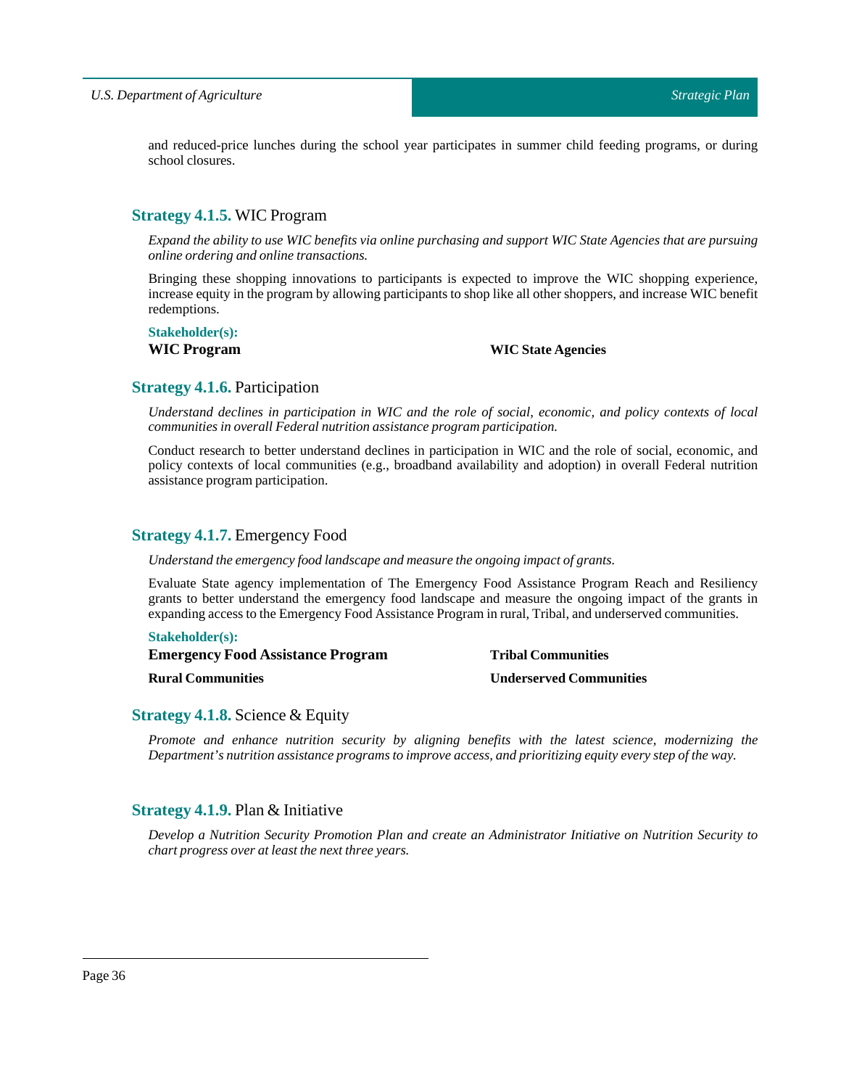and reduced-price lunches during the school year participates in summer child feeding programs, or during school closures.

# <span id="page-35-0"></span>**Strategy 4.1.5.** WIC Program

Expand the ability to use WIC benefits via online purchasing and support WIC State Agencies that are pursuing *online ordering and online transactions.*

Bringing these shopping innovations to participants is expected to improve the WIC shopping experience, increase equity in the program by allowing participants to shop like all other shoppers, and increase WIC benefit redemptions.

# **Stakeholder(s):**

# **WIC Program WIC State Agencies**

# <span id="page-35-1"></span>**Strategy 4.1.6.** Participation

Understand declines in participation in WIC and the role of social, economic, and policy contexts of local *communities in overall Federal nutrition assistance program participation.*

Conduct research to better understand declines in participation in WIC and the role of social, economic, and policy contexts of local communities (e.g., broadband availability and adoption) in overall Federal nutrition assistance program participation.

# <span id="page-35-2"></span>**Strategy 4.1.7.** Emergency Food

*Understand the emergency food landscape and measure the ongoing impact of grants.*

Evaluate State agency implementation of The Emergency Food Assistance Program Reach and Resiliency grants to better understand the emergency food landscape and measure the ongoing impact of the grants in expanding access to the Emergency Food Assistance Program in rural, Tribal, and underserved communities.

### **Stakeholder(s):**

**Emergency Food Assistance Program**

**Rural Communities**

**Tribal Communities Underserved Communities**

# <span id="page-35-3"></span>**Strategy 4.1.8.** Science & Equity

*Promote and enhance nutrition security by aligning benefits with the latest science, modernizing the Department's nutrition assistance programs to improve access, and prioritizing equity every step ofthe way.*

# <span id="page-35-4"></span>**Strategy 4.1.9.** Plan & Initiative

*Develop a Nutrition Security Promotion Plan and create an Administrator Initiative on Nutrition Security to chart progress over atleastthe nextthree years.*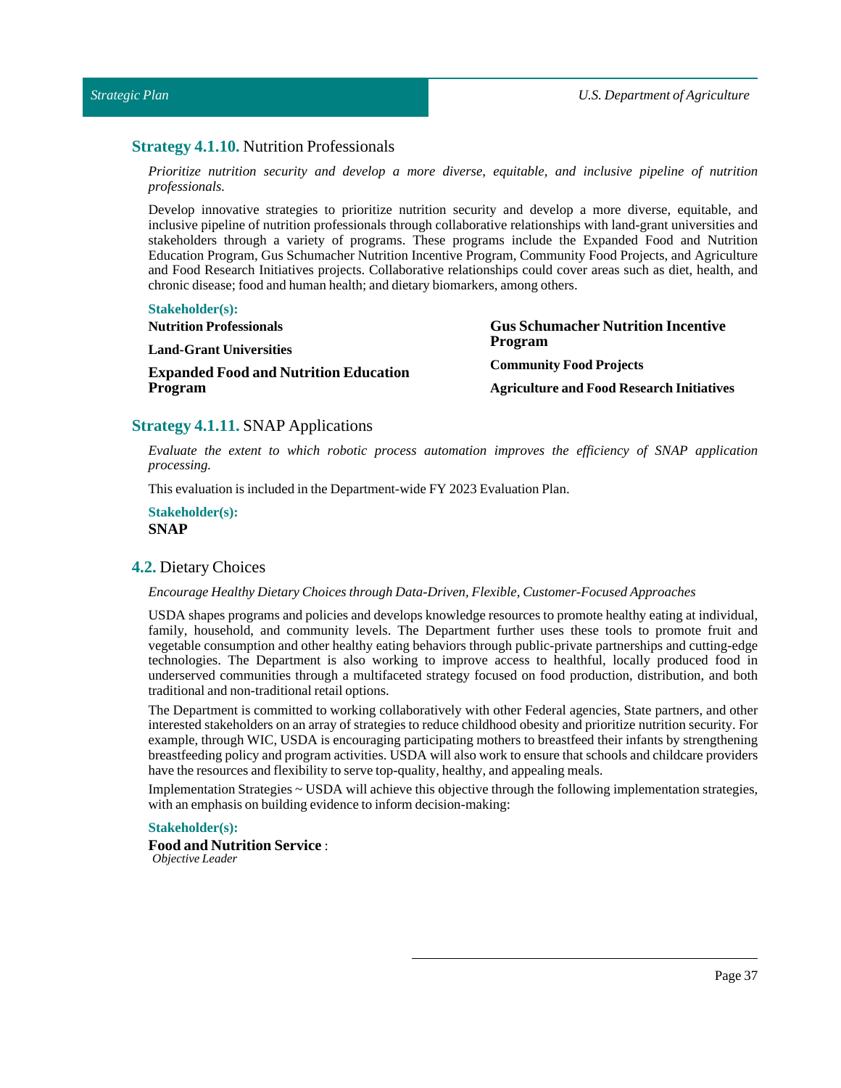# <span id="page-36-0"></span>**Strategy 4.1.10.** Nutrition Professionals

*Prioritize nutrition security and develop a more diverse, equitable, and inclusive pipeline of nutrition professionals.*

Develop innovative strategies to prioritize nutrition security and develop a more diverse, equitable, and inclusive pipeline of nutrition professionals through collaborative relationships with land-grant universities and stakeholders through a variety of programs. These programs include the Expanded Food and Nutrition Education Program, Gus Schumacher Nutrition Incentive Program, Community Food Projects, and Agriculture and Food Research Initiatives projects. Collaborative relationships could cover areas such as diet, health, and chronic disease; food and human health; and dietary biomarkers, among others.

### **Stakeholder(s):**

| <b>Nutrition Professionals</b>               | <b>Gus Schumacher Nutrition Incentive</b>        |
|----------------------------------------------|--------------------------------------------------|
| <b>Land-Grant Universities</b>               | Program                                          |
| <b>Expanded Food and Nutrition Education</b> | <b>Community Food Projects</b>                   |
| Program                                      | <b>Agriculture and Food Research Initiatives</b> |

# <span id="page-36-1"></span>**Strategy 4.1.11.** SNAP Applications

*Evaluate the extent to which robotic process automation improves the efficiency of SNAP application processing.*

This evaluation is included in the Department-wide FY 2023 Evaluation Plan.

### **Stakeholder(s): SNAP**

### <span id="page-36-2"></span>**4.2.** Dietary Choices

### *Encourage Healthy Dietary Choices through Data-Driven, Flexible, Customer-Focused Approaches*

USDA shapes programs and policies and develops knowledge resources to promote healthy eating at individual, family, household, and community levels. The Department further uses these tools to promote fruit and vegetable consumption and other healthy eating behaviors through public-private partnerships and cutting-edge technologies. The Department is also working to improve access to healthful, locally produced food in underserved communities through a multifaceted strategy focused on food production, distribution, and both traditional and non-traditional retail options.

The Department is committed to working collaboratively with other Federal agencies, State partners, and other interested stakeholders on an array of strategies to reduce childhood obesity and prioritize nutrition security. For example, through WIC, USDA is encouraging participating mothers to breastfeed their infants by strengthening breastfeeding policy and program activities. USDA will also work to ensure that schools and childcare providers have the resources and flexibility to serve top-quality, healthy, and appealing meals.

Implementation Strategies ~ USDA will achieve this objective through the following implementation strategies, with an emphasis on building evidence to inform decision-making:

### **Stakeholder(s):**

**Food and Nutrition Service** : *Objective Leader*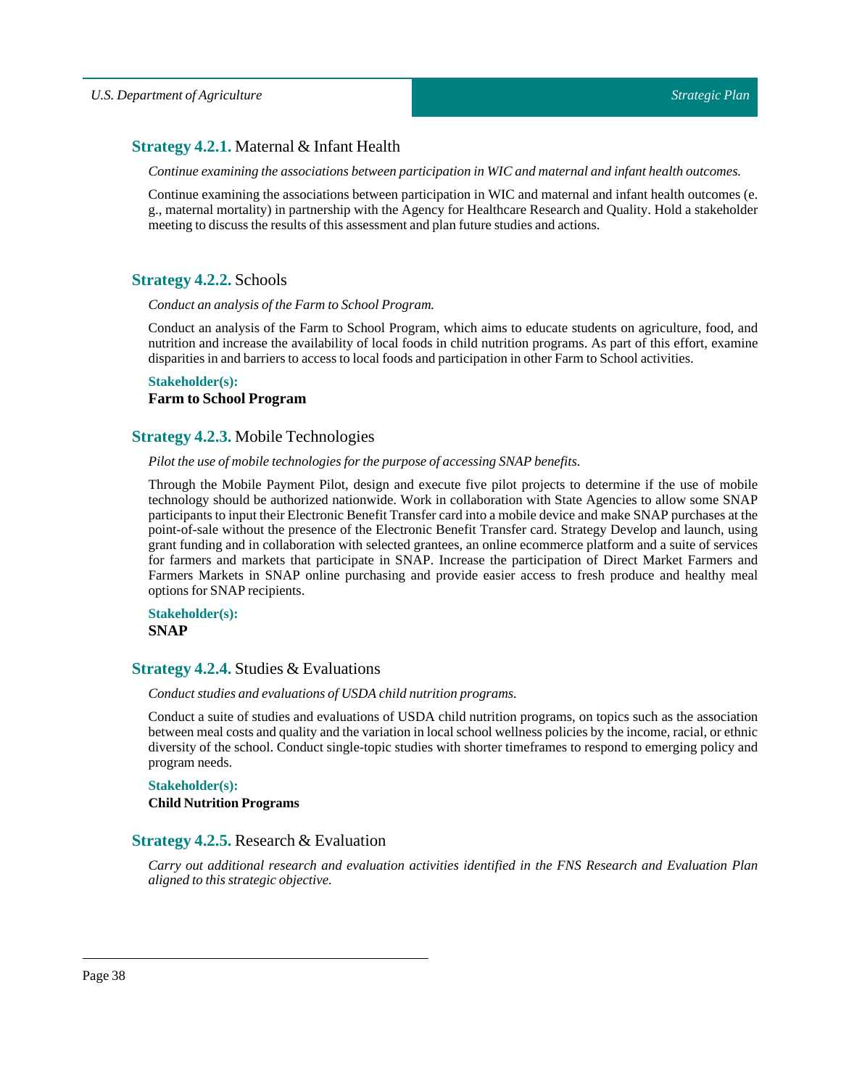# <span id="page-37-0"></span>**Strategy 4.2.1.** Maternal & Infant Health

*Continue examining the associations between participation in WIC and maternal and infant health outcomes.*

Continue examining the associations between participation in WIC and maternal and infant health outcomes (e. g., maternal mortality) in partnership with the Agency for Healthcare Research and Quality. Hold a stakeholder meeting to discuss the results of this assessment and plan future studies and actions.

# <span id="page-37-1"></span>**Strategy 4.2.2.** Schools

*Conduct an analysis of the Farm to School Program.* 

Conduct an analysis of the Farm to School Program, which aims to educate students on agriculture, food, and nutrition and increase the availability of local foods in child nutrition programs. As part of this effort, examine disparities in and barriers to access to local foods and participation in other Farm to School activities.

# **Stakeholder(s): Farm to School Program**

# <span id="page-37-2"></span>**Strategy 4.2.3.** Mobile Technologies

# *Pilotthe use of mobile technologies for the purpose of accessing SNAP benefits.*

Through the Mobile Payment Pilot, design and execute five pilot projects to determine if the use of mobile technology should be authorized nationwide. Work in collaboration with State Agencies to allow some SNAP participants to input their Electronic Benefit Transfer card into a mobile device and make SNAP purchases at the point-of-sale without the presence of the Electronic Benefit Transfer card. Strategy Develop and launch, using grant funding and in collaboration with selected grantees, an online ecommerce platform and a suite of services for farmers and markets that participate in SNAP. Increase the participation of Direct Market Farmers and Farmers Markets in SNAP online purchasing and provide easier access to fresh produce and healthy meal options for SNAP recipients.

**Stakeholder(s): SNAP**

# <span id="page-37-3"></span>**Strategy 4.2.4.** Studies & Evaluations

*Conduct studies and evaluations of USDA child nutrition programs.*

Conduct a suite of studies and evaluations of USDA child nutrition programs, on topics such as the association between meal costs and quality and the variation in local school wellness policies by the income, racial, or ethnic diversity of the school. Conduct single-topic studies with shorter timeframes to respond to emerging policy and program needs.

# **Stakeholder(s): Child Nutrition Programs**

# <span id="page-37-4"></span>**Strategy 4.2.5.** Research & Evaluation

*Carry out additional research and evaluation activities identified in the FNS Research and Evaluation Plan aligned to this strategic objective.*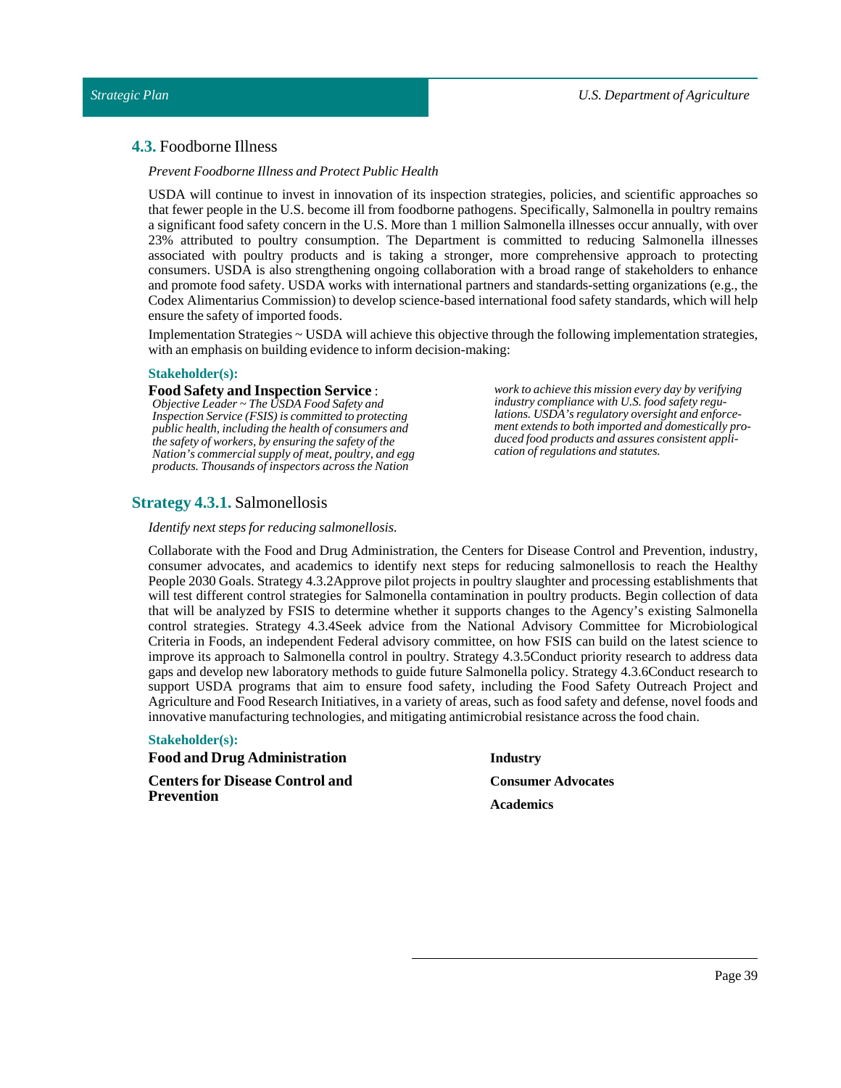# <span id="page-38-0"></span>**4.3.** Foodborne Illness

*Prevent Foodborne Illness and Protect Public Health*

USDA will continue to invest in innovation of its inspection strategies, policies, and scientific approaches so that fewer people in the U.S. become ill from foodborne pathogens. Specifically, Salmonella in poultry remains a significant food safety concern in the U.S. More than 1 million Salmonella illnesses occur annually, with over 23% attributed to poultry consumption. The Department is committed to reducing Salmonella illnesses associated with poultry products and is taking a stronger, more comprehensive approach to protecting consumers. USDA is also strengthening ongoing collaboration with a broad range of stakeholders to enhance and promote food safety. USDA works with international partners and standards-setting organizations (e.g., the Codex Alimentarius Commission) to develop science-based international food safety standards, which will help ensure the safety of imported foods.

Implementation Strategies ~ USDA will achieve this objective through the following implementation strategies, with an emphasis on building evidence to inform decision-making:

### **Stakeholder(s):**

### **Food Safety and Inspection Service** :

*Objective Leader ~ The USDA Food Safety and Inspection Service (FSIS) is committed to protecting public health, including the health of consumers and the safety of workers, by ensuring the safety of the Nation's commercial supply of meat, poultry, and egg products. Thousands of inspectors across the Nation*

*work to achieve this mission every day by verifying industry compliance with U.S. food safety regulations. USDA's regulatory oversight and enforcement extends to both imported and domestically produced food products and assures consistent application of regulations and statutes.*

# <span id="page-38-1"></span>**Strategy 4.3.1.** Salmonellosis

*Identify next steps for reducing salmonellosis.*

Collaborate with the Food and Drug Administration, the Centers for Disease Control and Prevention, industry, consumer advocates, and academics to identify next steps for reducing salmonellosis to reach the Healthy People 2030 Goals. Strategy 4.3.2Approve pilot projects in poultry slaughter and processing establishments that will test different control strategies for Salmonella contamination in poultry products. Begin collection of data that will be analyzed by FSIS to determine whether it supports changes to the Agency's existing Salmonella control strategies. Strategy 4.3.4Seek advice from the National Advisory Committee for Microbiological Criteria in Foods, an independent Federal advisory committee, on how FSIS can build on the latest science to improve its approach to Salmonella control in poultry. Strategy 4.3.5Conduct priority research to address data gaps and develop new laboratory methods to guide future Salmonella policy. Strategy 4.3.6Conduct research to support USDA programs that aim to ensure food safety, including the Food Safety Outreach Project and Agriculture and Food Research Initiatives, in a variety of areas, such as food safety and defense, novel foods and innovative manufacturing technologies, and mitigating antimicrobial resistance across the food chain.

### **Stakeholder(s):**

**Food and Drug Administration Centers for Disease Control and Prevention**

### **Industry**

**Consumer Advocates Academics**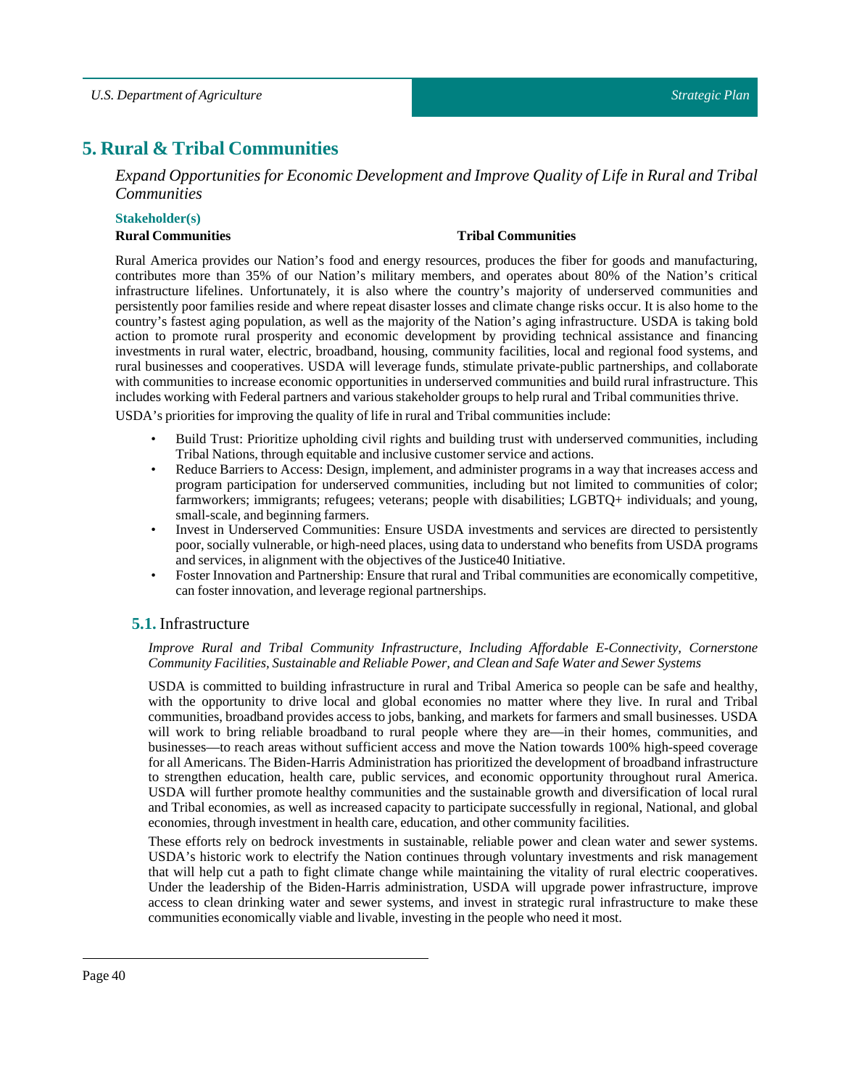# <span id="page-39-0"></span>**5. Rural & Tribal Communities**

*Expand Opportunities for Economic Development and Improve Quality of Life in Rural and Tribal Communities*

### **Stakeholder(s)**

### **Rural Communities Tribal Communities**

Rural America provides our Nation's food and energy resources, produces the fiber for goods and manufacturing, contributes more than 35% of our Nation's military members, and operates about 80% of the Nation's critical infrastructure lifelines. Unfortunately, it is also where the country's majority of underserved communities and persistently poor families reside and where repeat disaster losses and climate change risks occur. It is also home to the country's fastest aging population, as well as the majority of the Nation's aging infrastructure. USDA is taking bold action to promote rural prosperity and economic development by providing technical assistance and financing investments in rural water, electric, broadband, housing, community facilities, local and regional food systems, and rural businesses and cooperatives. USDA will leverage funds, stimulate private-public partnerships, and collaborate with communities to increase economic opportunities in underserved communities and build rural infrastructure. This includes working with Federal partners and various stakeholder groups to help rural and Tribal communities thrive.

USDA's priorities for improving the quality of life in rural and Tribal communities include:

- Build Trust: Prioritize upholding civil rights and building trust with underserved communities, including Tribal Nations, through equitable and inclusive customer service and actions.
- Reduce Barriers to Access: Design, implement, and administer programs in a way that increases access and program participation for underserved communities, including but not limited to communities of color; farmworkers; immigrants; refugees; veterans; people with disabilities; LGBTQ+ individuals; and young, small-scale, and beginning farmers.
- Invest in Underserved Communities: Ensure USDA investments and services are directed to persistently poor, socially vulnerable, or high-need places, using data to understand who benefits from USDA programs and services, in alignment with the objectives of the Justice40 Initiative.
- Foster Innovation and Partnership: Ensure that rural and Tribal communities are economically competitive, can foster innovation, and leverage regional partnerships.

# <span id="page-39-1"></span>**5.1.** Infrastructure

### *Improve Rural and Tribal Community Infrastructure, Including Affordable E-Connectivity, Cornerstone Community Facilities, Sustainable and Reliable Power, and Clean and Safe Water and Sewer Systems*

USDA is committed to building infrastructure in rural and Tribal America so people can be safe and healthy, with the opportunity to drive local and global economies no matter where they live. In rural and Tribal communities, broadband provides access to jobs, banking, and markets for farmers and small businesses. USDA will work to bring reliable broadband to rural people where they are—in their homes, communities, and businesses—to reach areas without sufficient access and move the Nation towards 100% high-speed coverage for all Americans. The Biden-Harris Administration has prioritized the development of broadband infrastructure to strengthen education, health care, public services, and economic opportunity throughout rural America. USDA will further promote healthy communities and the sustainable growth and diversification of local rural and Tribal economies, as well as increased capacity to participate successfully in regional, National, and global economies, through investment in health care, education, and other community facilities.

These efforts rely on bedrock investments in sustainable, reliable power and clean water and sewer systems. USDA's historic work to electrify the Nation continues through voluntary investments and risk management that will help cut a path to fight climate change while maintaining the vitality of rural electric cooperatives. Under the leadership of the Biden-Harris administration, USDA will upgrade power infrastructure, improve access to clean drinking water and sewer systems, and invest in strategic rural infrastructure to make these communities economically viable and livable, investing in the people who need it most.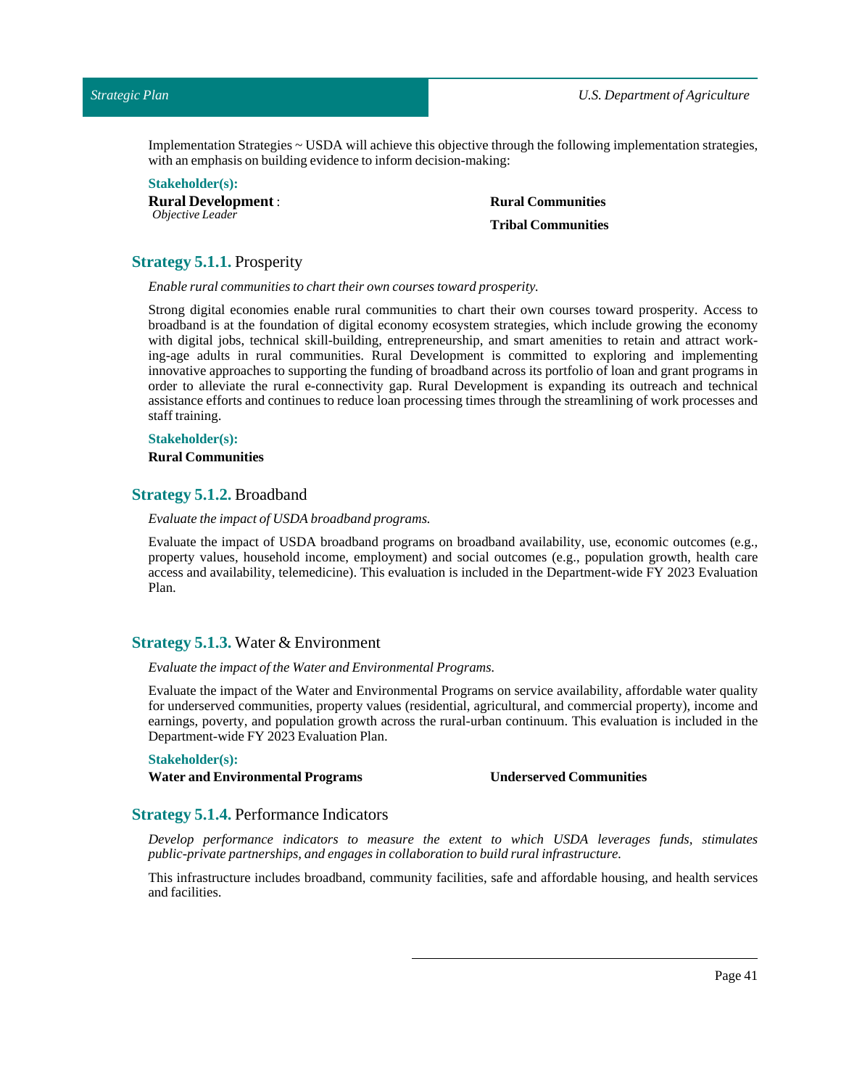Implementation Strategies ~ USDA will achieve this objective through the following implementation strategies, with an emphasis on building evidence to inform decision-making:

**Stakeholder(s): Rural Development** : *Objective Leader*

**Rural Communities Tribal Communities**

# <span id="page-40-0"></span>**Strategy 5.1.1.** Prosperity

*Enable rural communities to charttheir own courses toward prosperity.*

Strong digital economies enable rural communities to chart their own courses toward prosperity. Access to broadband is at the foundation of digital economy ecosystem strategies, which include growing the economy with digital jobs, technical skill-building, entrepreneurship, and smart amenities to retain and attract working-age adults in rural communities. Rural Development is committed to exploring and implementing innovative approaches to supporting the funding of broadband across its portfolio of loan and grant programs in order to alleviate the rural e-connectivity gap. Rural Development is expanding its outreach and technical assistance efforts and continues to reduce loan processing times through the streamlining of work processes and staff training.

#### **Stakeholder(s):**

**Rural Communities**

### <span id="page-40-1"></span>**Strategy 5.1.2.** Broadband

### *Evaluate the impact of USDA broadband programs.*

Evaluate the impact of USDA broadband programs on broadband availability, use, economic outcomes (e.g., property values, household income, employment) and social outcomes (e.g., population growth, health care access and availability, telemedicine). This evaluation is included in the Department-wide FY 2023 Evaluation Plan.

### <span id="page-40-2"></span>**Strategy 5.1.3.** Water & Environment

### *Evaluate the impact ofthe Water and Environmental Programs.*

Evaluate the impact of the Water and Environmental Programs on service availability, affordable water quality for underserved communities, property values (residential, agricultural, and commercial property), income and earnings, poverty, and population growth across the rural-urban continuum. This evaluation is included in the Department-wide FY 2023 Evaluation Plan.

### **Stakeholder(s):**

**Water and Environmental Programs Underserved Communities**

### <span id="page-40-3"></span>**Strategy 5.1.4.** Performance Indicators

*Develop performance indicators to measure the extent to which USDA leverages funds, stimulates public-private partnerships, and engages in collaboration to build ruralinfrastructure.*

This infrastructure includes broadband, community facilities, safe and affordable housing, and health services and facilities.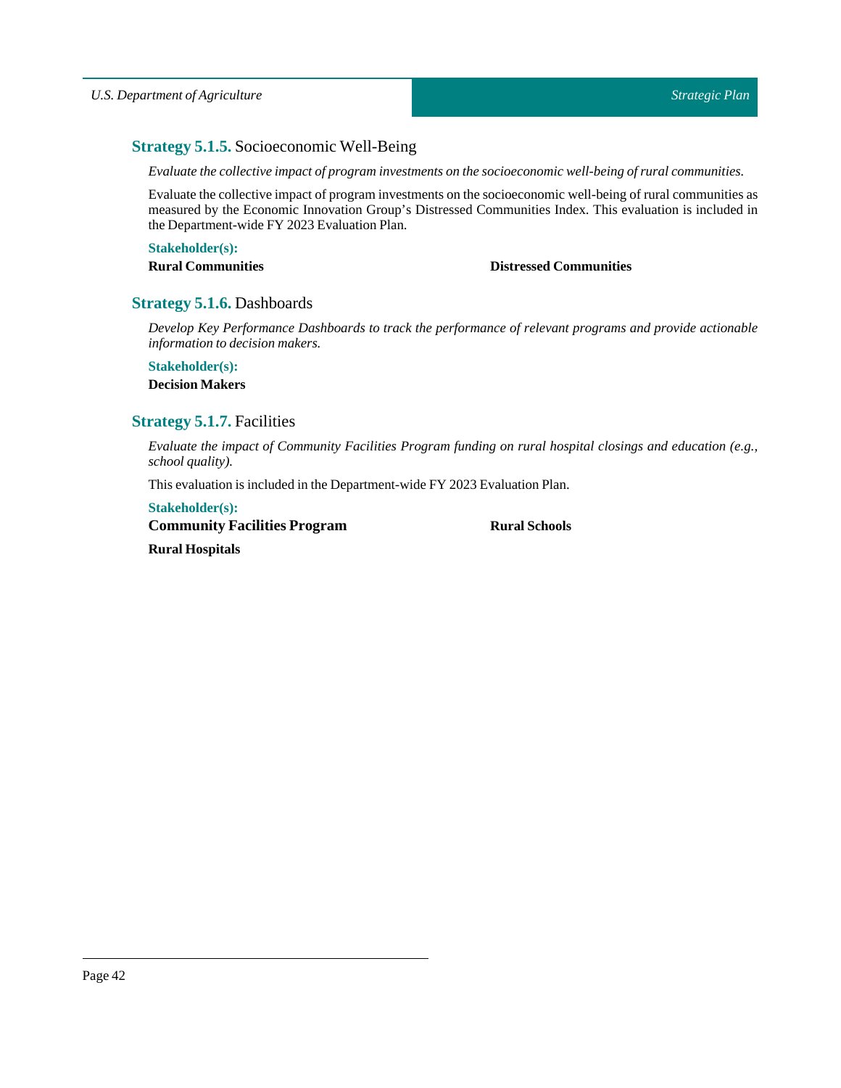# <span id="page-41-0"></span>**Strategy 5.1.5.** Socioeconomic Well-Being

*Evaluate the collective impact of program investments on the socioeconomic well-being of rural communities.*

Evaluate the collective impact of program investments on the socioeconomic well-being of rural communities as measured by the Economic Innovation Group's Distressed Communities Index. This evaluation is included in the Department-wide FY 2023 Evaluation Plan.

### **Stakeholder(s):**

# **Rural Communities Distressed Communities**

# <span id="page-41-1"></span>**Strategy 5.1.6.** Dashboards

*Develop Key Performance Dashboards to track the performance of relevant programs and provide actionable information to decision makers.*

# **Stakeholder(s): Decision Makers**

# <span id="page-41-2"></span>**Strategy 5.1.7.** Facilities

*Evaluate the impact of Community Facilities Program funding on rural hospital closings and education (e.g., school quality).*

This evaluation is included in the Department-wide FY 2023 Evaluation Plan.

# **Stakeholder(s):**

**Community Facilities Program**

**RuralSchools**

**Rural Hospitals**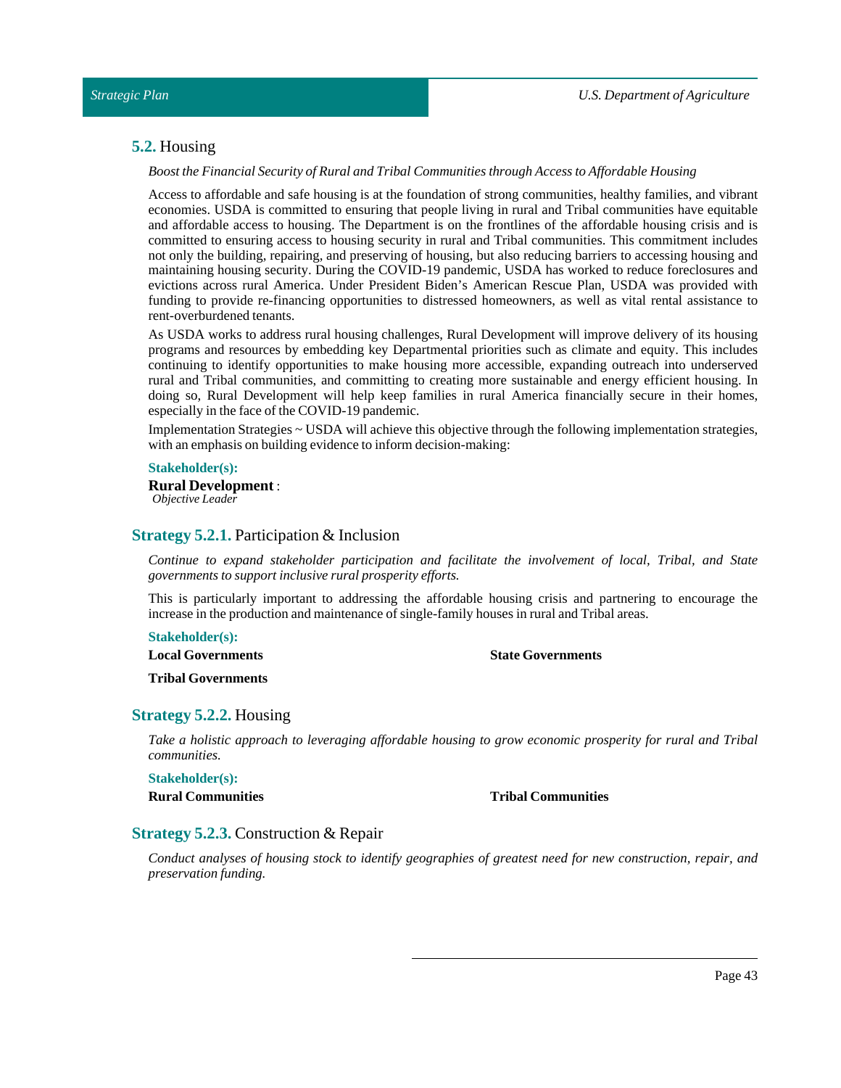# <span id="page-42-0"></span>**5.2.** Housing

*Boostthe Financial Security of Rural andTribal Communities through Access to Affordable Housing*

Access to affordable and safe housing is at the foundation of strong communities, healthy families, and vibrant economies. USDA is committed to ensuring that people living in rural and Tribal communities have equitable and affordable access to housing. The Department is on the frontlines of the affordable housing crisis and is committed to ensuring access to housing security in rural and Tribal communities. This commitment includes not only the building, repairing, and preserving of housing, but also reducing barriers to accessing housing and maintaining housing security. During the COVID-19 pandemic, USDA has worked to reduce foreclosures and evictions across rural America. Under President Biden's American Rescue Plan, USDA was provided with funding to provide re-financing opportunities to distressed homeowners, as well as vital rental assistance to rent-overburdened tenants.

As USDA works to address rural housing challenges, Rural Development will improve delivery of its housing programs and resources by embedding key Departmental priorities such as climate and equity. This includes continuing to identify opportunities to make housing more accessible, expanding outreach into underserved rural and Tribal communities, and committing to creating more sustainable and energy efficient housing. In doing so, Rural Development will help keep families in rural America financially secure in their homes, especially in the face of the COVID-19 pandemic.

Implementation Strategies ~ USDA will achieve this objective through the following implementation strategies, with an emphasis on building evidence to inform decision-making:

### **Stakeholder(s):**

**Rural Development** : *Objective Leader*

### <span id="page-42-1"></span>**Strategy 5.2.1.** Participation & Inclusion

*Continue to expand stakeholder participation and facilitate the involvement of local, Tribal, and State governments to supportinclusive rural prosperity efforts.*

This is particularly important to addressing the affordable housing crisis and partnering to encourage the increase in the production and maintenance of single-family houses in rural and Tribal areas.

**Stakeholder(s):**

**Local Governments**

**State Governments**

**Tribal Governments**

### <span id="page-42-2"></span>**Strategy 5.2.2.** Housing

*Take a holistic approach to leveraging affordable housing to grow economic prosperity for rural and Tribal communities.*

**Stakeholder(s):**

**Rural Communities Tribal Communities**

### <span id="page-42-3"></span>**Strategy 5.2.3.** Construction & Repair

*Conduct analyses of housing stock to identify geographies of greatest need for new construction, repair, and preservation funding.*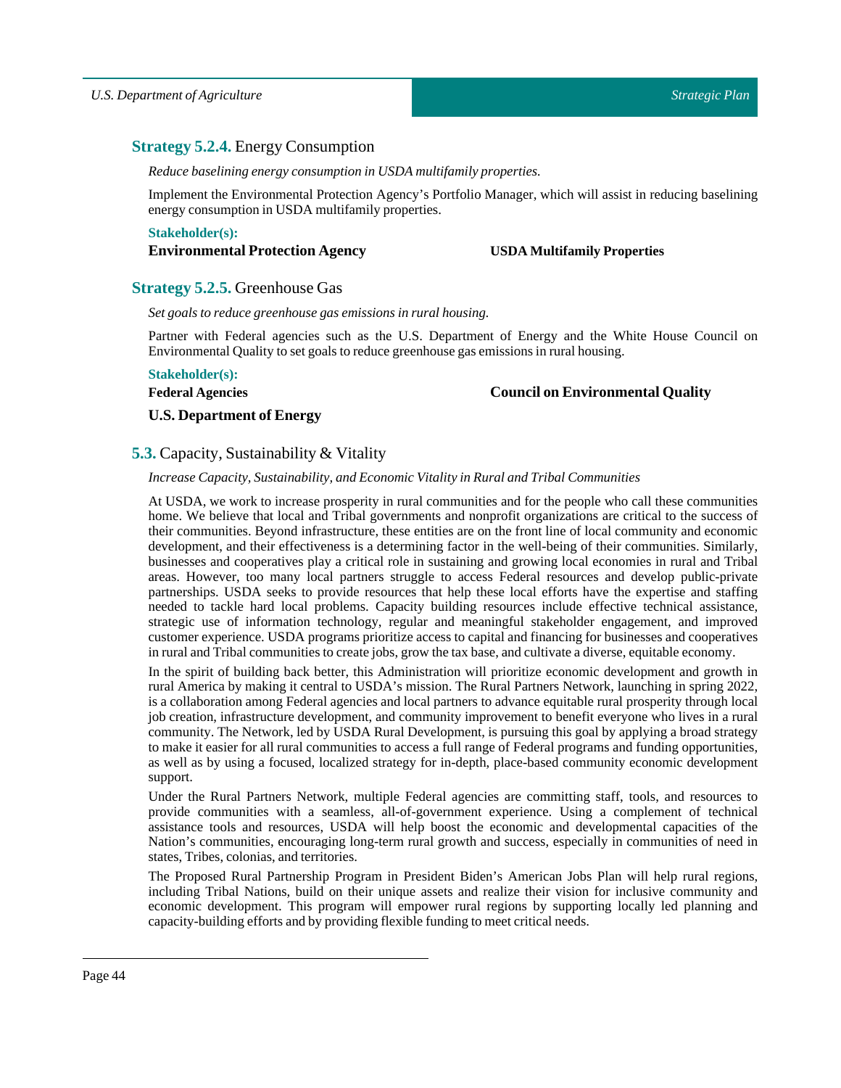# <span id="page-43-0"></span>**Strategy 5.2.4.** Energy Consumption

*Reduce baselining energy consumption in USDA multifamily properties.*

Implement the Environmental Protection Agency's Portfolio Manager, which will assist in reducing baselining energy consumption in USDA multifamily properties.

### **Stakeholder(s):**

# **Environmental Protection Agency USDA Multifamily Properties**

# <span id="page-43-1"></span>**Strategy 5.2.5.** Greenhouse Gas

*Set goals to reduce greenhouse gas emissions in rural housing.*

Partner with Federal agencies such as the U.S. Department of Energy and the White House Council on Environmental Quality to set goals to reduce greenhouse gas emissions in rural housing.

### **Stakeholder(s):**

### **Federal Agencies**

# **Council on Environmental Quality**

# **U.S. Department of Energy**

# <span id="page-43-2"></span>**5.3.** Capacity, Sustainability & Vitality

### *Increase Capacity, Sustainability, and Economic Vitality in Rural andTribal Communities*

At USDA, we work to increase prosperity in rural communities and for the people who call these communities home. We believe that local and Tribal governments and nonprofit organizations are critical to the success of their communities. Beyond infrastructure, these entities are on the front line of local community and economic development, and their effectiveness is a determining factor in the well-being of their communities. Similarly, businesses and cooperatives play a critical role in sustaining and growing local economies in rural and Tribal areas. However, too many local partners struggle to access Federal resources and develop public-private partnerships. USDA seeks to provide resources that help these local efforts have the expertise and staffing needed to tackle hard local problems. Capacity building resources include effective technical assistance, strategic use of information technology, regular and meaningful stakeholder engagement, and improved customer experience. USDA programs prioritize access to capital and financing for businesses and cooperatives in rural and Tribal communities to create jobs, grow the tax base, and cultivate a diverse, equitable economy.

In the spirit of building back better, this Administration will prioritize economic development and growth in rural America by making it central to USDA's mission. The Rural Partners Network, launching in spring 2022, is a collaboration among Federal agencies and local partners to advance equitable rural prosperity through local job creation, infrastructure development, and community improvement to benefit everyone who lives in a rural community. The Network, led by USDA Rural Development, is pursuing this goal by applying a broad strategy to make it easier for all rural communities to access a full range of Federal programs and funding opportunities, as well as by using a focused, localized strategy for in-depth, place-based community economic development support.

Under the Rural Partners Network, multiple Federal agencies are committing staff, tools, and resources to provide communities with a seamless, all-of-government experience. Using a complement of technical assistance tools and resources, USDA will help boost the economic and developmental capacities of the Nation's communities, encouraging long-term rural growth and success, especially in communities of need in states, Tribes, colonias, and territories.

The Proposed Rural Partnership Program in President Biden's American Jobs Plan will help rural regions, including Tribal Nations, build on their unique assets and realize their vision for inclusive community and economic development. This program will empower rural regions by supporting locally led planning and capacity-building efforts and by providing flexible funding to meet critical needs.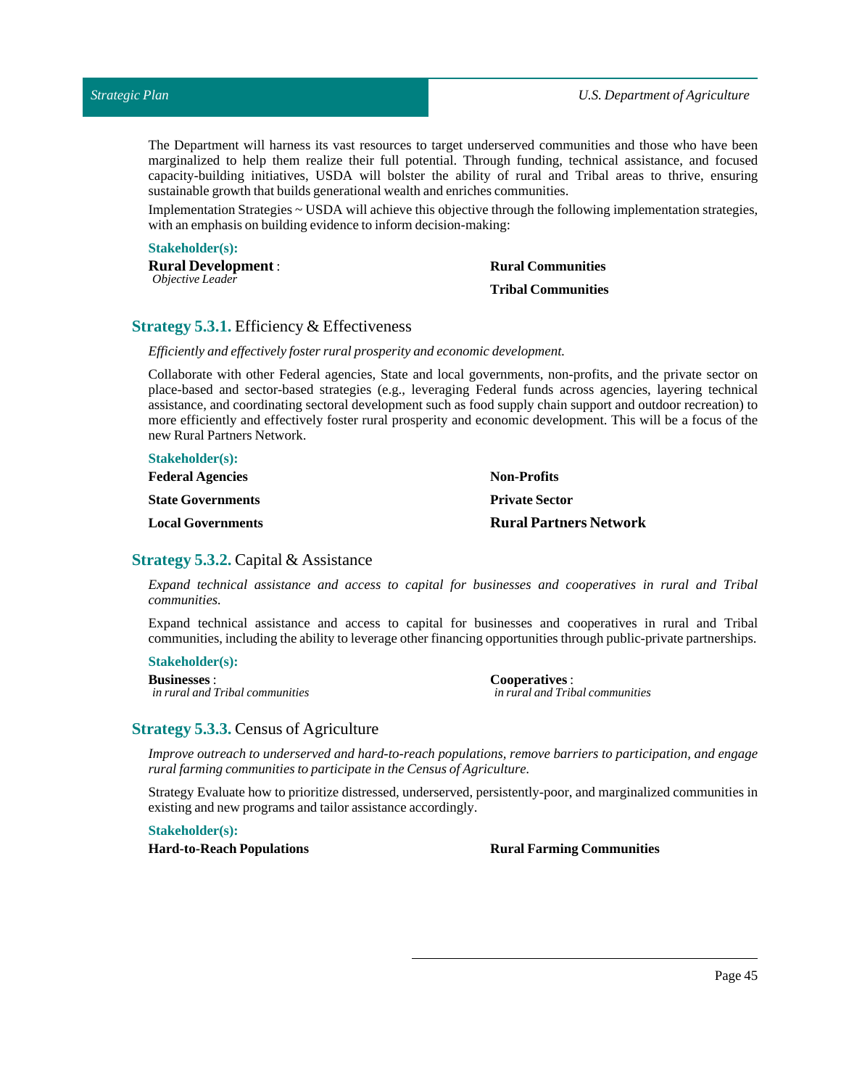The Department will harness its vast resources to target underserved communities and those who have been marginalized to help them realize their full potential. Through funding, technical assistance, and focused capacity-building initiatives, USDA will bolster the ability of rural and Tribal areas to thrive, ensuring sustainable growth that builds generational wealth and enriches communities.

Implementation Strategies ~ USDA will achieve this objective through the following implementation strategies, with an emphasis on building evidence to inform decision-making:

#### **Stakeholder(s):**

**Rural Development** : *Objective Leader*

# **Rural Communities Tribal Communities**

# <span id="page-44-0"></span>**Strategy 5.3.1.** Efficiency & Effectiveness

*Efficiently and effectively foster rural prosperity and economic development.*

Collaborate with other Federal agencies, State and local governments, non-profits, and the private sector on place-based and sector-based strategies (e.g., leveraging Federal funds across agencies, layering technical assistance, and coordinating sectoral development such as food supply chain support and outdoor recreation) to more efficiently and effectively foster rural prosperity and economic development. This will be a focus of the new Rural Partners Network.

| <b>Stakeholder(s):</b>   |                               |
|--------------------------|-------------------------------|
| <b>Federal Agencies</b>  | <b>Non-Profits</b>            |
| <b>State Governments</b> | <b>Private Sector</b>         |
| <b>Local Governments</b> | <b>Rural Partners Network</b> |

### <span id="page-44-1"></span>**Strategy 5.3.2.** Capital & Assistance

*Expand technical assistance and access to capital for businesses and cooperatives in rural and Tribal communities.*

Expand technical assistance and access to capital for businesses and cooperatives in rural and Tribal communities, including the ability to leverage other financing opportunities through public-private partnerships.

### **Stakeholder(s):**

**Businesses** : *in rural and Tribal communities* **Cooperatives** : *in rural and Tribal communities*

### <span id="page-44-2"></span>**Strategy 5.3.3.** Census of Agriculture

*Improve outreach to underserved and hard-to-reach populations, remove barriers to participation, and engage ruralfarming communities to participate in the Census of Agriculture.*

Strategy Evaluate how to prioritize distressed, underserved, persistently-poor, and marginalized communities in existing and new programs and tailor assistance accordingly.

**Stakeholder(s):**

**Hard-to-Reach Populations Rural Farming Communities**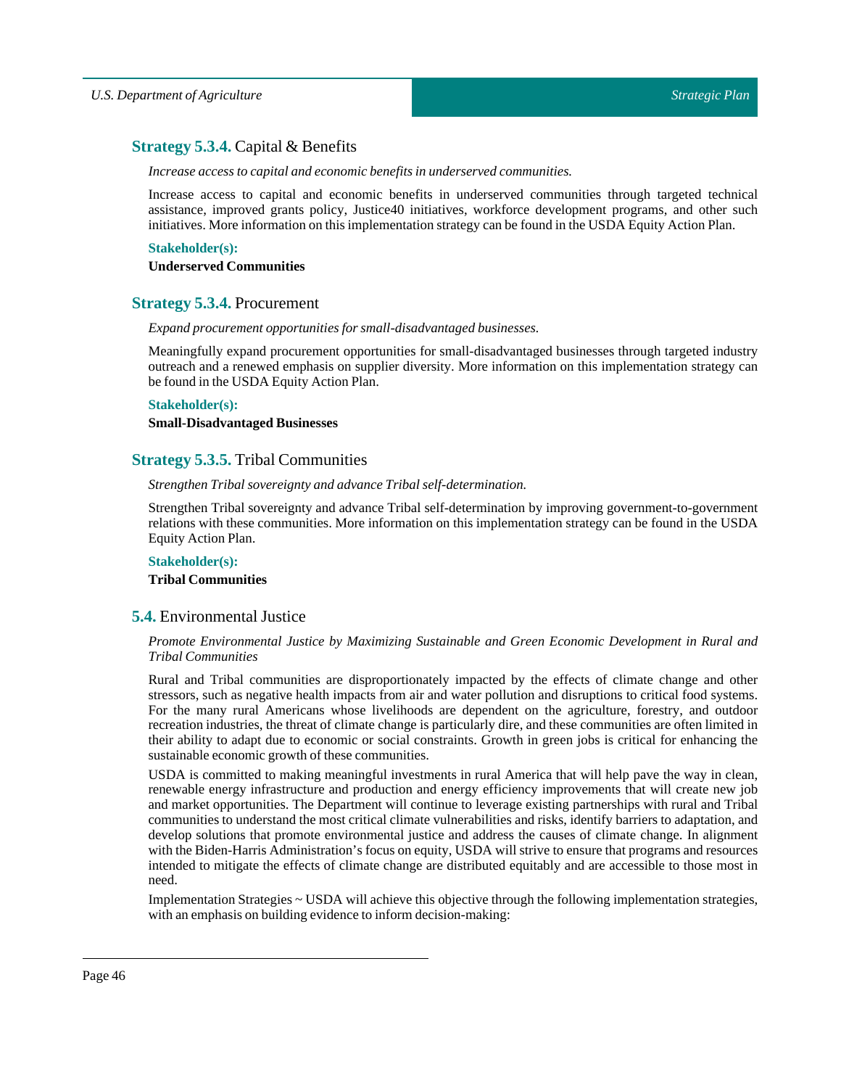# <span id="page-45-0"></span>**Strategy 5.3.4.** Capital & Benefits

*Increase access to capital and economic benefits in underserved communities.*

Increase access to capital and economic benefits in underserved communities through targeted technical assistance, improved grants policy, Justice40 initiatives, workforce development programs, and other such initiatives. More information on this implementation strategy can be found in the USDA Equity Action Plan.

# **Stakeholder(s):**

**Underserved Communities**

# <span id="page-45-1"></span>**Strategy 5.3.4.** Procurement

*Expand procurement opportunities for small-disadvantaged businesses.*

Meaningfully expand procurement opportunities for small-disadvantaged businesses through targeted industry outreach and a renewed emphasis on supplier diversity. More information on this implementation strategy can be found in the USDA Equity Action Plan.

### **Stakeholder(s):**

### **Small-Disadvantaged Businesses**

# <span id="page-45-2"></span>**Strategy 5.3.5.** Tribal Communities

*StrengthenTribal sovereignty and advanceTribal self-determination.*

Strengthen Tribal sovereignty and advance Tribal self-determination by improving government-to-government relations with these communities. More information on this implementation strategy can be found in the USDA Equity Action Plan.

# **Stakeholder(s): Tribal Communities**

# <span id="page-45-3"></span>**5.4.** Environmental Justice

### *Promote Environmental Justice by Maximizing Sustainable and Green Economic Development in Rural and Tribal Communities*

Rural and Tribal communities are disproportionately impacted by the effects of climate change and other stressors, such as negative health impacts from air and water pollution and disruptions to critical food systems. For the many rural Americans whose livelihoods are dependent on the agriculture, forestry, and outdoor recreation industries, the threat of climate change is particularly dire, and these communities are often limited in their ability to adapt due to economic or social constraints. Growth in green jobs is critical for enhancing the sustainable economic growth of these communities.

USDA is committed to making meaningful investments in rural America that will help pave the way in clean, renewable energy infrastructure and production and energy efficiency improvements that will create new job and market opportunities. The Department will continue to leverage existing partnerships with rural and Tribal communities to understand the most critical climate vulnerabilities and risks, identify barriers to adaptation, and develop solutions that promote environmental justice and address the causes of climate change. In alignment with the Biden-Harris Administration's focus on equity, USDA will strive to ensure that programs and resources intended to mitigate the effects of climate change are distributed equitably and are accessible to those most in need.

Implementation Strategies ~ USDA will achieve this objective through the following implementation strategies, with an emphasis on building evidence to inform decision-making: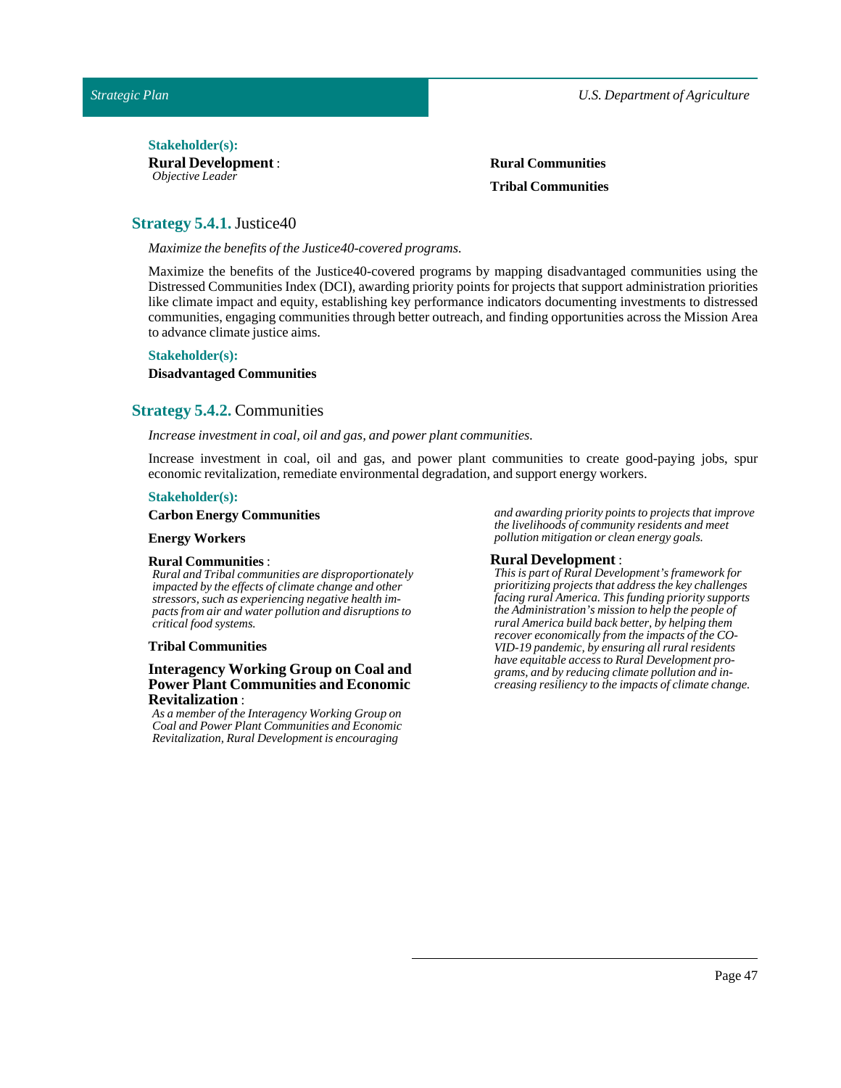### Stakeholder(s):

**Rural Development** : *Objective Leader*

**Rural Communities Tribal Communities**

# <span id="page-46-0"></span>**Strategy 5.4.1.** Justice40

*Maximize the benefits of the Justice40-covered programs.* 

Maximize the benefits of the Justice40-covered programs by mapping disadvantaged communities using the Distressed Communities Index (DCI), awarding priority points for projects that support administration priorities like climate impact and equity, establishing key performance indicators documenting investments to distressed communities, engaging communities through better outreach, and finding opportunities across the Mission Area to advance climate justice aims.

### **Stakeholder(s):**

### **Disadvantaged Communities**

# <span id="page-46-1"></span>**Strategy 5.4.2.** Communities

#### *Increase investmentin coal, oil and gas, and power plant communities.*

Increase investment in coal, oil and gas, and power plant communities to create good-paying jobs, spur economic revitalization, remediate environmental degradation, and support energy workers.

#### **Stakeholder(s):**

### **Carbon Energy Communities**

#### **Energy Workers**

#### **Rural Communities** :

*Rural and Tribal communities are disproportionately impacted by the effects of climate change and other stressors, such as experiencing negative health impacts from air and water pollution and disruptions to critical food systems.*

### **Tribal Communities**

### **Interagency Working Group on Coal and Power Plant Communities and Economic Revitalization** :

*As a member of the Interagency Working Group on Coal and Power Plant Communities and Economic Revitalization, Rural Development is encouraging*

*and awarding priority points to projects that improve the livelihoods of community residents and meet pollution mitigation or clean energy goals.*

#### **Rural Development** :

*This is part of Rural Development's framework for prioritizing projects that address the key challenges facing rural America. This funding priority supports the Administration's mission to help the people of rural America build back better, by helping them recover economically from the impacts of the CO-VID-19 pandemic, by ensuring all rural residents have equitable access to Rural Development programs, and by reducing climate pollution and increasing resiliency to the impacts of climate change.*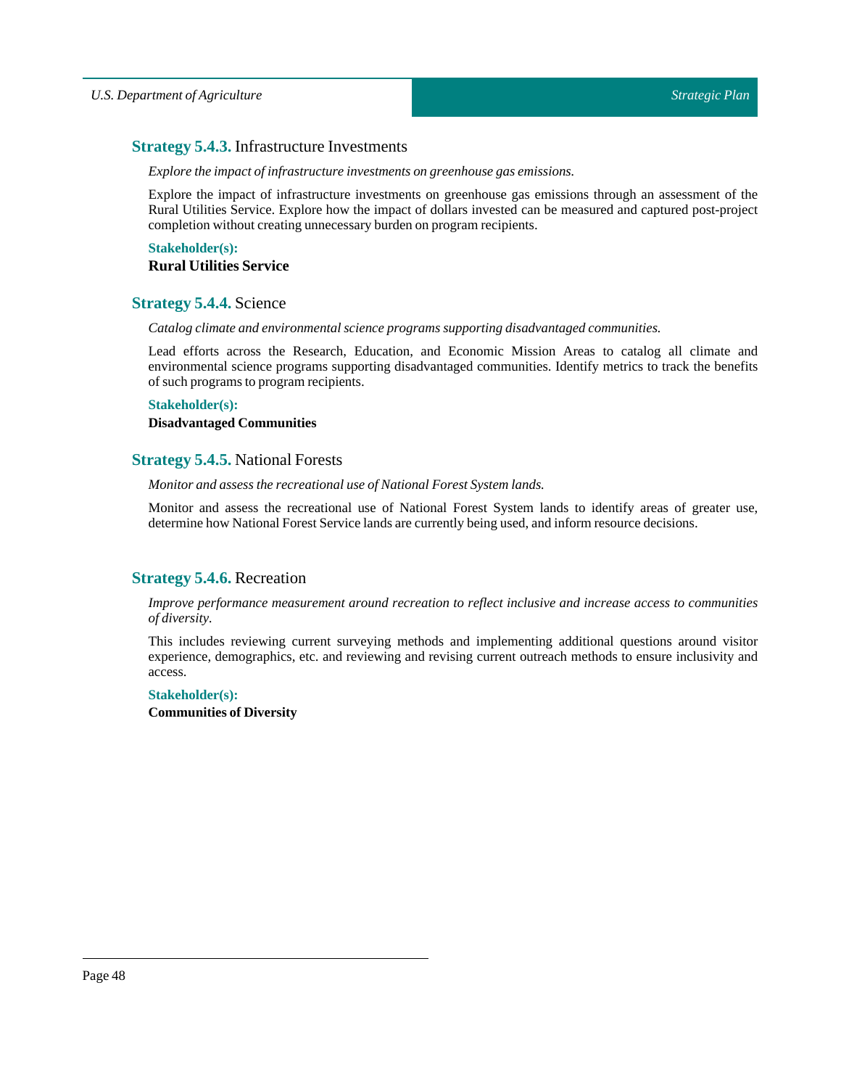# <span id="page-47-0"></span>**Strategy 5.4.3.** Infrastructure Investments

*Explore the impact ofinfrastructure investments on greenhouse gas emissions.*

Explore the impact of infrastructure investments on greenhouse gas emissions through an assessment of the Rural Utilities Service. Explore how the impact of dollars invested can be measured and captured post-project completion without creating unnecessary burden on program recipients.

**Stakeholder(s): Rural Utilities Service**

# <span id="page-47-1"></span>**Strategy 5.4.4.** Science

*Catalog climate and environmental science programs supporting disadvantaged communities.*

Lead efforts across the Research, Education, and Economic Mission Areas to catalog all climate and environmental science programs supporting disadvantaged communities. Identify metrics to track the benefits of such programs to program recipients.

### **Stakeholder(s):**

### **Disadvantaged Communities**

# <span id="page-47-2"></span>**Strategy 5.4.5.** National Forests

*Monitor and assess the recreational use of National Forest System lands.*

Monitor and assess the recreational use of National Forest System lands to identify areas of greater use, determine how National Forest Service lands are currently being used, and inform resource decisions.

# <span id="page-47-3"></span>**Strategy 5.4.6.** Recreation

*Improve performance measurement around recreation to reflect inclusive and increase access to communities of diversity.*

This includes reviewing current surveying methods and implementing additional questions around visitor experience, demographics, etc. and reviewing and revising current outreach methods to ensure inclusivity and access.

# **Stakeholder(s):**

**Communities of Diversity**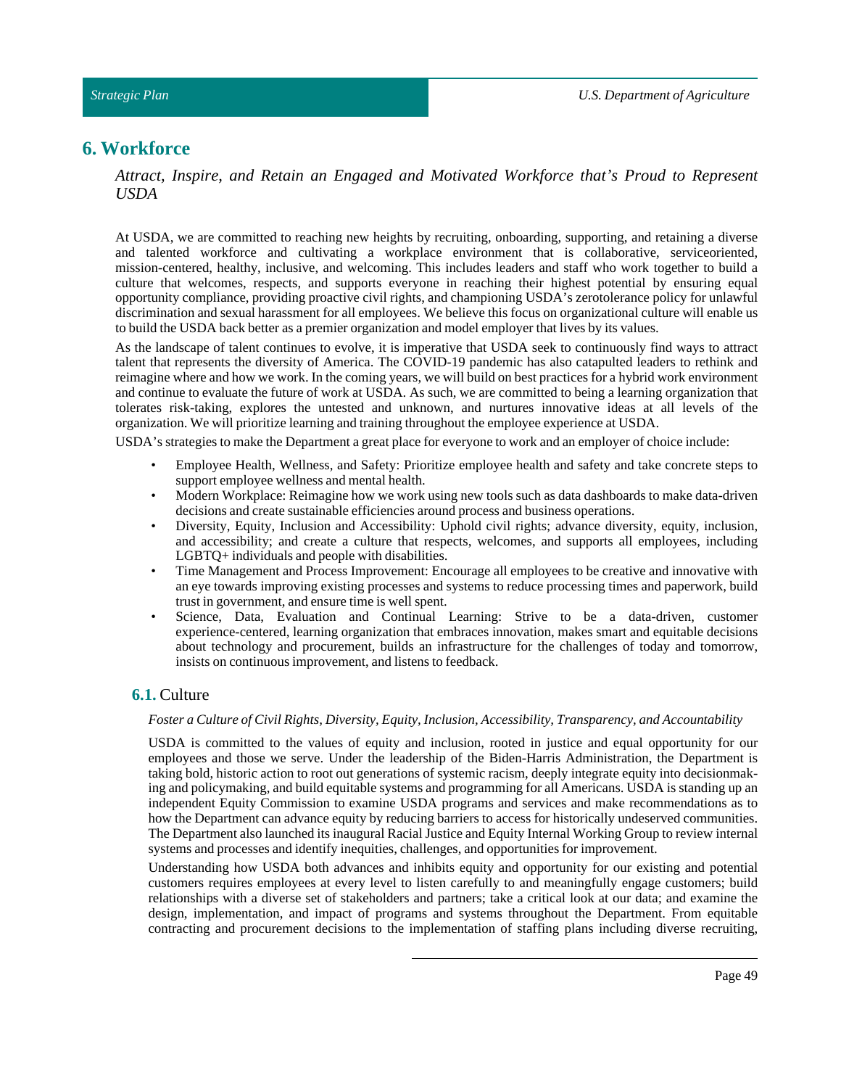# <span id="page-48-0"></span>**6. Workforce**

*Attract, Inspire, and Retain an Engaged and Motivated Workforce that's Proud to Represent USDA*

At USDA, we are committed to reaching new heights by recruiting, onboarding, supporting, and retaining a diverse and talented workforce and cultivating a workplace environment that is collaborative, serviceoriented, mission-centered, healthy, inclusive, and welcoming. This includes leaders and staff who work together to build a culture that welcomes, respects, and supports everyone in reaching their highest potential by ensuring equal opportunity compliance, providing proactive civil rights, and championing USDA's zerotolerance policy for unlawful discrimination and sexual harassment for all employees. We believe this focus on organizational culture will enable us to build the USDA back better as a premier organization and model employer thatlives by its values.

As the landscape of talent continues to evolve, it is imperative that USDA seek to continuously find ways to attract talent that represents the diversity of America. The COVID-19 pandemic has also catapulted leaders to rethink and reimagine where and how we work. In the coming years, we will build on best practices for a hybrid work environment and continue to evaluate the future of work at USDA. As such, we are committed to being a learning organization that tolerates risk-taking, explores the untested and unknown, and nurtures innovative ideas at all levels of the organization. We will prioritize learning and training throughoutthe employee experience at USDA.

USDA's strategies to make the Department a great place for everyone to work and an employer of choice include:

- Employee Health, Wellness, and Safety: Prioritize employee health and safety and take concrete steps to support employee wellness and mental health.
- Modern Workplace: Reimagine how we work using new tools such as data dashboards to make data-driven decisions and create sustainable efficiencies around process and business operations.
- Diversity, Equity, Inclusion and Accessibility: Uphold civil rights; advance diversity, equity, inclusion, and accessibility; and create a culture that respects, welcomes, and supports all employees, including LGBTQ+ individuals and people with disabilities.
- Time Management and Process Improvement: Encourage all employees to be creative and innovative with an eye towards improving existing processes and systems to reduce processing times and paperwork, build trustin government, and ensure time is well spent.
- Science, Data, Evaluation and Continual Learning: Strive to be a data-driven, customer experience-centered, learning organization that embraces innovation, makes smart and equitable decisions about technology and procurement, builds an infrastructure for the challenges of today and tomorrow, insists on continuous improvement, and listens to feedback.

# <span id="page-48-1"></span>**6.1.** Culture

### *Foster a Culture of Civil Rights, Diversity, Equity, Inclusion, Accessibility,Transparency, and Accountability*

USDA is committed to the values of equity and inclusion, rooted in justice and equal opportunity for our employees and those we serve. Under the leadership of the Biden-Harris Administration, the Department is taking bold, historic action to root out generations of systemic racism, deeply integrate equity into decisionmaking and policymaking, and build equitable systems and programming for all Americans. USDA is standing up an independent Equity Commission to examine USDA programs and services and make recommendations as to how the Department can advance equity by reducing barriers to access for historically undeserved communities. The Department also launched its inaugural Racial Justice and Equity Internal Working Group to review internal systems and processes and identify inequities, challenges, and opportunities for improvement.

Understanding how USDA both advances and inhibits equity and opportunity for our existing and potential customers requires employees at every level to listen carefully to and meaningfully engage customers; build relationships with a diverse set of stakeholders and partners; take a critical look at our data; and examine the design, implementation, and impact of programs and systems throughout the Department. From equitable contracting and procurement decisions to the implementation of staffing plans including diverse recruiting,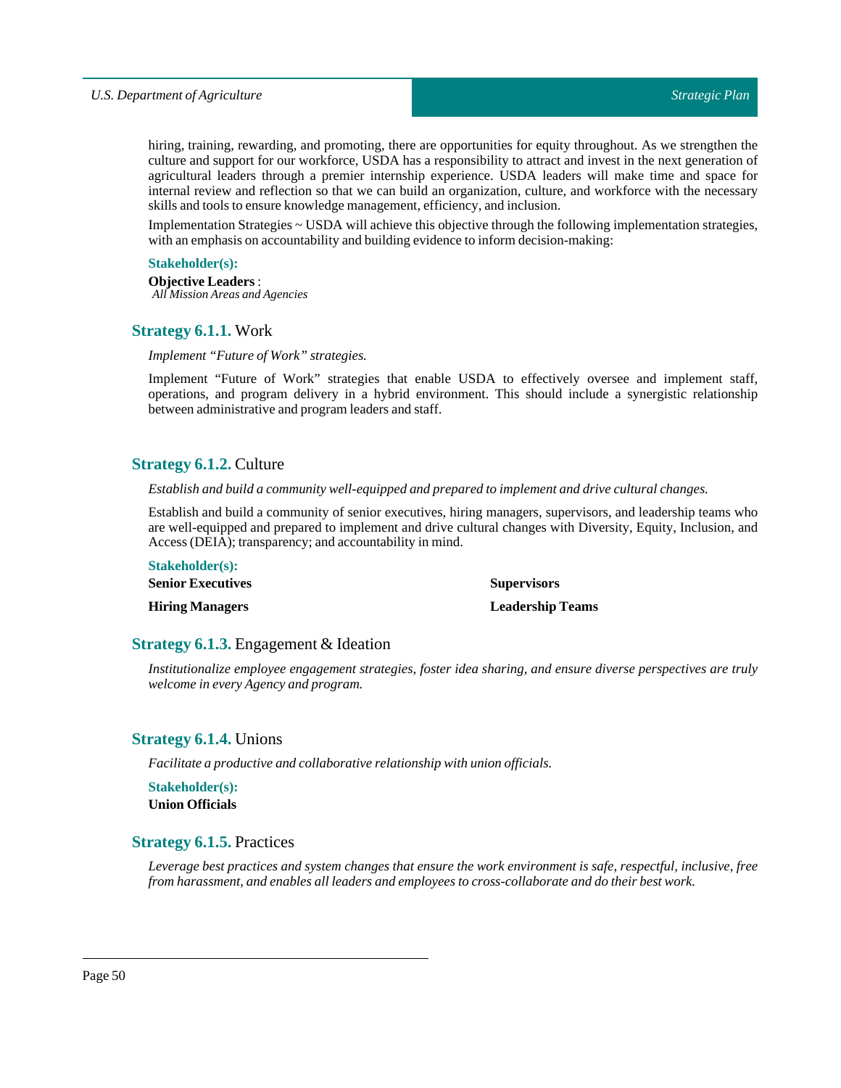hiring, training, rewarding, and promoting, there are opportunities for equity throughout. As we strengthen the culture and support for our workforce, USDA has a responsibility to attract and invest in the next generation of agricultural leaders through a premier internship experience. USDA leaders will make time and space for internal review and reflection so that we can build an organization, culture, and workforce with the necessary skills and tools to ensure knowledge management, efficiency, and inclusion.

Implementation Strategies ~ USDA will achieve this objective through the following implementation strategies, with an emphasis on accountability and building evidence to inform decision-making:

### **Stakeholder(s):**

**Objective Leaders** : *All Mission Areas and Agencies*

### <span id="page-49-0"></span>**Strategy 6.1.1.** Work

### *Implement* "Future of Work" strategies.

Implement "Future of Work" strategies that enable USDA to effectively oversee and implement staff, operations, and program delivery in a hybrid environment. This should include a synergistic relationship between administrative and program leaders and staff.

# <span id="page-49-1"></span>**Strategy 6.1.2.** Culture

*Establish and build a community well-equipped and prepared to implement and drive cultural changes.*

Establish and build a community of senior executives, hiring managers, supervisors, and leadership teams who are well-equipped and prepared to implement and drive cultural changes with Diversity, Equity, Inclusion, and Access (DEIA); transparency; and accountability in mind.

| <b>Stakeholder(s):</b>   |                         |
|--------------------------|-------------------------|
| <b>Senior Executives</b> | <b>Supervisors</b>      |
| <b>Hiring Managers</b>   | <b>Leadership Teams</b> |

# <span id="page-49-2"></span>**Strategy 6.1.3.** Engagement & Ideation

*Institutionalize employee engagement strategies, foster idea sharing, and ensure diverse perspectives are truly welcome in every Agency and program.*

# <span id="page-49-3"></span>**Strategy 6.1.4.** Unions

*Facilitate a productive and collaborative relationship with union officials.*

**Stakeholder(s): Union Officials**

# <span id="page-49-4"></span>**Strategy 6.1.5.** Practices

*Leverage best practices and system changes that ensure the work environment is safe, respectful, inclusive, free from harassment, and enables allleaders and employees to cross-collaborate and do their best work.*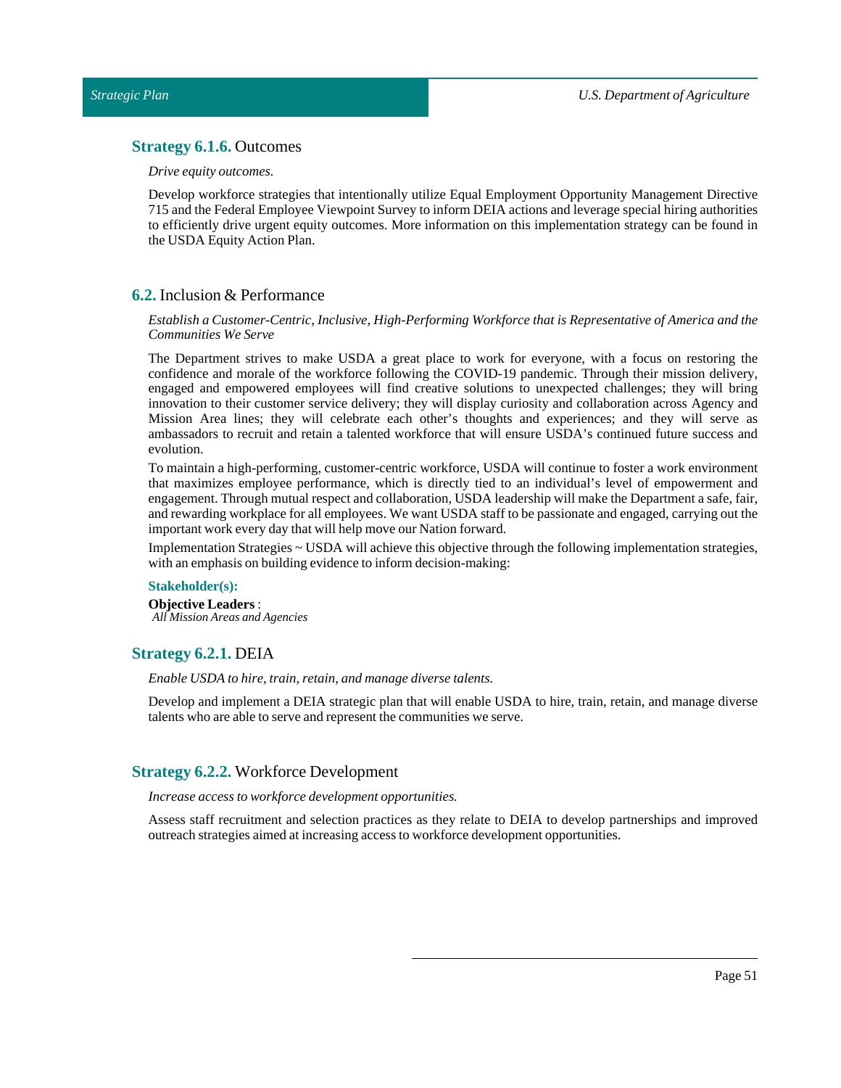# <span id="page-50-0"></span>**Strategy 6.1.6.** Outcomes

### *Drive equity outcomes.*

Develop workforce strategies that intentionally utilize Equal Employment Opportunity Management Directive 715 and the Federal Employee Viewpoint Survey to inform DEIA actions and leverage special hiring authorities to efficiently drive urgent equity outcomes. More information on this implementation strategy can be found in the USDA Equity Action Plan.

### <span id="page-50-1"></span>**6.2.** Inclusion & Performance

### *Establish a Customer-Centric, Inclusive, High-Performing Workforce that is Representative of America and the Communities We Serve*

The Department strives to make USDA a great place to work for everyone, with a focus on restoring the confidence and morale of the workforce following the COVID-19 pandemic. Through their mission delivery, engaged and empowered employees will find creative solutions to unexpected challenges; they will bring innovation to their customer service delivery; they will display curiosity and collaboration across Agency and Mission Area lines; they will celebrate each other's thoughts and experiences; and they will serve as ambassadors to recruit and retain a talented workforce that will ensure USDA's continued future success and evolution.

To maintain a high-performing, customer-centric workforce, USDA will continue to foster a work environment that maximizes employee performance, which is directly tied to an individual's level of empowerment and engagement. Through mutual respect and collaboration, USDA leadership will make the Department a safe, fair, and rewarding workplace for all employees. We want USDA staff to be passionate and engaged, carrying out the important work every day that will help move our Nation forward.

Implementation Strategies ~ USDA will achieve this objective through the following implementation strategies, with an emphasis on building evidence to inform decision-making:

### **Stakeholder(s):**

**Objective Leaders** : *All Mission Areas and Agencies*

### <span id="page-50-2"></span>**Strategy 6.2.1.** DEIA

*Enable USDA to hire, train, retain, and manage diverse talents.* 

Develop and implement a DEIA strategic plan that will enable USDA to hire, train, retain, and manage diverse talents who are able to serve and represent the communities we serve.

# <span id="page-50-3"></span>**Strategy 6.2.2.** Workforce Development

*Increase access to workforce development opportunities.*

Assess staff recruitment and selection practices as they relate to DEIA to develop partnerships and improved outreach strategies aimed atincreasing access to workforce development opportunities.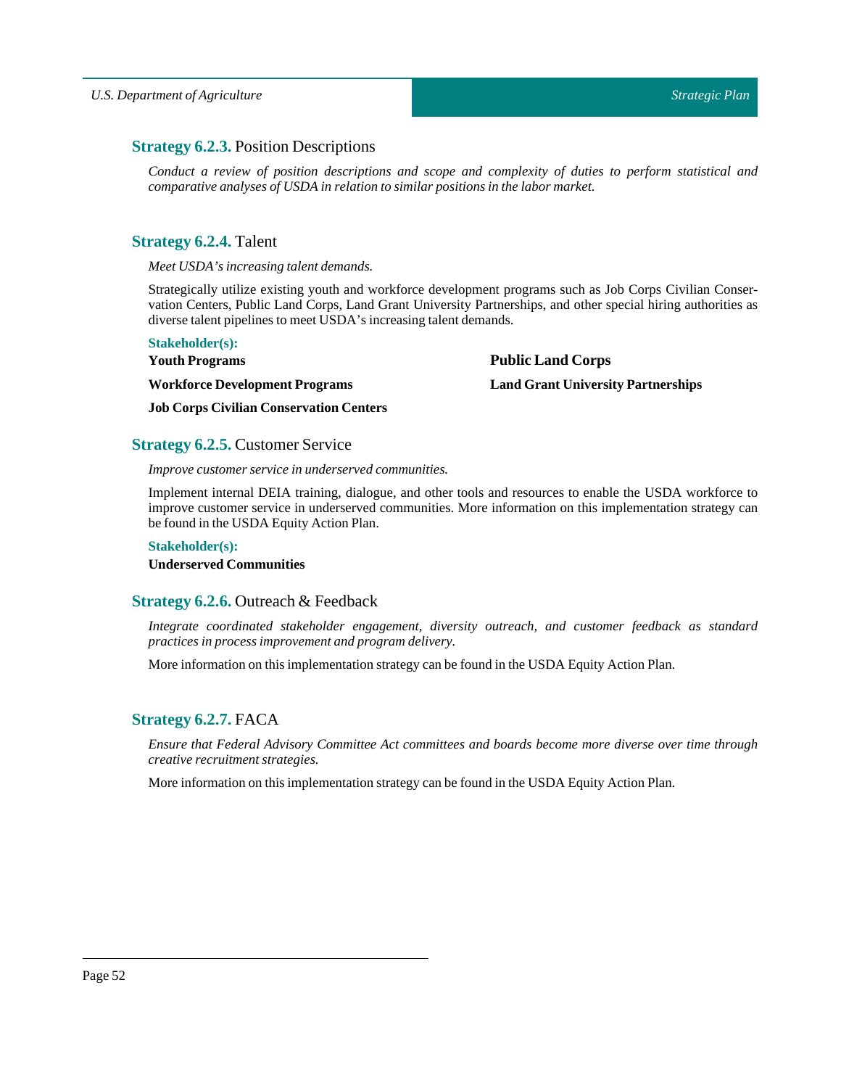# <span id="page-51-0"></span>**Strategy 6.2.3.** Position Descriptions

*Conduct a review of position descriptions and scope and complexity of duties to perform statistical and comparative analyses of USDA in relation to similar positions in the labor market.*

# <span id="page-51-1"></span>**Strategy 6.2.4.** Talent

*Meet USDA's increasing talent demands.*

Strategically utilize existing youth and workforce development programs such as Job Corps Civilian Conservation Centers, Public Land Corps, Land Grant University Partnerships, and other special hiring authorities as diverse talent pipelines to meet USDA's increasing talent demands.

**Public Land Corps**

**Land Grant University Partnerships**

#### **Stakeholder(s):**

**Youth Programs**

**Workforce Development Programs**

**Job Corps Civilian Conservation Centers**

# <span id="page-51-2"></span>**Strategy 6.2.5.** Customer Service

*Improve customer service in underserved communities.*

Implement internal DEIA training, dialogue, and other tools and resources to enable the USDA workforce to improve customer service in underserved communities. More information on this implementation strategy can be found in the USDA Equity Action Plan.

### **Stakeholder(s):**

**Underserved Communities**

# <span id="page-51-3"></span>**Strategy 6.2.6.** Outreach & Feedback

*Integrate coordinated stakeholder engagement, diversity outreach, and customer feedback as standard practices in process improvement and program delivery.*

More information on this implementation strategy can be found in the USDA Equity Action Plan.

# <span id="page-51-4"></span>**Strategy 6.2.7.** FACA

*Ensure that Federal Advisory Committee Act committees and boards become more diverse over time through creative recruitment strategies.*

More information on this implementation strategy can be found in the USDA Equity Action Plan.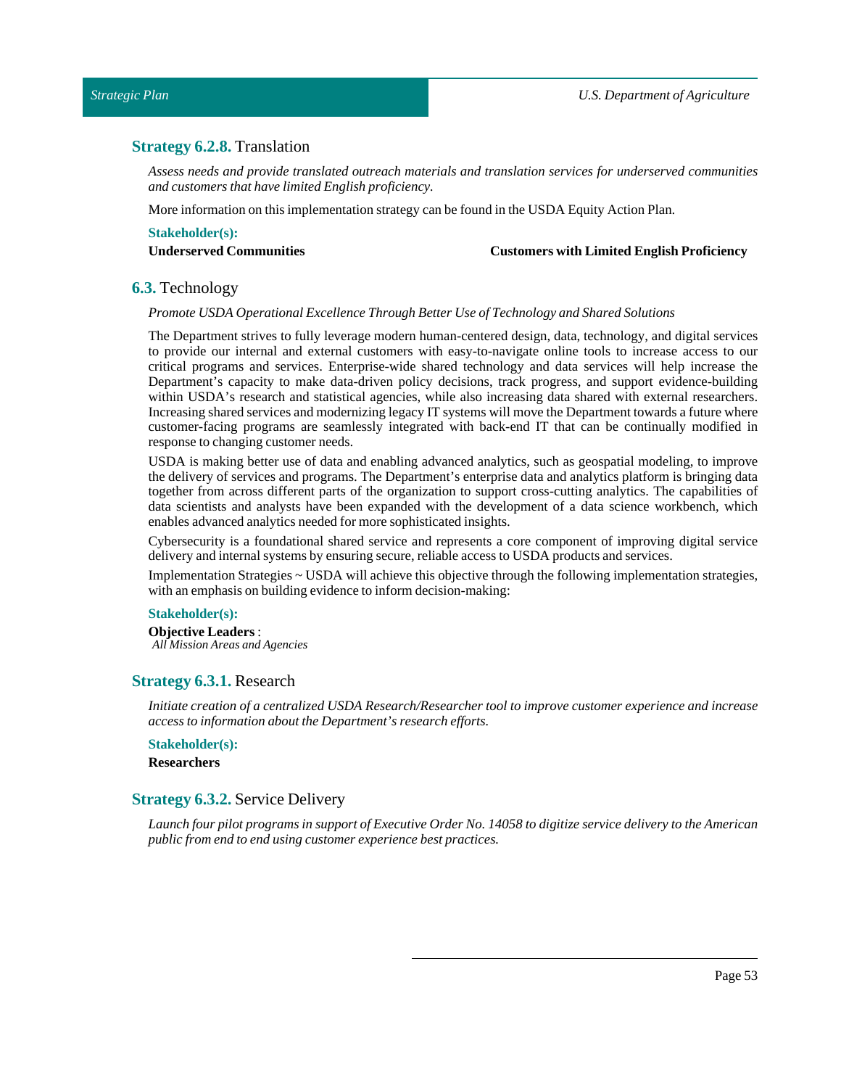# <span id="page-52-0"></span>**Strategy 6.2.8.** Translation

*Assess needs and provide translated outreach materials and translation services for underserved communities and customers that have limited English proficiency.*

More information on this implementation strategy can be found in the USDA Equity ActionPlan.

# **Stakeholder(s):**

**Underserved Communities Customers with Limited English Proficiency**

### <span id="page-52-1"></span>**6.3.** Technology

#### *Promote USDA Operational ExcellenceThrough Better Use ofTechnology and Shared Solutions*

The Department strives to fully leverage modern human-centered design, data, technology, and digital services to provide our internal and external customers with easy-to-navigate online tools to increase access to our critical programs and services. Enterprise-wide shared technology and data services will help increase the Department's capacity to make data-driven policy decisions, track progress, and support evidence-building within USDA's research and statistical agencies, while also increasing data shared with external researchers. Increasing shared services and modernizing legacy IT systems will move the Department towards a future where customer-facing programs are seamlessly integrated with back-end IT that can be continually modified in response to changing customer needs.

USDA is making better use of data and enabling advanced analytics, such as geospatial modeling, to improve the delivery of services and programs. The Department's enterprise data and analytics platform is bringing data together from across different parts of the organization to support cross-cutting analytics. The capabilities of data scientists and analysts have been expanded with the development of a data science workbench, which enables advanced analytics needed for more sophisticated insights.

Cybersecurity is a foundational shared service and represents a core component of improving digital service delivery and internal systems by ensuring secure, reliable access to USDA products and services.

Implementation Strategies ~ USDA will achieve this objective through the following implementation strategies, with an emphasis on building evidence to inform decision-making:

### **Stakeholder(s):**

**Objective Leaders** : *All Mission Areas and Agencies*

### <span id="page-52-2"></span>**Strategy 6.3.1.** Research

*Initiate creation of a centralized USDA Research/Researcher tool to improve customer experience and increase access to information aboutthe Department's research efforts.*

**Stakeholder(s): Researchers**

### <span id="page-52-3"></span>**Strategy 6.3.2.** Service Delivery

Launch four pilot programs in support of Executive Order No. 14058 to digitize service delivery to the American *public from end to end using customer experience best practices.*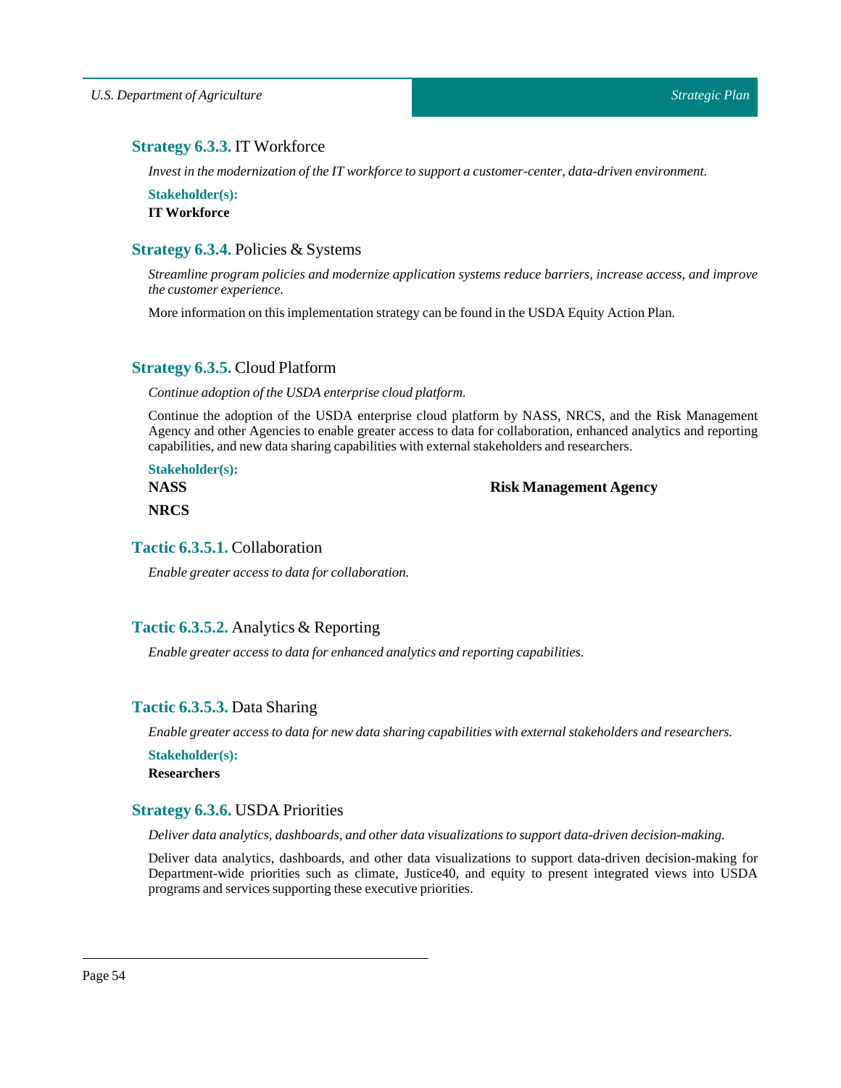# <span id="page-53-0"></span>**Strategy 6.3.3.** IT Workforce

*Investin the modernization ofthe IT workforce to support a customer-center, data-driven environment.*

**Stakeholder(s):**

**IT Workforce**

# <span id="page-53-1"></span>**Strategy 6.3.4.** Policies & Systems

*Streamline program policies and modernize application systems reduce barriers, increase access, and improve the customer experience.*

More information on this implementation strategy can be found in the USDA Equity ActionPlan.

# <span id="page-53-2"></span>**Strategy 6.3.5.** Cloud Platform

*Continue adoption of the USDA enterprise cloud platform.* 

Continue the adoption of the USDA enterprise cloud platform by NASS, NRCS, and the Risk Management Agency and other Agencies to enable greater access to data for collaboration, enhanced analytics and reporting capabilities, and new data sharing capabilities with external stakeholders and researchers.

**Stakeholder(s): NASS NRCS**

**Risk Management Agency**

# <span id="page-53-3"></span>**Tactic 6.3.5.1.** Collaboration

*Enable greater access to data for collaboration.*

# <span id="page-53-4"></span>**Tactic 6.3.5.2.** Analytics & Reporting

*Enable greater access to data for enhanced analytics and reporting capabilities.*

# <span id="page-53-5"></span>**Tactic 6.3.5.3.** Data Sharing

*Enable greater access to data for new data sharing capabilities with external stakeholders and researchers.*

**Stakeholder(s): Researchers**

# <span id="page-53-6"></span>**Strategy 6.3.6.** USDA Priorities

*Deliver data analytics, dashboards, and other data visualizations to support data-driven decision-making.*

Deliver data analytics, dashboards, and other data visualizations to support data-driven decision-making for Department-wide priorities such as climate, Justice40, and equity to present integrated views into USDA programs and services supporting these executive priorities.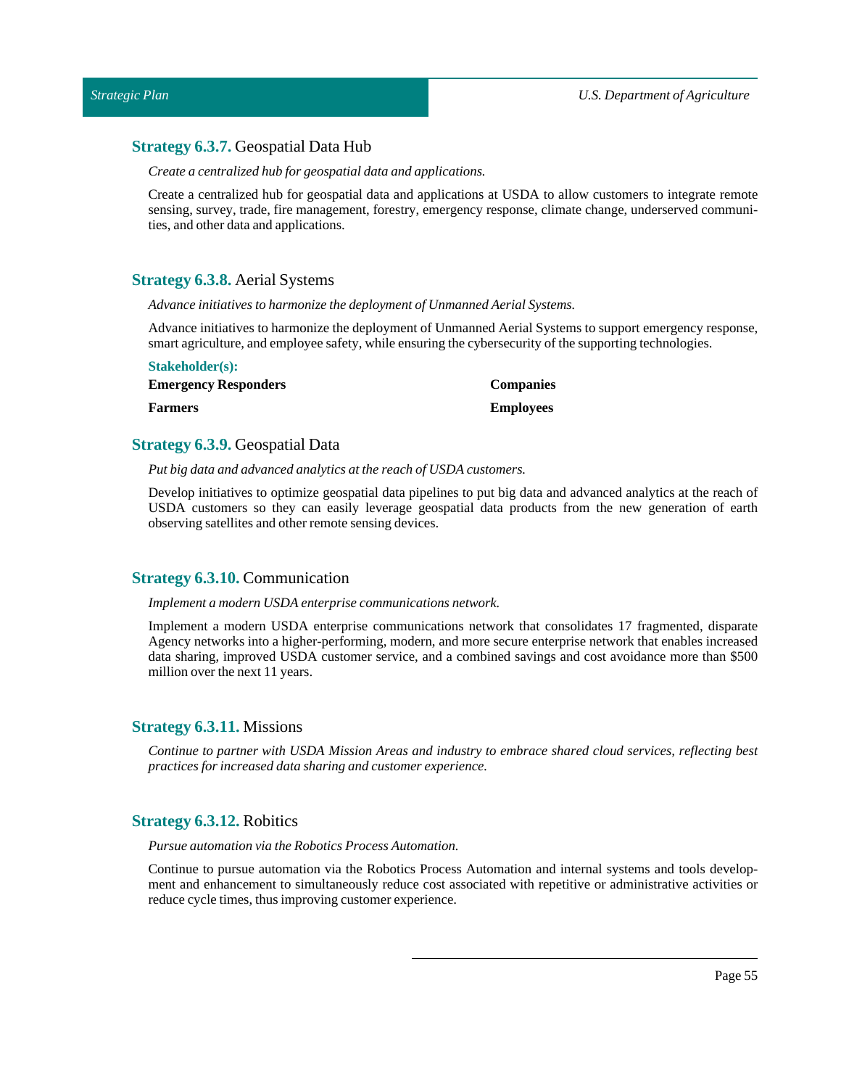# <span id="page-54-0"></span>**Strategy 6.3.7.** Geospatial Data Hub

*Create a centralized hub for geospatial data and applications.*

Create a centralized hub for geospatial data and applications at USDA to allow customers to integrate remote sensing, survey, trade, fire management, forestry, emergency response, climate change, underserved communities, and other data and applications.

# <span id="page-54-1"></span>**Strategy 6.3.8.** Aerial Systems

*Advance initiatives to harmonize the deployment of Unmanned Aerial Systems.*

Advance initiatives to harmonize the deployment of Unmanned Aerial Systems to support emergency response, smart agriculture, and employee safety, while ensuring the cybersecurity of the supporting technologies.

| <b>Stakeholder(s):</b>      |                  |
|-----------------------------|------------------|
| <b>Emergency Responders</b> | <b>Companies</b> |
| <b>Farmers</b>              | <b>Employees</b> |

# <span id="page-54-2"></span>**Strategy 6.3.9.** Geospatial Data

*Put big data and advanced analytics atthe reach of USDA customers.*

Develop initiatives to optimize geospatial data pipelines to put big data and advanced analytics at the reach of USDA customers so they can easily leverage geospatial data products from the new generation of earth observing satellites and other remote sensing devices.

# <span id="page-54-3"></span>**Strategy 6.3.10.** Communication

### *Implement a modern USDA enterprise communications network.*

Implement a modern USDA enterprise communications network that consolidates 17 fragmented, disparate Agency networks into a higher-performing, modern, and more secure enterprise network that enables increased data sharing, improved USDA customer service, and a combined savings and cost avoidance more than \$500 million over the next 11 years.

### <span id="page-54-4"></span>**Strategy 6.3.11.** Missions

*Continue to partner with USDA Mission Areas and industry to embrace shared cloud services, reflecting best practices for increased data sharing and customer experience.*

# <span id="page-54-5"></span>**Strategy 6.3.12.** Robitics

*Pursue automation via the Robotics Process Automation.*

Continue to pursue automation via the Robotics Process Automation and internal systems and tools development and enhancement to simultaneously reduce cost associated with repetitive or administrative activities or reduce cycle times, thus improving customer experience.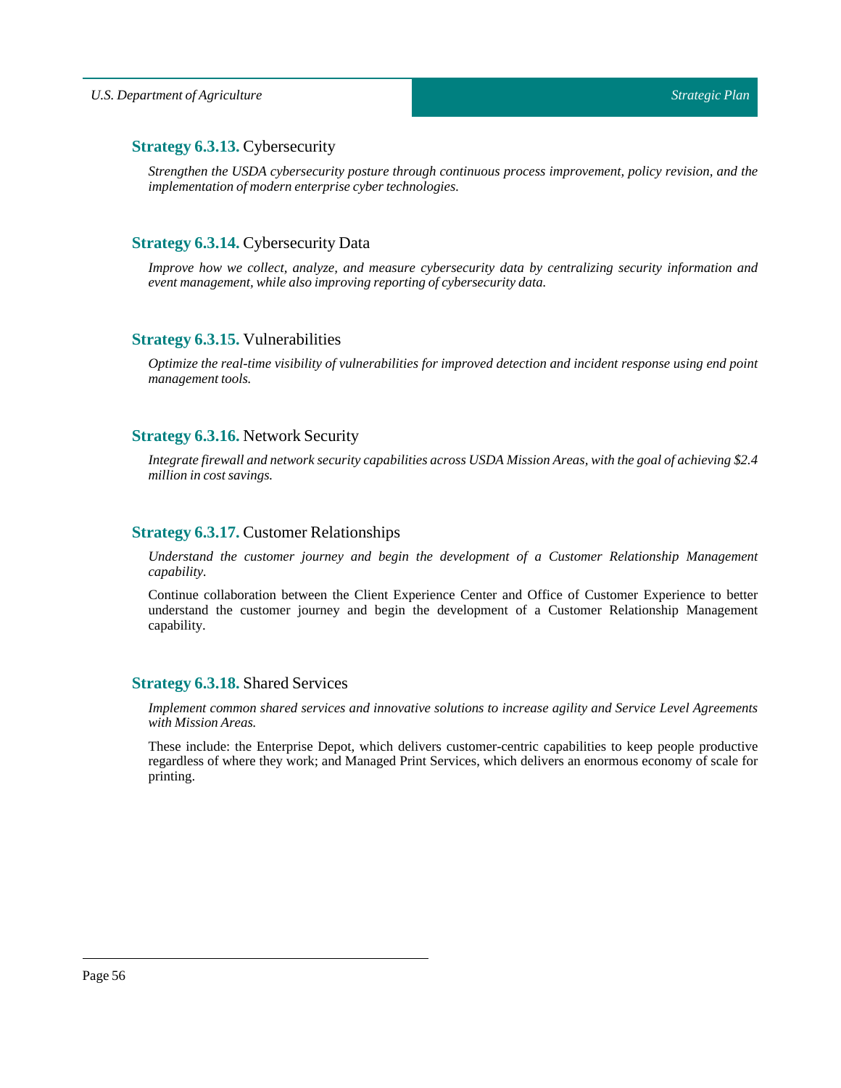# <span id="page-55-0"></span>**Strategy 6.3.13.** Cybersecurity

*Strengthen the USDA cybersecurity posture through continuous process improvement, policy revision, and the implementation of modern enterprise cyber technologies.*

# <span id="page-55-1"></span>**Strategy 6.3.14.** Cybersecurity Data

*Improve how we collect, analyze, and measure cybersecurity data by centralizing security information and event management, while also improving reporting of cybersecurity data.*

# <span id="page-55-2"></span>**Strategy 6.3.15.** Vulnerabilities

*Optimize the real-time visibility of vulnerabilities for improved detection and incident response using end point management tools.* 

# <span id="page-55-3"></span>**Strategy 6.3.16.** Network Security

*Integrate firewall and network security capabilities across USDA Mission Areas, with the goal of achieving \$2.4 million in cost savings.*

# <span id="page-55-4"></span>**Strategy 6.3.17.** Customer Relationships

*Understand the customer journey and begin the development of a Customer Relationship Management capability.*

Continue collaboration between the Client Experience Center and Office of Customer Experience to better understand the customer journey and begin the development of a Customer Relationship Management capability.

# <span id="page-55-5"></span>**Strategy 6.3.18.** Shared Services

*Implement common shared services and innovative solutions to increase agility and Service Level Agreements with Mission Areas.*

These include: the Enterprise Depot, which delivers customer-centric capabilities to keep people productive regardless of where they work; and Managed Print Services, which delivers an enormous economy of scale for printing.